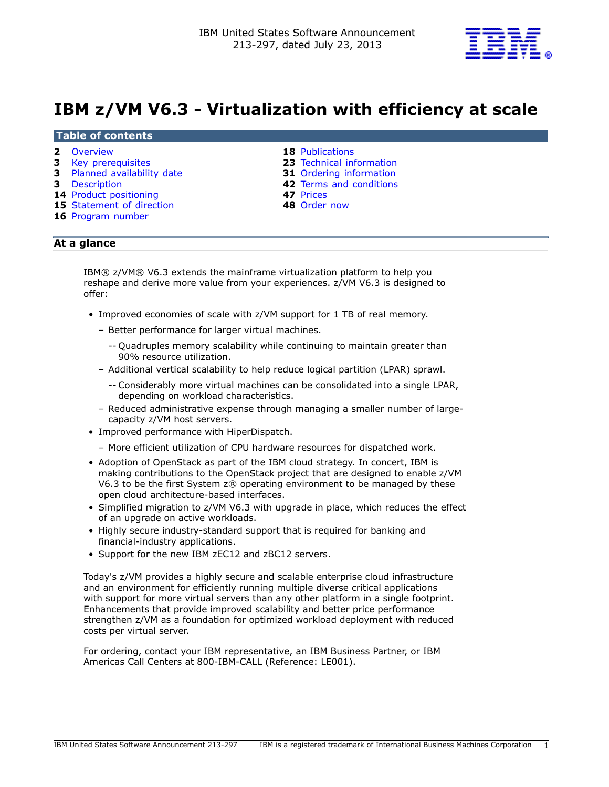

# **IBM z/VM V6.3 - Virtualization with efficiency at scale**

#### **Table of contents**

- 
- 
- **3** [Planned availability date](#page-2-1) **31** [Ordering information](#page-30-0)
- 
- **14** [Product positioning](#page-13-0) **47** [Prices](#page-46-0)
- **15** [Statement of direction](#page-14-0) **48** [Order now](#page-47-0)
- **16** [Program number](#page-15-0)

- **2** [Overview](#page-1-0) **18** [Publications](#page-17-0)
- **3** [Key prerequisites](#page-2-0) **23** [Technical information](#page-22-0) 
	-
- **3** [Description](#page-2-2) **42** [Terms and conditions](#page-41-0) 
	-
	-

# **At a glance**

IBM® z/VM® V6.3 extends the mainframe virtualization platform to help you reshape and derive more value from your experiences. z/VM V6.3 is designed to offer:

- Improved economies of scale with z/VM support for 1 TB of real memory.
	- Better performance for larger virtual machines.
		- -- Quadruples memory scalability while continuing to maintain greater than 90% resource utilization.
	- Additional vertical scalability to help reduce logical partition (LPAR) sprawl.
		- -- Considerably more virtual machines can be consolidated into a single LPAR, depending on workload characteristics.
	- Reduced administrative expense through managing a smaller number of largecapacity z/VM host servers.
- Improved performance with HiperDispatch.
	- More efficient utilization of CPU hardware resources for dispatched work.
- Adoption of OpenStack as part of the IBM cloud strategy. In concert, IBM is making contributions to the OpenStack project that are designed to enable z/VM V6.3 to be the first System z® operating environment to be managed by these open cloud architecture-based interfaces.
- Simplified migration to z/VM V6.3 with upgrade in place, which reduces the effect of an upgrade on active workloads.
- Highly secure industry-standard support that is required for banking and financial-industry applications.
- Support for the new IBM zEC12 and zBC12 servers.

Today's z/VM provides a highly secure and scalable enterprise cloud infrastructure and an environment for efficiently running multiple diverse critical applications with support for more virtual servers than any other platform in a single footprint. Enhancements that provide improved scalability and better price performance strengthen z/VM as a foundation for optimized workload deployment with reduced costs per virtual server.

For ordering, contact your IBM representative, an IBM Business Partner, or IBM Americas Call Centers at 800-IBM-CALL (Reference: LE001).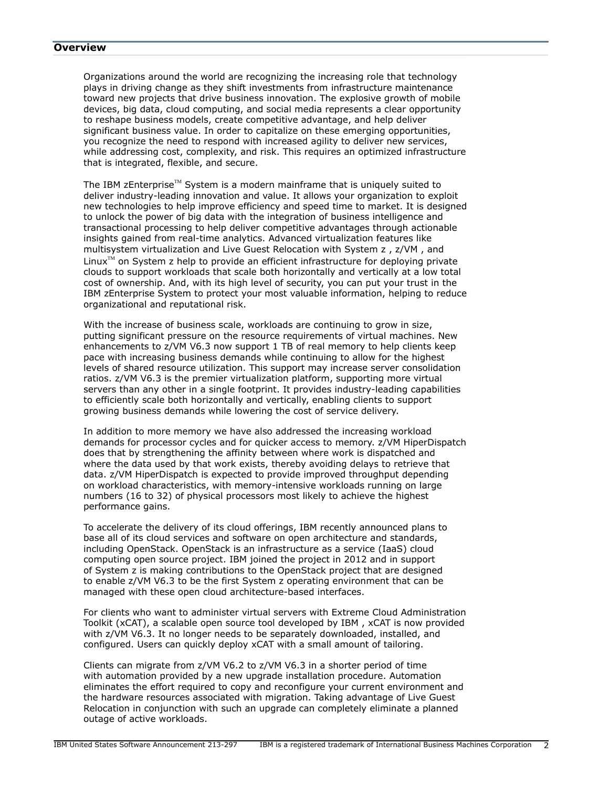#### <span id="page-1-0"></span>**Overview**

Organizations around the world are recognizing the increasing role that technology plays in driving change as they shift investments from infrastructure maintenance toward new projects that drive business innovation. The explosive growth of mobile devices, big data, cloud computing, and social media represents a clear opportunity to reshape business models, create competitive advantage, and help deliver significant business value. In order to capitalize on these emerging opportunities, you recognize the need to respond with increased agility to deliver new services, while addressing cost, complexity, and risk. This requires an optimized infrastructure that is integrated, flexible, and secure.

The IBM zEnterprise<sup>TM</sup> System is a modern mainframe that is uniquely suited to deliver industry-leading innovation and value. It allows your organization to exploit new technologies to help improve efficiency and speed time to market. It is designed to unlock the power of big data with the integration of business intelligence and transactional processing to help deliver competitive advantages through actionable insights gained from real-time analytics. Advanced virtualization features like multisystem virtualization and Live Guest Relocation with System z , z/VM , and Linux<sup> $TM$ </sup> on System z help to provide an efficient infrastructure for deploying private clouds to support workloads that scale both horizontally and vertically at a low total cost of ownership. And, with its high level of security, you can put your trust in the IBM zEnterprise System to protect your most valuable information, helping to reduce organizational and reputational risk.

With the increase of business scale, workloads are continuing to grow in size, putting significant pressure on the resource requirements of virtual machines. New enhancements to z/VM V6.3 now support 1 TB of real memory to help clients keep pace with increasing business demands while continuing to allow for the highest levels of shared resource utilization. This support may increase server consolidation ratios. z/VM V6.3 is the premier virtualization platform, supporting more virtual servers than any other in a single footprint. It provides industry-leading capabilities to efficiently scale both horizontally and vertically, enabling clients to support growing business demands while lowering the cost of service delivery.

In addition to more memory we have also addressed the increasing workload demands for processor cycles and for quicker access to memory. z/VM HiperDispatch does that by strengthening the affinity between where work is dispatched and where the data used by that work exists, thereby avoiding delays to retrieve that data. z/VM HiperDispatch is expected to provide improved throughput depending on workload characteristics, with memory-intensive workloads running on large numbers (16 to 32) of physical processors most likely to achieve the highest performance gains.

To accelerate the delivery of its cloud offerings, IBM recently announced plans to base all of its cloud services and software on open architecture and standards, including OpenStack. OpenStack is an infrastructure as a service (IaaS) cloud computing open source project. IBM joined the project in 2012 and in support of System z is making contributions to the OpenStack project that are designed to enable z/VM V6.3 to be the first System z operating environment that can be managed with these open cloud architecture-based interfaces.

For clients who want to administer virtual servers with Extreme Cloud Administration Toolkit (xCAT), a scalable open source tool developed by IBM , xCAT is now provided with z/VM V6.3. It no longer needs to be separately downloaded, installed, and configured. Users can quickly deploy xCAT with a small amount of tailoring.

Clients can migrate from z/VM V6.2 to z/VM V6.3 in a shorter period of time with automation provided by a new upgrade installation procedure. Automation eliminates the effort required to copy and reconfigure your current environment and the hardware resources associated with migration. Taking advantage of Live Guest Relocation in conjunction with such an upgrade can completely eliminate a planned outage of active workloads.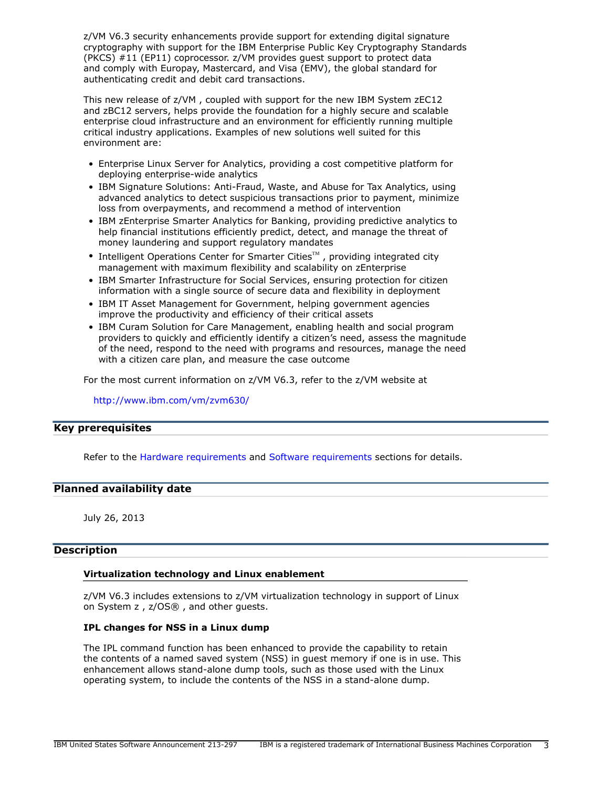z/VM V6.3 security enhancements provide support for extending digital signature cryptography with support for the IBM Enterprise Public Key Cryptography Standards (PKCS) #11 (EP11) coprocessor. z/VM provides guest support to protect data and comply with Europay, Mastercard, and Visa (EMV), the global standard for authenticating credit and debit card transactions.

This new release of z/VM , coupled with support for the new IBM System zEC12 and zBC12 servers, helps provide the foundation for a highly secure and scalable enterprise cloud infrastructure and an environment for efficiently running multiple critical industry applications. Examples of new solutions well suited for this environment are:

- Enterprise Linux Server for Analytics, providing a cost competitive platform for deploying enterprise-wide analytics
- IBM Signature Solutions: Anti-Fraud, Waste, and Abuse for Tax Analytics, using advanced analytics to detect suspicious transactions prior to payment, minimize loss from overpayments, and recommend a method of intervention
- IBM zEnterprise Smarter Analytics for Banking, providing predictive analytics to help financial institutions efficiently predict, detect, and manage the threat of money laundering and support regulatory mandates
- Intelligent Operations Center for Smarter Cities $^{\text{\tiny TM}}$ , providing integrated city management with maximum flexibility and scalability on zEnterprise
- IBM Smarter Infrastructure for Social Services, ensuring protection for citizen information with a single source of secure data and flexibility in deployment
- IBM IT Asset Management for Government, helping government agencies improve the productivity and efficiency of their critical assets
- IBM Curam Solution for Care Management, enabling health and social program providers to quickly and efficiently identify a citizen's need, assess the magnitude of the need, respond to the need with programs and resources, manage the need with a citizen care plan, and measure the case outcome

For the most current information on z/VM V6.3, refer to the z/VM website at

<http://www.ibm.com/vm/zvm630/>

# <span id="page-2-0"></span>**Key prerequisites**

Refer to the [Hardware requirements](#page-22-1) and [Software requirements](#page-22-2) sections for details.

# <span id="page-2-1"></span>**Planned availability date**

July 26, 2013

#### <span id="page-2-2"></span>**Description**

#### **Virtualization technology and Linux enablement**

z/VM V6.3 includes extensions to z/VM virtualization technology in support of Linux on System z , z/OS® , and other guests.

#### **IPL changes for NSS in a Linux dump**

The IPL command function has been enhanced to provide the capability to retain the contents of a named saved system (NSS) in guest memory if one is in use. This enhancement allows stand-alone dump tools, such as those used with the Linux operating system, to include the contents of the NSS in a stand-alone dump.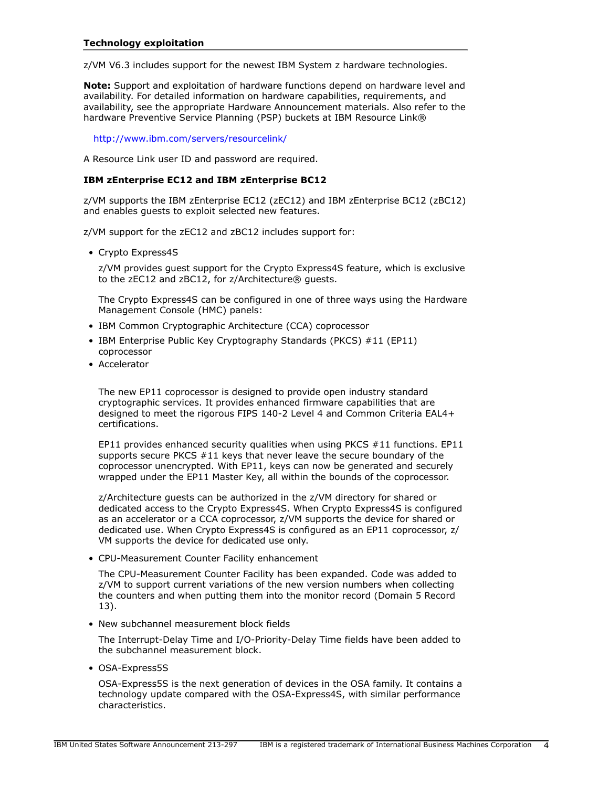z/VM V6.3 includes support for the newest IBM System z hardware technologies.

**Note:** Support and exploitation of hardware functions depend on hardware level and availability. For detailed information on hardware capabilities, requirements, and availability, see the appropriate Hardware Announcement materials. Also refer to the hardware Preventive Service Planning (PSP) buckets at IBM Resource Link®

#### <http://www.ibm.com/servers/resourcelink/>

A Resource Link user ID and password are required.

# **IBM zEnterprise EC12 and IBM zEnterprise BC12**

z/VM supports the IBM zEnterprise EC12 (zEC12) and IBM zEnterprise BC12 (zBC12) and enables guests to exploit selected new features.

z/VM support for the zEC12 and zBC12 includes support for:

• Crypto Express4S

z/VM provides guest support for the Crypto Express4S feature, which is exclusive to the zEC12 and zBC12, for z/Architecture® guests.

The Crypto Express4S can be configured in one of three ways using the Hardware Management Console (HMC) panels:

- IBM Common Cryptographic Architecture (CCA) coprocessor
- IBM Enterprise Public Key Cryptography Standards (PKCS) #11 (EP11) coprocessor
- Accelerator

The new EP11 coprocessor is designed to provide open industry standard cryptographic services. It provides enhanced firmware capabilities that are designed to meet the rigorous FIPS 140-2 Level 4 and Common Criteria EAL4+ certifications.

EP11 provides enhanced security qualities when using PKCS #11 functions. EP11 supports secure PKCS #11 keys that never leave the secure boundary of the coprocessor unencrypted. With EP11, keys can now be generated and securely wrapped under the EP11 Master Key, all within the bounds of the coprocessor.

z/Architecture guests can be authorized in the z/VM directory for shared or dedicated access to the Crypto Express4S. When Crypto Express4S is configured as an accelerator or a CCA coprocessor, z/VM supports the device for shared or dedicated use. When Crypto Express4S is configured as an EP11 coprocessor, z/ VM supports the device for dedicated use only.

• CPU-Measurement Counter Facility enhancement

The CPU-Measurement Counter Facility has been expanded. Code was added to z/VM to support current variations of the new version numbers when collecting the counters and when putting them into the monitor record (Domain 5 Record 13).

• New subchannel measurement block fields

The Interrupt-Delay Time and I/O-Priority-Delay Time fields have been added to the subchannel measurement block.

• OSA-Express5S

OSA-Express5S is the next generation of devices in the OSA family. It contains a technology update compared with the OSA-Express4S, with similar performance characteristics.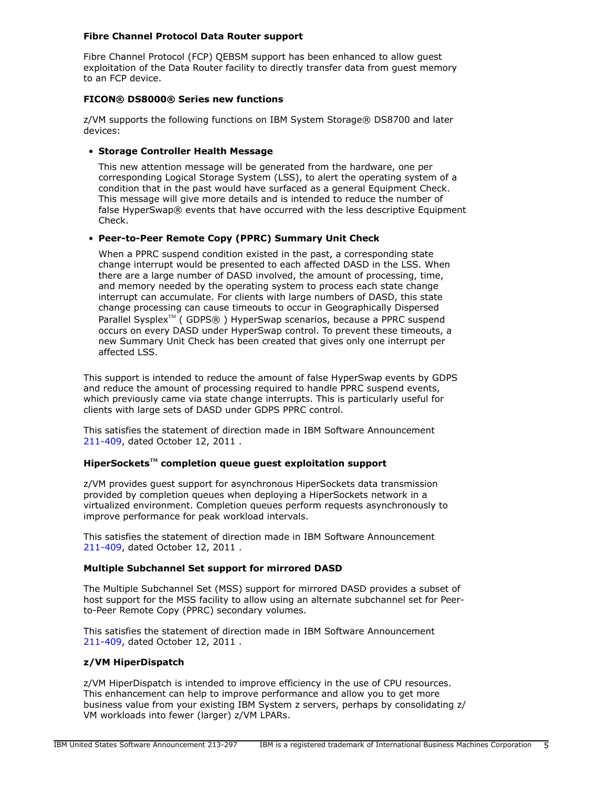# **Fibre Channel Protocol Data Router support**

Fibre Channel Protocol (FCP) QEBSM support has been enhanced to allow guest exploitation of the Data Router facility to directly transfer data from guest memory to an FCP device.

# **FICON® DS8000® Series new functions**

z/VM supports the following functions on IBM System Storage® DS8700 and later devices:

# • **Storage Controller Health Message**

This new attention message will be generated from the hardware, one per corresponding Logical Storage System (LSS), to alert the operating system of a condition that in the past would have surfaced as a general Equipment Check. This message will give more details and is intended to reduce the number of false HyperSwap® events that have occurred with the less descriptive Equipment Check.

# • **Peer-to-Peer Remote Copy (PPRC) Summary Unit Check**

When a PPRC suspend condition existed in the past, a corresponding state change interrupt would be presented to each affected DASD in the LSS. When there are a large number of DASD involved, the amount of processing, time, and memory needed by the operating system to process each state change interrupt can accumulate. For clients with large numbers of DASD, this state change processing can cause timeouts to occur in Geographically Dispersed Parallel Sysplex<sup>™</sup> ( GDPS® ) HyperSwap scenarios, because a PPRC suspend occurs on every DASD under HyperSwap control. To prevent these timeouts, a new Summary Unit Check has been created that gives only one interrupt per affected LSS.

This support is intended to reduce the amount of false HyperSwap events by GDPS and reduce the amount of processing required to handle PPRC suspend events, which previously came via state change interrupts. This is particularly useful for clients with large sets of DASD under GDPS PPRC control.

This satisfies the statement of direction made in IBM Software Announcement [211-409](http://www.ibm.com/common/ssi/cgi-bin/ssialias?infotype=an&subtype=ca&appname=gpateam&supplier=897&letternum=ENUS211-409), dated October 12, 2011 .

#### **HiperSocketsTM completion queue guest exploitation support**

z/VM provides guest support for asynchronous HiperSockets data transmission provided by completion queues when deploying a HiperSockets network in a virtualized environment. Completion queues perform requests asynchronously to improve performance for peak workload intervals.

This satisfies the statement of direction made in IBM Software Announcement [211-409](http://www.ibm.com/common/ssi/cgi-bin/ssialias?infotype=an&subtype=ca&appname=gpateam&supplier=897&letternum=ENUS211-409), dated October 12, 2011 .

# **Multiple Subchannel Set support for mirrored DASD**

The Multiple Subchannel Set (MSS) support for mirrored DASD provides a subset of host support for the MSS facility to allow using an alternate subchannel set for Peerto-Peer Remote Copy (PPRC) secondary volumes.

This satisfies the statement of direction made in IBM Software Announcement [211-409](http://www.ibm.com/common/ssi/cgi-bin/ssialias?infotype=an&subtype=ca&appname=gpateam&supplier=897&letternum=ENUS211-409), dated October 12, 2011 .

#### **z/VM HiperDispatch**

z/VM HiperDispatch is intended to improve efficiency in the use of CPU resources. This enhancement can help to improve performance and allow you to get more business value from your existing IBM System z servers, perhaps by consolidating z/ VM workloads into fewer (larger) z/VM LPARs.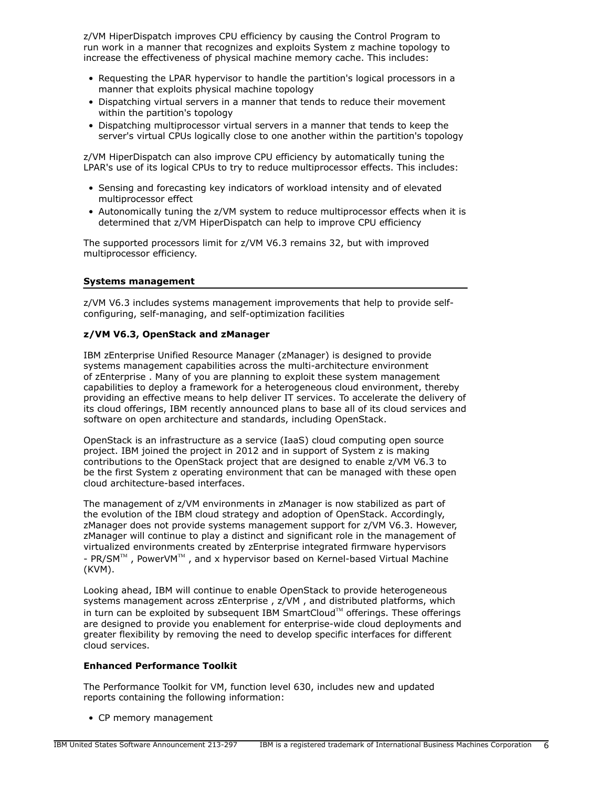z/VM HiperDispatch improves CPU efficiency by causing the Control Program to run work in a manner that recognizes and exploits System z machine topology to increase the effectiveness of physical machine memory cache. This includes:

- Requesting the LPAR hypervisor to handle the partition's logical processors in a manner that exploits physical machine topology
- Dispatching virtual servers in a manner that tends to reduce their movement within the partition's topology
- Dispatching multiprocessor virtual servers in a manner that tends to keep the server's virtual CPUs logically close to one another within the partition's topology

z/VM HiperDispatch can also improve CPU efficiency by automatically tuning the LPAR's use of its logical CPUs to try to reduce multiprocessor effects. This includes:

- Sensing and forecasting key indicators of workload intensity and of elevated multiprocessor effect
- Autonomically tuning the z/VM system to reduce multiprocessor effects when it is determined that z/VM HiperDispatch can help to improve CPU efficiency

The supported processors limit for z/VM V6.3 remains 32, but with improved multiprocessor efficiency.

# **Systems management**

z/VM V6.3 includes systems management improvements that help to provide selfconfiguring, self-managing, and self-optimization facilities

# **z/VM V6.3, OpenStack and zManager**

IBM zEnterprise Unified Resource Manager (zManager) is designed to provide systems management capabilities across the multi-architecture environment of zEnterprise . Many of you are planning to exploit these system management capabilities to deploy a framework for a heterogeneous cloud environment, thereby providing an effective means to help deliver IT services. To accelerate the delivery of its cloud offerings, IBM recently announced plans to base all of its cloud services and software on open architecture and standards, including OpenStack.

OpenStack is an infrastructure as a service (IaaS) cloud computing open source project. IBM joined the project in 2012 and in support of System z is making contributions to the OpenStack project that are designed to enable z/VM V6.3 to be the first System z operating environment that can be managed with these open cloud architecture-based interfaces.

The management of z/VM environments in zManager is now stabilized as part of the evolution of the IBM cloud strategy and adoption of OpenStack. Accordingly, zManager does not provide systems management support for z/VM V6.3. However, zManager will continue to play a distinct and significant role in the management of virtualized environments created by zEnterprise integrated firmware hypervisors -  $PR/SM^{TM}$ , PowerVM<sup>TM</sup>, and x hypervisor based on Kernel-based Virtual Machine (KVM).

Looking ahead, IBM will continue to enable OpenStack to provide heterogeneous systems management across zEnterprise , z/VM , and distributed platforms, which in turn can be exploited by subsequent IBM SmartCloud™ offerings. These offerings are designed to provide you enablement for enterprise-wide cloud deployments and greater flexibility by removing the need to develop specific interfaces for different cloud services.

# **Enhanced Performance Toolkit**

The Performance Toolkit for VM, function level 630, includes new and updated reports containing the following information:

• CP memory management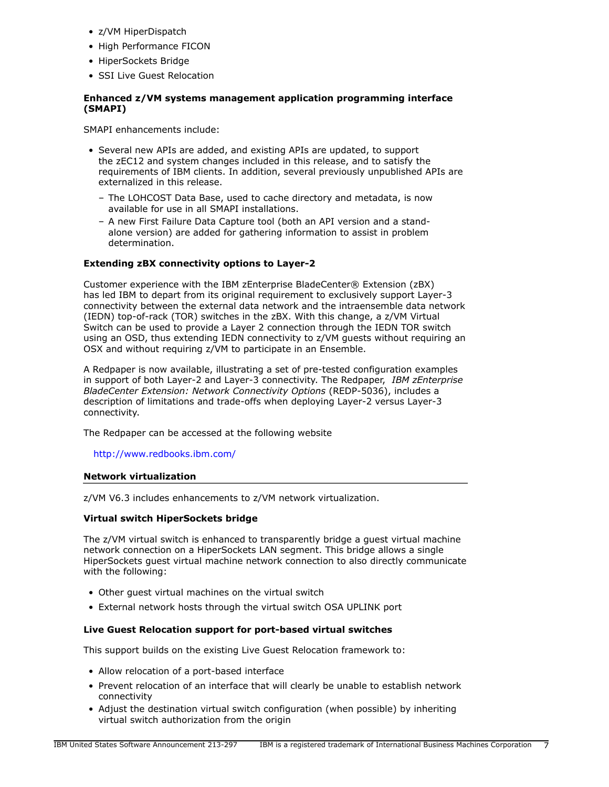- z/VM HiperDispatch
- High Performance FICON
- HiperSockets Bridge
- SSI Live Guest Relocation

# **Enhanced z/VM systems management application programming interface (SMAPI)**

SMAPI enhancements include:

- Several new APIs are added, and existing APIs are updated, to support the zEC12 and system changes included in this release, and to satisfy the requirements of IBM clients. In addition, several previously unpublished APIs are externalized in this release.
	- The LOHCOST Data Base, used to cache directory and metadata, is now available for use in all SMAPI installations.
	- A new First Failure Data Capture tool (both an API version and a standalone version) are added for gathering information to assist in problem determination.

# **Extending zBX connectivity options to Layer-2**

Customer experience with the IBM zEnterprise BladeCenter® Extension (zBX) has led IBM to depart from its original requirement to exclusively support Layer-3 connectivity between the external data network and the intraensemble data network (IEDN) top-of-rack (TOR) switches in the zBX. With this change, a z/VM Virtual Switch can be used to provide a Layer 2 connection through the IEDN TOR switch using an OSD, thus extending IEDN connectivity to z/VM guests without requiring an OSX and without requiring z/VM to participate in an Ensemble.

A Redpaper is now available, illustrating a set of pre-tested configuration examples in support of both Layer-2 and Layer-3 connectivity. The Redpaper, *IBM zEnterprise BladeCenter Extension: Network Connectivity Options* (REDP-5036), includes a description of limitations and trade-offs when deploying Layer-2 versus Layer-3 connectivity.

The Redpaper can be accessed at the following website

<http://www.redbooks.ibm.com/>

#### **Network virtualization**

z/VM V6.3 includes enhancements to z/VM network virtualization.

# **Virtual switch HiperSockets bridge**

The z/VM virtual switch is enhanced to transparently bridge a guest virtual machine network connection on a HiperSockets LAN segment. This bridge allows a single HiperSockets guest virtual machine network connection to also directly communicate with the following:

- Other guest virtual machines on the virtual switch
- External network hosts through the virtual switch OSA UPLINK port

# **Live Guest Relocation support for port-based virtual switches**

This support builds on the existing Live Guest Relocation framework to:

- Allow relocation of a port-based interface
- Prevent relocation of an interface that will clearly be unable to establish network connectivity
- Adjust the destination virtual switch configuration (when possible) by inheriting virtual switch authorization from the origin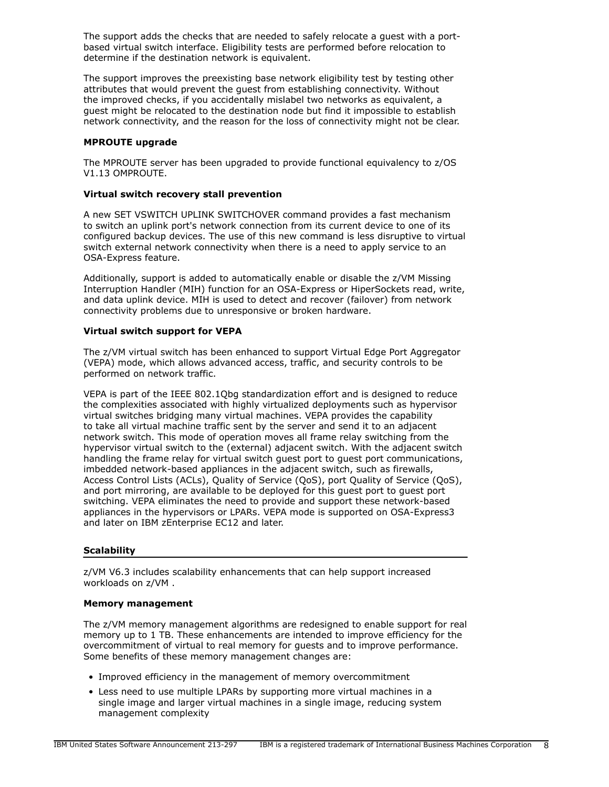The support adds the checks that are needed to safely relocate a guest with a portbased virtual switch interface. Eligibility tests are performed before relocation to determine if the destination network is equivalent.

The support improves the preexisting base network eligibility test by testing other attributes that would prevent the guest from establishing connectivity. Without the improved checks, if you accidentally mislabel two networks as equivalent, a guest might be relocated to the destination node but find it impossible to establish network connectivity, and the reason for the loss of connectivity might not be clear.

# **MPROUTE upgrade**

The MPROUTE server has been upgraded to provide functional equivalency to z/OS V1.13 OMPROUTE.

#### **Virtual switch recovery stall prevention**

A new SET VSWITCH UPLINK SWITCHOVER command provides a fast mechanism to switch an uplink port's network connection from its current device to one of its configured backup devices. The use of this new command is less disruptive to virtual switch external network connectivity when there is a need to apply service to an OSA-Express feature.

Additionally, support is added to automatically enable or disable the z/VM Missing Interruption Handler (MIH) function for an OSA-Express or HiperSockets read, write, and data uplink device. MIH is used to detect and recover (failover) from network connectivity problems due to unresponsive or broken hardware.

# **Virtual switch support for VEPA**

The z/VM virtual switch has been enhanced to support Virtual Edge Port Aggregator (VEPA) mode, which allows advanced access, traffic, and security controls to be performed on network traffic.

VEPA is part of the IEEE 802.1Qbg standardization effort and is designed to reduce the complexities associated with highly virtualized deployments such as hypervisor virtual switches bridging many virtual machines. VEPA provides the capability to take all virtual machine traffic sent by the server and send it to an adjacent network switch. This mode of operation moves all frame relay switching from the hypervisor virtual switch to the (external) adjacent switch. With the adjacent switch handling the frame relay for virtual switch guest port to guest port communications, imbedded network-based appliances in the adjacent switch, such as firewalls, Access Control Lists (ACLs), Quality of Service (QoS), port Quality of Service (QoS), and port mirroring, are available to be deployed for this guest port to guest port switching. VEPA eliminates the need to provide and support these network-based appliances in the hypervisors or LPARs. VEPA mode is supported on OSA-Express3 and later on IBM zEnterprise EC12 and later.

#### **Scalability**

z/VM V6.3 includes scalability enhancements that can help support increased workloads on z/VM .

#### **Memory management**

The z/VM memory management algorithms are redesigned to enable support for real memory up to 1 TB. These enhancements are intended to improve efficiency for the overcommitment of virtual to real memory for guests and to improve performance. Some benefits of these memory management changes are:

- Improved efficiency in the management of memory overcommitment
- Less need to use multiple LPARs by supporting more virtual machines in a single image and larger virtual machines in a single image, reducing system management complexity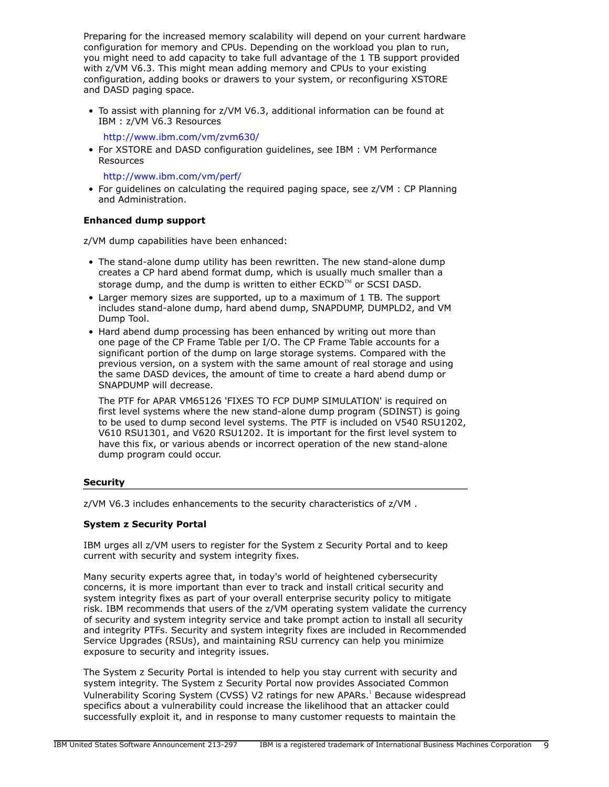Preparing for the increased memory scalability will depend on your current hardware configuration for memory and CPUs. Depending on the workload you plan to run, you might need to add capacity to take full advantage of the 1 TB support provided with z/VM V6.3. This might mean adding memory and CPUs to your existing configuration, adding books or drawers to your system, or reconfiguring XSTORE and DASD paging space.

• To assist with planning for z/VM V6.3, additional information can be found at IBM : z/VM V6.3 Resources

<http://www.ibm.com/vm/zvm630/>

• For XSTORE and DASD configuration guidelines, see IBM : VM Performance Resources

<http://www.ibm.com/vm/perf/>

• For guidelines on calculating the required paging space, see z/VM : CP Planning and Administration.

# **Enhanced dump support**

z/VM dump capabilities have been enhanced:

- The stand-alone dump utility has been rewritten. The new stand-alone dump creates a CP hard abend format dump, which is usually much smaller than a storage dump, and the dump is written to either  $ECKD^{TM}$  or SCSI DASD.
- Larger memory sizes are supported, up to a maximum of 1 TB. The support includes stand-alone dump, hard abend dump, SNAPDUMP, DUMPLD2, and VM Dump Tool.
- Hard abend dump processing has been enhanced by writing out more than one page of the CP Frame Table per I/O. The CP Frame Table accounts for a significant portion of the dump on large storage systems. Compared with the previous version, on a system with the same amount of real storage and using the same DASD devices, the amount of time to create a hard abend dump or SNAPDUMP will decrease.

The PTF for APAR VM65126 'FIXES TO FCP DUMP SIMULATION' is required on first level systems where the new stand-alone dump program (SDINST) is going to be used to dump second level systems. The PTF is included on V540 RSU1202, V610 RSU1301, and V620 RSU1202. It is important for the first level system to have this fix, or various abends or incorrect operation of the new stand-alone dump program could occur.

# **Security**

z/VM V6.3 includes enhancements to the security characteristics of z/VM .

# **System z Security Portal**

IBM urges all z/VM users to register for the System z Security Portal and to keep current with security and system integrity fixes.

Many security experts agree that, in today's world of heightened cybersecurity concerns, it is more important than ever to track and install critical security and system integrity fixes as part of your overall enterprise security policy to mitigate risk. IBM recommends that users of the z/VM operating system validate the currency of security and system integrity service and take prompt action to install all security and integrity PTFs. Security and system integrity fixes are included in Recommended Service Upgrades (RSUs), and maintaining RSU currency can help you minimize exposure to security and integrity issues.

The System z Security Portal is intended to help you stay current with security and system integrity. The System z Security Portal now provides Associated Common Vulnerability Scoring System (CVSS) V2 ratings for new APARs. Because widespread specifics about a vulnerability could increase the likelihood that an attacker could successfully exploit it, and in response to many customer requests to maintain the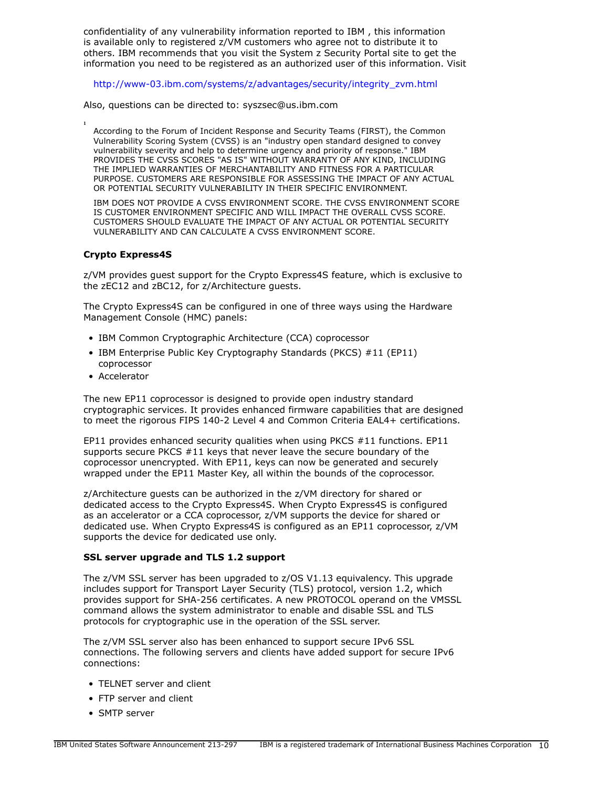confidentiality of any vulnerability information reported to IBM , this information is available only to registered z/VM customers who agree not to distribute it to others. IBM recommends that you visit the System z Security Portal site to get the information you need to be registered as an authorized user of this information. Visit

[http://www-03.ibm.com/systems/z/advantages/security/integrity\\_zvm.html](http://www-03.ibm.com/systems/z/advantages/security/integrity_zvm.html)

Also, questions can be directed to: syszsec@us.ibm.com

According to the Forum of Incident Response and Security Teams (FIRST), the Common Vulnerability Scoring System (CVSS) is an "industry open standard designed to convey vulnerability severity and help to determine urgency and priority of response." IBM PROVIDES THE CVSS SCORES "AS IS" WITHOUT WARRANTY OF ANY KIND, INCLUDING THE IMPLIED WARRANTIES OF MERCHANTABILITY AND FITNESS FOR A PARTICULAR PURPOSE. CUSTOMERS ARE RESPONSIBLE FOR ASSESSING THE IMPACT OF ANY ACTUAL OR POTENTIAL SECURITY VULNERABILITY IN THEIR SPECIFIC ENVIRONMENT.

IBM DOES NOT PROVIDE A CVSS ENVIRONMENT SCORE. THE CVSS ENVIRONMENT SCORE IS CUSTOMER ENVIRONMENT SPECIFIC AND WILL IMPACT THE OVERALL CVSS SCORE. CUSTOMERS SHOULD EVALUATE THE IMPACT OF ANY ACTUAL OR POTENTIAL SECURITY VULNERABILITY AND CAN CALCULATE A CVSS ENVIRONMENT SCORE.

# **Crypto Express4S**

**1**

z/VM provides guest support for the Crypto Express4S feature, which is exclusive to the zEC12 and zBC12, for z/Architecture guests.

The Crypto Express4S can be configured in one of three ways using the Hardware Management Console (HMC) panels:

- IBM Common Cryptographic Architecture (CCA) coprocessor
- IBM Enterprise Public Key Cryptography Standards (PKCS) #11 (EP11) coprocessor
- Accelerator

The new EP11 coprocessor is designed to provide open industry standard cryptographic services. It provides enhanced firmware capabilities that are designed to meet the rigorous FIPS 140-2 Level 4 and Common Criteria EAL4+ certifications.

EP11 provides enhanced security qualities when using PKCS #11 functions. EP11 supports secure PKCS #11 keys that never leave the secure boundary of the coprocessor unencrypted. With EP11, keys can now be generated and securely wrapped under the EP11 Master Key, all within the bounds of the coprocessor.

z/Architecture guests can be authorized in the z/VM directory for shared or dedicated access to the Crypto Express4S. When Crypto Express4S is configured as an accelerator or a CCA coprocessor, z/VM supports the device for shared or dedicated use. When Crypto Express4S is configured as an EP11 coprocessor, z/VM supports the device for dedicated use only.

# **SSL server upgrade and TLS 1.2 support**

The z/VM SSL server has been upgraded to z/OS V1.13 equivalency. This upgrade includes support for Transport Layer Security (TLS) protocol, version 1.2, which provides support for SHA-256 certificates. A new PROTOCOL operand on the VMSSL command allows the system administrator to enable and disable SSL and TLS protocols for cryptographic use in the operation of the SSL server.

The z/VM SSL server also has been enhanced to support secure IPv6 SSL connections. The following servers and clients have added support for secure IPv6 connections:

- TELNET server and client
- FTP server and client
- SMTP server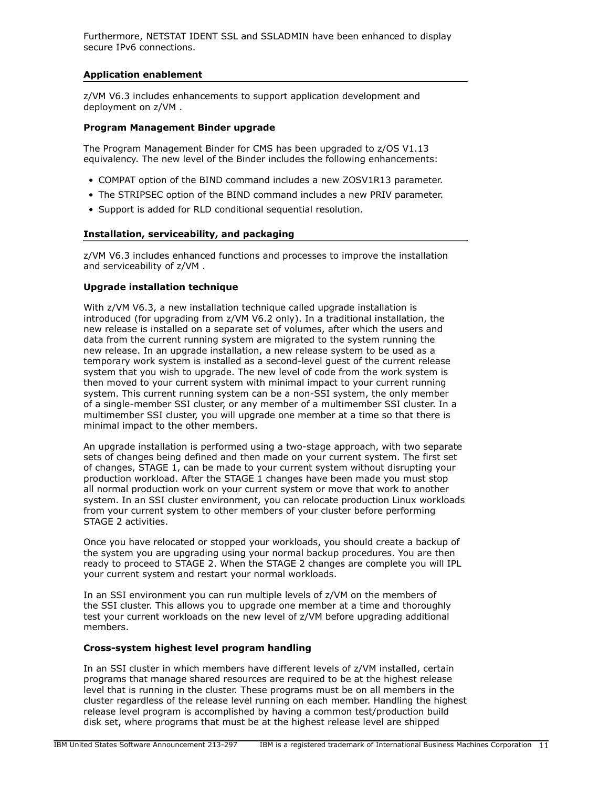Furthermore, NETSTAT IDENT SSL and SSLADMIN have been enhanced to display secure IPv6 connections.

# **Application enablement**

z/VM V6.3 includes enhancements to support application development and deployment on z/VM .

# **Program Management Binder upgrade**

The Program Management Binder for CMS has been upgraded to z/OS V1.13 equivalency. The new level of the Binder includes the following enhancements:

- COMPAT option of the BIND command includes a new ZOSV1R13 parameter.
- The STRIPSEC option of the BIND command includes a new PRIV parameter.
- Support is added for RLD conditional sequential resolution.

# **Installation, serviceability, and packaging**

z/VM V6.3 includes enhanced functions and processes to improve the installation and serviceability of z/VM .

# **Upgrade installation technique**

With z/VM V6.3, a new installation technique called upgrade installation is introduced (for upgrading from z/VM V6.2 only). In a traditional installation, the new release is installed on a separate set of volumes, after which the users and data from the current running system are migrated to the system running the new release. In an upgrade installation, a new release system to be used as a temporary work system is installed as a second-level guest of the current release system that you wish to upgrade. The new level of code from the work system is then moved to your current system with minimal impact to your current running system. This current running system can be a non-SSI system, the only member of a single-member SSI cluster, or any member of a multimember SSI cluster. In a multimember SSI cluster, you will upgrade one member at a time so that there is minimal impact to the other members.

An upgrade installation is performed using a two-stage approach, with two separate sets of changes being defined and then made on your current system. The first set of changes, STAGE 1, can be made to your current system without disrupting your production workload. After the STAGE 1 changes have been made you must stop all normal production work on your current system or move that work to another system. In an SSI cluster environment, you can relocate production Linux workloads from your current system to other members of your cluster before performing STAGE 2 activities.

Once you have relocated or stopped your workloads, you should create a backup of the system you are upgrading using your normal backup procedures. You are then ready to proceed to STAGE 2. When the STAGE 2 changes are complete you will IPL your current system and restart your normal workloads.

In an SSI environment you can run multiple levels of z/VM on the members of the SSI cluster. This allows you to upgrade one member at a time and thoroughly test your current workloads on the new level of z/VM before upgrading additional members.

#### **Cross-system highest level program handling**

In an SSI cluster in which members have different levels of z/VM installed, certain programs that manage shared resources are required to be at the highest release level that is running in the cluster. These programs must be on all members in the cluster regardless of the release level running on each member. Handling the highest release level program is accomplished by having a common test/production build disk set, where programs that must be at the highest release level are shipped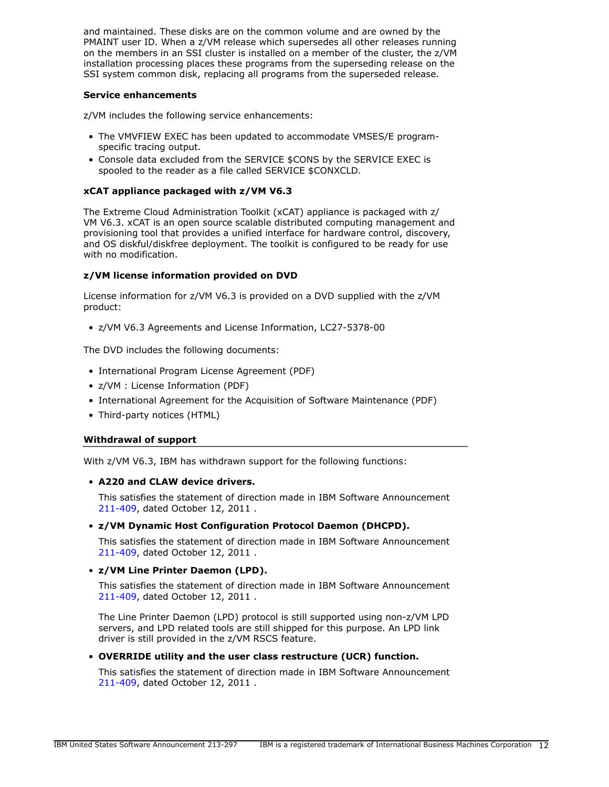and maintained. These disks are on the common volume and are owned by the PMAINT user ID. When a z/VM release which supersedes all other releases running on the members in an SSI cluster is installed on a member of the cluster, the z/VM installation processing places these programs from the superseding release on the SSI system common disk, replacing all programs from the superseded release.

#### **Service enhancements**

z/VM includes the following service enhancements:

- The VMVFIEW EXEC has been updated to accommodate VMSES/E programspecific tracing output.
- Console data excluded from the SERVICE \$CONS by the SERVICE EXEC is spooled to the reader as a file called SERVICE \$CONXCLD.

# **xCAT appliance packaged with z/VM V6.3**

The Extreme Cloud Administration Toolkit (xCAT) appliance is packaged with z/ VM V6.3. xCAT is an open source scalable distributed computing management and provisioning tool that provides a unified interface for hardware control, discovery, and OS diskful/diskfree deployment. The toolkit is configured to be ready for use with no modification.

# **z/VM license information provided on DVD**

License information for z/VM V6.3 is provided on a DVD supplied with the z/VM product:

• z/VM V6.3 Agreements and License Information, LC27-5378-00

The DVD includes the following documents:

- International Program License Agreement (PDF)
- z/VM : License Information (PDF)
- International Agreement for the Acquisition of Software Maintenance (PDF)
- Third-party notices (HTML)

#### **Withdrawal of support**

With z/VM V6.3, IBM has withdrawn support for the following functions:

# • **A220 and CLAW device drivers.**

This satisfies the statement of direction made in IBM Software Announcement [211-409](http://www.ibm.com/common/ssi/cgi-bin/ssialias?infotype=an&subtype=ca&appname=gpateam&supplier=897&letternum=ENUS211-409), dated October 12, 2011 .

# • **z/VM Dynamic Host Configuration Protocol Daemon (DHCPD).**

This satisfies the statement of direction made in IBM Software Announcement [211-409](http://www.ibm.com/common/ssi/cgi-bin/ssialias?infotype=an&subtype=ca&appname=gpateam&supplier=897&letternum=ENUS211-409), dated October 12, 2011 .

#### • **z/VM Line Printer Daemon (LPD).**

This satisfies the statement of direction made in IBM Software Announcement [211-409](http://www.ibm.com/common/ssi/cgi-bin/ssialias?infotype=an&subtype=ca&appname=gpateam&supplier=897&letternum=ENUS211-409), dated October 12, 2011 .

The Line Printer Daemon (LPD) protocol is still supported using non-z/VM LPD servers, and LPD related tools are still shipped for this purpose. An LPD link driver is still provided in the z/VM RSCS feature.

• **OVERRIDE utility and the user class restructure (UCR) function.**

This satisfies the statement of direction made in IBM Software Announcement [211-409](http://www.ibm.com/common/ssi/cgi-bin/ssialias?infotype=an&subtype=ca&appname=gpateam&supplier=897&letternum=ENUS211-409), dated October 12, 2011 .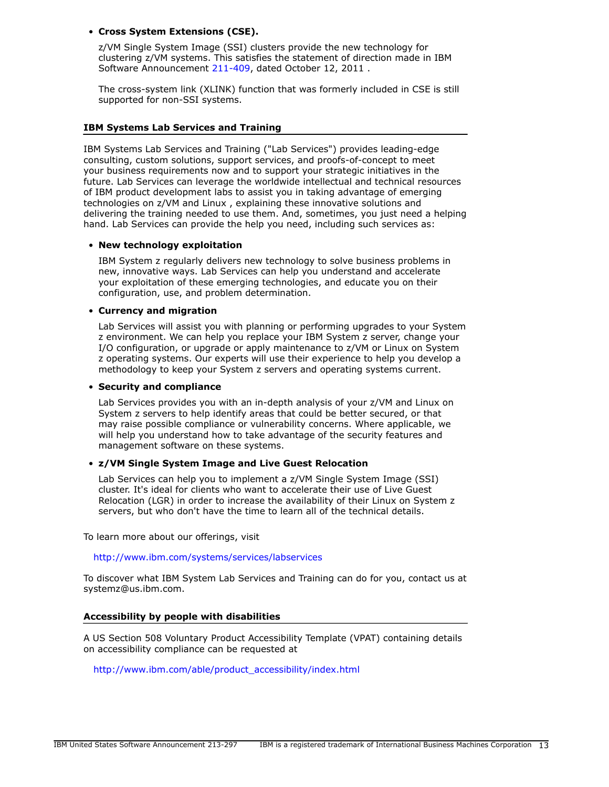# • **Cross System Extensions (CSE).**

z/VM Single System Image (SSI) clusters provide the new technology for clustering z/VM systems. This satisfies the statement of direction made in IBM Software Announcement [211-409,](http://www.ibm.com/common/ssi/cgi-bin/ssialias?infotype=an&subtype=ca&appname=gpateam&supplier=897&letternum=ENUS211-409) dated October 12, 2011 .

The cross-system link (XLINK) function that was formerly included in CSE is still supported for non-SSI systems.

#### **IBM Systems Lab Services and Training**

IBM Systems Lab Services and Training ("Lab Services") provides leading-edge consulting, custom solutions, support services, and proofs-of-concept to meet your business requirements now and to support your strategic initiatives in the future. Lab Services can leverage the worldwide intellectual and technical resources of IBM product development labs to assist you in taking advantage of emerging technologies on z/VM and Linux , explaining these innovative solutions and delivering the training needed to use them. And, sometimes, you just need a helping hand. Lab Services can provide the help you need, including such services as:

#### • **New technology exploitation**

IBM System z regularly delivers new technology to solve business problems in new, innovative ways. Lab Services can help you understand and accelerate your exploitation of these emerging technologies, and educate you on their configuration, use, and problem determination.

# • **Currency and migration**

Lab Services will assist you with planning or performing upgrades to your System z environment. We can help you replace your IBM System z server, change your I/O configuration, or upgrade or apply maintenance to z/VM or Linux on System z operating systems. Our experts will use their experience to help you develop a methodology to keep your System z servers and operating systems current.

#### • **Security and compliance**

Lab Services provides you with an in-depth analysis of your z/VM and Linux on System z servers to help identify areas that could be better secured, or that may raise possible compliance or vulnerability concerns. Where applicable, we will help you understand how to take advantage of the security features and management software on these systems.

#### • **z/VM Single System Image and Live Guest Relocation**

Lab Services can help you to implement a z/VM Single System Image (SSI) cluster. It's ideal for clients who want to accelerate their use of Live Guest Relocation (LGR) in order to increase the availability of their Linux on System z servers, but who don't have the time to learn all of the technical details.

To learn more about our offerings, visit

<http://www.ibm.com/systems/services/labservices>

To discover what IBM System Lab Services and Training can do for you, contact us at systemz@us.ibm.com.

#### **Accessibility by people with disabilities**

A US Section 508 Voluntary Product Accessibility Template (VPAT) containing details on accessibility compliance can be requested at

[http://www.ibm.com/able/product\\_accessibility/index.html](http://www.ibm.com/able/product_accessibility/index.html)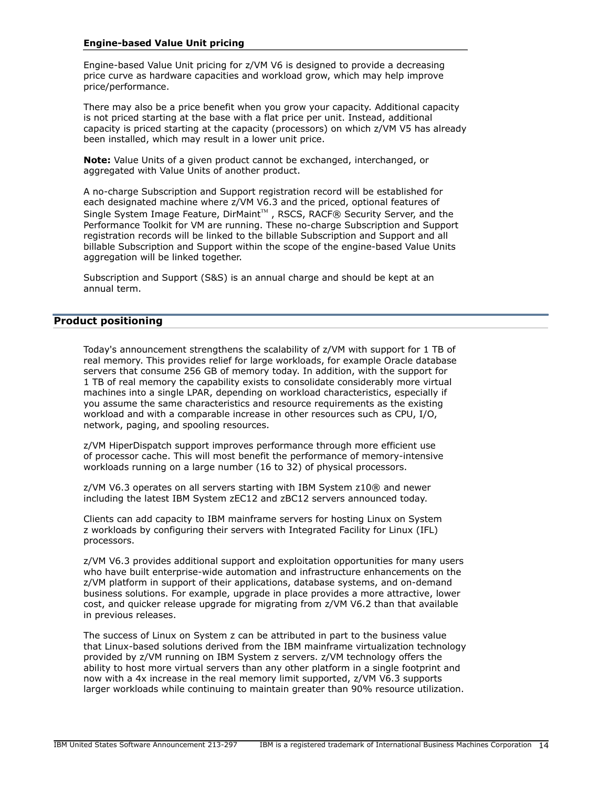# **Engine-based Value Unit pricing**

Engine-based Value Unit pricing for z/VM V6 is designed to provide a decreasing price curve as hardware capacities and workload grow, which may help improve price/performance.

There may also be a price benefit when you grow your capacity. Additional capacity is not priced starting at the base with a flat price per unit. Instead, additional capacity is priced starting at the capacity (processors) on which z/VM V5 has already been installed, which may result in a lower unit price.

**Note:** Value Units of a given product cannot be exchanged, interchanged, or aggregated with Value Units of another product.

A no-charge Subscription and Support registration record will be established for each designated machine where z/VM V6.3 and the priced, optional features of Single System Image Feature, DirMaint $^{\text{\tiny{\textsf{TM}}}}$  , RSCS, RACF® Security Server, and the Performance Toolkit for VM are running. These no-charge Subscription and Support registration records will be linked to the billable Subscription and Support and all billable Subscription and Support within the scope of the engine-based Value Units aggregation will be linked together.

Subscription and Support (S&S) is an annual charge and should be kept at an annual term.

# <span id="page-13-0"></span>**Product positioning**

Today's announcement strengthens the scalability of z/VM with support for 1 TB of real memory. This provides relief for large workloads, for example Oracle database servers that consume 256 GB of memory today. In addition, with the support for 1 TB of real memory the capability exists to consolidate considerably more virtual machines into a single LPAR, depending on workload characteristics, especially if you assume the same characteristics and resource requirements as the existing workload and with a comparable increase in other resources such as CPU, I/O, network, paging, and spooling resources.

z/VM HiperDispatch support improves performance through more efficient use of processor cache. This will most benefit the performance of memory-intensive workloads running on a large number (16 to 32) of physical processors.

z/VM V6.3 operates on all servers starting with IBM System z10® and newer including the latest IBM System zEC12 and zBC12 servers announced today.

Clients can add capacity to IBM mainframe servers for hosting Linux on System z workloads by configuring their servers with Integrated Facility for Linux (IFL) processors.

z/VM V6.3 provides additional support and exploitation opportunities for many users who have built enterprise-wide automation and infrastructure enhancements on the z/VM platform in support of their applications, database systems, and on-demand business solutions. For example, upgrade in place provides a more attractive, lower cost, and quicker release upgrade for migrating from z/VM V6.2 than that available in previous releases.

The success of Linux on System z can be attributed in part to the business value that Linux-based solutions derived from the IBM mainframe virtualization technology provided by z/VM running on IBM System z servers. z/VM technology offers the ability to host more virtual servers than any other platform in a single footprint and now with a 4x increase in the real memory limit supported, z/VM V6.3 supports larger workloads while continuing to maintain greater than 90% resource utilization.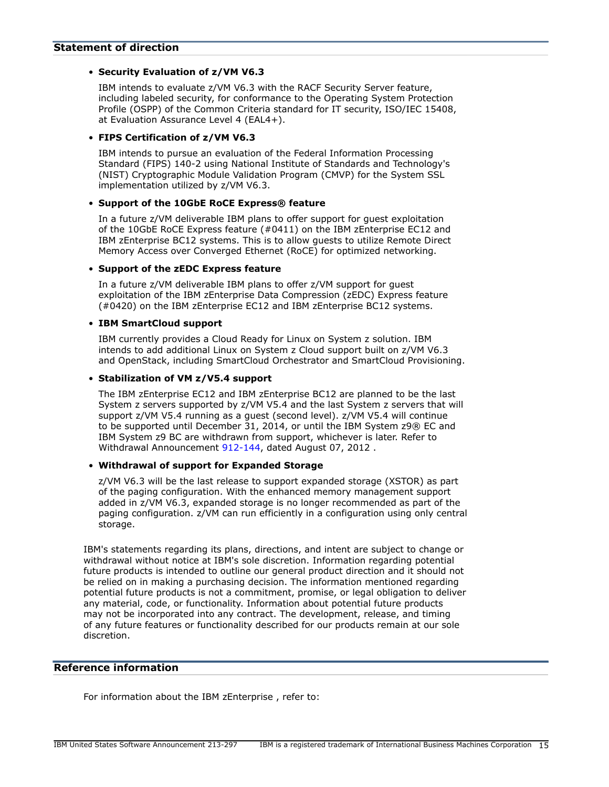#### <span id="page-14-0"></span>**Statement of direction**

# • **Security Evaluation of z/VM V6.3**

IBM intends to evaluate z/VM V6.3 with the RACF Security Server feature, including labeled security, for conformance to the Operating System Protection Profile (OSPP) of the Common Criteria standard for IT security, ISO/IEC 15408, at Evaluation Assurance Level 4 (EAL4+).

# • **FIPS Certification of z/VM V6.3**

IBM intends to pursue an evaluation of the Federal Information Processing Standard (FIPS) 140-2 using National Institute of Standards and Technology's (NIST) Cryptographic Module Validation Program (CMVP) for the System SSL implementation utilized by z/VM V6.3.

# • **Support of the 10GbE RoCE Express® feature**

In a future z/VM deliverable IBM plans to offer support for guest exploitation of the 10GbE RoCE Express feature (#0411) on the IBM zEnterprise EC12 and IBM zEnterprise BC12 systems. This is to allow guests to utilize Remote Direct Memory Access over Converged Ethernet (RoCE) for optimized networking.

# • **Support of the zEDC Express feature**

In a future z/VM deliverable IBM plans to offer z/VM support for guest exploitation of the IBM zEnterprise Data Compression (zEDC) Express feature (#0420) on the IBM zEnterprise EC12 and IBM zEnterprise BC12 systems.

# • **IBM SmartCloud support**

IBM currently provides a Cloud Ready for Linux on System z solution. IBM intends to add additional Linux on System z Cloud support built on z/VM V6.3 and OpenStack, including SmartCloud Orchestrator and SmartCloud Provisioning.

# • **Stabilization of VM z/V5.4 support**

The IBM zEnterprise EC12 and IBM zEnterprise BC12 are planned to be the last System z servers supported by z/VM V5.4 and the last System z servers that will support z/VM V5.4 running as a guest (second level). z/VM V5.4 will continue to be supported until December 31, 2014, or until the IBM System z9® EC and IBM System z9 BC are withdrawn from support, whichever is later. Refer to Withdrawal Announcement [912-144,](http://www.ibm.com/common/ssi/cgi-bin/ssialias?infotype=an&subtype=ca&appname=gpateam&supplier=897&letternum=ENUS912-144) dated August 07, 2012 .

# • **Withdrawal of support for Expanded Storage**

z/VM V6.3 will be the last release to support expanded storage (XSTOR) as part of the paging configuration. With the enhanced memory management support added in z/VM V6.3, expanded storage is no longer recommended as part of the paging configuration. z/VM can run efficiently in a configuration using only central storage.

IBM's statements regarding its plans, directions, and intent are subject to change or withdrawal without notice at IBM's sole discretion. Information regarding potential future products is intended to outline our general product direction and it should not be relied on in making a purchasing decision. The information mentioned regarding potential future products is not a commitment, promise, or legal obligation to deliver any material, code, or functionality. Information about potential future products may not be incorporated into any contract. The development, release, and timing of any future features or functionality described for our products remain at our sole discretion.

# **Reference information**

For information about the IBM zEnterprise , refer to: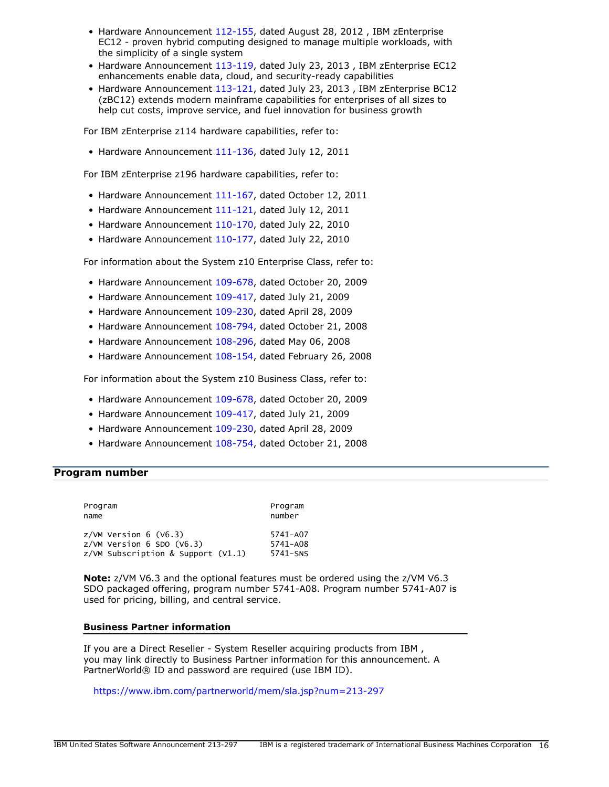- Hardware Announcement [112-155,](http://www.ibm.com/common/ssi/cgi-bin/ssialias?infotype=an&subtype=ca&appname=gpateam&supplier=897&letternum=ENUS112-155) dated August 28, 2012 , IBM zEnterprise EC12 - proven hybrid computing designed to manage multiple workloads, with the simplicity of a single system
- Hardware Announcement [113-119,](http://www.ibm.com/common/ssi/cgi-bin/ssialias?infotype=an&subtype=ca&appname=gpateam&supplier=897&letternum=ENUS113-119) dated July 23, 2013 , IBM zEnterprise EC12 enhancements enable data, cloud, and security-ready capabilities
- Hardware Announcement [113-121,](http://www.ibm.com/common/ssi/cgi-bin/ssialias?infotype=an&subtype=ca&appname=gpateam&supplier=897&letternum=ENUS113-121) dated July 23, 2013 , IBM zEnterprise BC12 (zBC12) extends modern mainframe capabilities for enterprises of all sizes to help cut costs, improve service, and fuel innovation for business growth

For IBM zEnterprise z114 hardware capabilities, refer to:

• Hardware Announcement [111-136,](http://www.ibm.com/common/ssi/cgi-bin/ssialias?infotype=an&subtype=ca&appname=gpateam&supplier=897&letternum=ENUS111-136) dated July 12, 2011

For IBM zEnterprise z196 hardware capabilities, refer to:

- Hardware Announcement [111-167,](http://www.ibm.com/common/ssi/cgi-bin/ssialias?infotype=an&subtype=ca&appname=gpateam&supplier=897&letternum=ENUS111-167) dated October 12, 2011
- Hardware Announcement [111-121,](http://www.ibm.com/common/ssi/cgi-bin/ssialias?infotype=an&subtype=ca&appname=gpateam&supplier=897&letternum=ENUS111-121) dated July 12, 2011
- Hardware Announcement [110-170,](http://www.ibm.com/common/ssi/cgi-bin/ssialias?infotype=an&subtype=ca&appname=gpateam&supplier=897&letternum=ENUS110-170) dated July 22, 2010
- Hardware Announcement [110-177,](http://www.ibm.com/common/ssi/cgi-bin/ssialias?infotype=an&subtype=ca&appname=gpateam&supplier=897&letternum=ENUS110-177) dated July 22, 2010

For information about the System z10 Enterprise Class, refer to:

- Hardware Announcement [109-678,](http://www.ibm.com/common/ssi/cgi-bin/ssialias?infotype=an&subtype=ca&appname=gpateam&supplier=897&letternum=ENUS109-678) dated October 20, 2009
- Hardware Announcement [109-417,](http://www.ibm.com/common/ssi/cgi-bin/ssialias?infotype=an&subtype=ca&appname=gpateam&supplier=897&letternum=ENUS109-417) dated July 21, 2009
- Hardware Announcement [109-230,](http://www.ibm.com/common/ssi/cgi-bin/ssialias?infotype=an&subtype=ca&appname=gpateam&supplier=897&letternum=ENUS109-230) dated April 28, 2009
- Hardware Announcement [108-794,](http://www.ibm.com/common/ssi/cgi-bin/ssialias?infotype=an&subtype=ca&appname=gpateam&supplier=897&letternum=ENUS108-794) dated October 21, 2008
- Hardware Announcement [108-296,](http://www.ibm.com/common/ssi/cgi-bin/ssialias?infotype=an&subtype=ca&appname=gpateam&supplier=897&letternum=ENUS108-296) dated May 06, 2008
- Hardware Announcement [108-154,](http://www.ibm.com/common/ssi/cgi-bin/ssialias?infotype=an&subtype=ca&appname=gpateam&supplier=897&letternum=ENUS108-154) dated February 26, 2008

For information about the System z10 Business Class, refer to:

- Hardware Announcement [109-678,](http://www.ibm.com/common/ssi/cgi-bin/ssialias?infotype=an&subtype=ca&appname=gpateam&supplier=897&letternum=ENUS109-678) dated October 20, 2009
- Hardware Announcement [109-417,](http://www.ibm.com/common/ssi/cgi-bin/ssialias?infotype=an&subtype=ca&appname=gpateam&supplier=897&letternum=ENUS109-417) dated July 21, 2009
- Hardware Announcement [109-230,](http://www.ibm.com/common/ssi/cgi-bin/ssialias?infotype=an&subtype=ca&appname=gpateam&supplier=897&letternum=ENUS109-230) dated April 28, 2009
- Hardware Announcement [108-754,](http://www.ibm.com/common/ssi/cgi-bin/ssialias?infotype=an&subtype=ca&appname=gpateam&supplier=897&letternum=ENUS108-754) dated October 21, 2008

#### <span id="page-15-0"></span>**Program number**

| Program<br>name                      | Program<br>number |
|--------------------------------------|-------------------|
| $z/VM$ Version 6 (V6.3)              | 5741-A07          |
| $Z/VM$ Version 6 SDO (V6.3)          | 5741-A08          |
| $z/WM$ Subscription & Support (V1.1) | 5741-SNS          |

**Note:** z/VM V6.3 and the optional features must be ordered using the z/VM V6.3 SDO packaged offering, program number 5741-A08. Program number 5741-A07 is used for pricing, billing, and central service.

#### **Business Partner information**

If you are a Direct Reseller - System Reseller acquiring products from IBM , you may link directly to Business Partner information for this announcement. A PartnerWorld® ID and password are required (use IBM ID).

<https://www.ibm.com/partnerworld/mem/sla.jsp?num=213-297>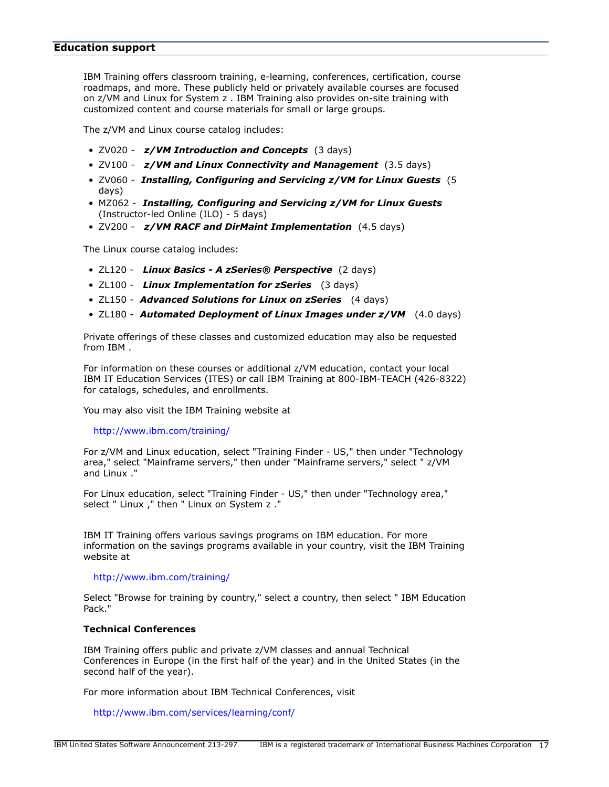#### **Education support**

IBM Training offers classroom training, e-learning, conferences, certification, course roadmaps, and more. These publicly held or privately available courses are focused on z/VM and Linux for System z . IBM Training also provides on-site training with customized content and course materials for small or large groups.

The z/VM and Linux course catalog includes:

- ZV020 *z/VM Introduction and Concepts* (3 days)
- ZV100 *z/VM and Linux Connectivity and Management* (3.5 days)
- ZV060 *Installing, Configuring and Servicing z/VM for Linux Guests* (5 days)
- MZ062 *Installing, Configuring and Servicing z/VM for Linux Guests* (Instructor-led Online (ILO) - 5 days)
- ZV200 *z/VM RACF and DirMaint Implementation* (4.5 days)

The Linux course catalog includes:

- ZL120 *Linux Basics A zSeries® Perspective* (2 days)
- ZL100 *Linux Implementation for zSeries* (3 days)
- ZL150 *Advanced Solutions for Linux on zSeries* (4 days)
- ZL180 *Automated Deployment of Linux Images under z/VM* (4.0 days)

Private offerings of these classes and customized education may also be requested from IBM .

For information on these courses or additional z/VM education, contact your local IBM IT Education Services (ITES) or call IBM Training at 800-IBM-TEACH (426-8322) for catalogs, schedules, and enrollments.

You may also visit the IBM Training website at

<http://www.ibm.com/training/>

For z/VM and Linux education, select "Training Finder - US," then under "Technology area," select "Mainframe servers," then under "Mainframe servers," select " z/VM and Linux ."

For Linux education, select "Training Finder - US," then under "Technology area," select " Linux ," then " Linux on System z ."

IBM IT Training offers various savings programs on IBM education. For more information on the savings programs available in your country, visit the IBM Training website at

#### <http://www.ibm.com/training/>

Select "Browse for training by country," select a country, then select " IBM Education Pack."

#### **Technical Conferences**

IBM Training offers public and private z/VM classes and annual Technical Conferences in Europe (in the first half of the year) and in the United States (in the second half of the year).

For more information about IBM Technical Conferences, visit

<http://www.ibm.com/services/learning/conf/>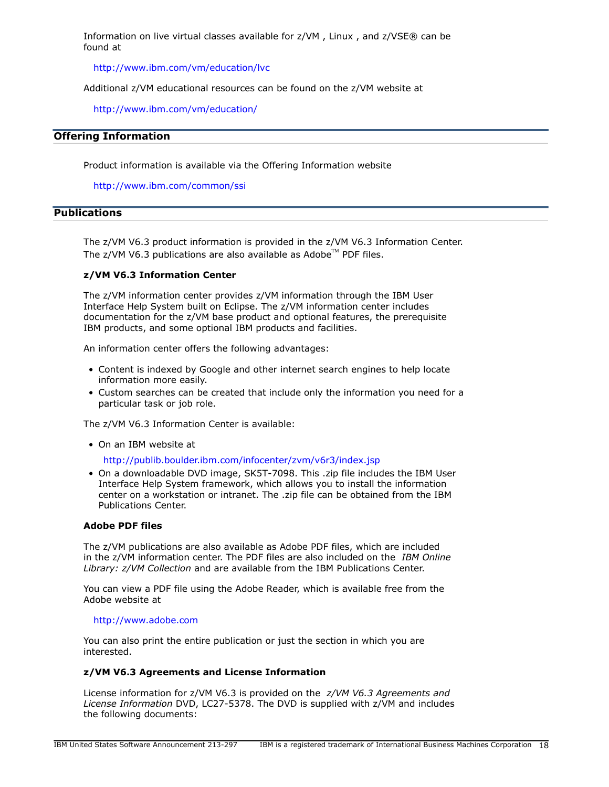Information on live virtual classes available for z/VM , Linux , and z/VSE® can be found at

<http://www.ibm.com/vm/education/lvc>

Additional z/VM educational resources can be found on the z/VM website at

<http://www.ibm.com/vm/education/>

# **Offering Information**

Product information is available via the Offering Information website

<http://www.ibm.com/common/ssi>

# <span id="page-17-0"></span>**Publications**

The z/VM V6.3 product information is provided in the z/VM V6.3 Information Center. The  $z$ /VM V6.3 publications are also available as Adobe<sup>™</sup> PDF files.

#### **z/VM V6.3 Information Center**

The z/VM information center provides z/VM information through the IBM User Interface Help System built on Eclipse. The z/VM information center includes documentation for the z/VM base product and optional features, the prerequisite IBM products, and some optional IBM products and facilities.

An information center offers the following advantages:

- Content is indexed by Google and other internet search engines to help locate information more easily.
- Custom searches can be created that include only the information you need for a particular task or job role.

The z/VM V6.3 Information Center is available:

• On an IBM website at

<http://publib.boulder.ibm.com/infocenter/zvm/v6r3/index.jsp>

• On a downloadable DVD image, SK5T-7098. This .zip file includes the IBM User Interface Help System framework, which allows you to install the information center on a workstation or intranet. The .zip file can be obtained from the IBM Publications Center.

#### **Adobe PDF files**

The z/VM publications are also available as Adobe PDF files, which are included in the z/VM information center. The PDF files are also included on the *IBM Online Library: z/VM Collection* and are available from the IBM Publications Center.

You can view a PDF file using the Adobe Reader, which is available free from the Adobe website at

#### <http://www.adobe.com>

You can also print the entire publication or just the section in which you are interested.

#### **z/VM V6.3 Agreements and License Information**

License information for z/VM V6.3 is provided on the *z/VM V6.3 Agreements and License Information* DVD, LC27-5378. The DVD is supplied with z/VM and includes the following documents: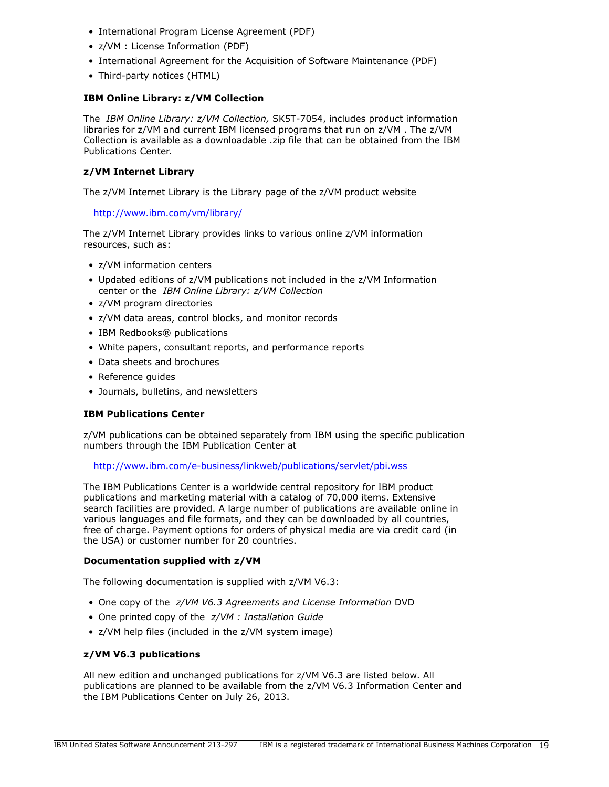- International Program License Agreement (PDF)
- z/VM : License Information (PDF)
- International Agreement for the Acquisition of Software Maintenance (PDF)
- Third-party notices (HTML)

# **IBM Online Library: z/VM Collection**

The *IBM Online Library: z/VM Collection,* SK5T-7054, includes product information libraries for z/VM and current IBM licensed programs that run on z/VM . The z/VM Collection is available as a downloadable .zip file that can be obtained from the IBM Publications Center.

# **z/VM Internet Library**

The z/VM Internet Library is the Library page of the z/VM product website

<http://www.ibm.com/vm/library/>

The z/VM Internet Library provides links to various online z/VM information resources, such as:

- z/VM information centers
- Updated editions of z/VM publications not included in the z/VM Information center or the *IBM Online Library: z/VM Collection*
- z/VM program directories
- z/VM data areas, control blocks, and monitor records
- IBM Redbooks® publications
- White papers, consultant reports, and performance reports
- Data sheets and brochures
- Reference guides
- Journals, bulletins, and newsletters

# **IBM Publications Center**

z/VM publications can be obtained separately from IBM using the specific publication numbers through the IBM Publication Center at

#### <http://www.ibm.com/e-business/linkweb/publications/servlet/pbi.wss>

The IBM Publications Center is a worldwide central repository for IBM product publications and marketing material with a catalog of 70,000 items. Extensive search facilities are provided. A large number of publications are available online in various languages and file formats, and they can be downloaded by all countries, free of charge. Payment options for orders of physical media are via credit card (in the USA) or customer number for 20 countries.

#### **Documentation supplied with z/VM**

The following documentation is supplied with z/VM V6.3:

- One copy of the *z/VM V6.3 Agreements and License Information* DVD
- One printed copy of the *z/VM : Installation Guide*
- z/VM help files (included in the z/VM system image)

# **z/VM V6.3 publications**

All new edition and unchanged publications for z/VM V6.3 are listed below. All publications are planned to be available from the z/VM V6.3 Information Center and the IBM Publications Center on July 26, 2013.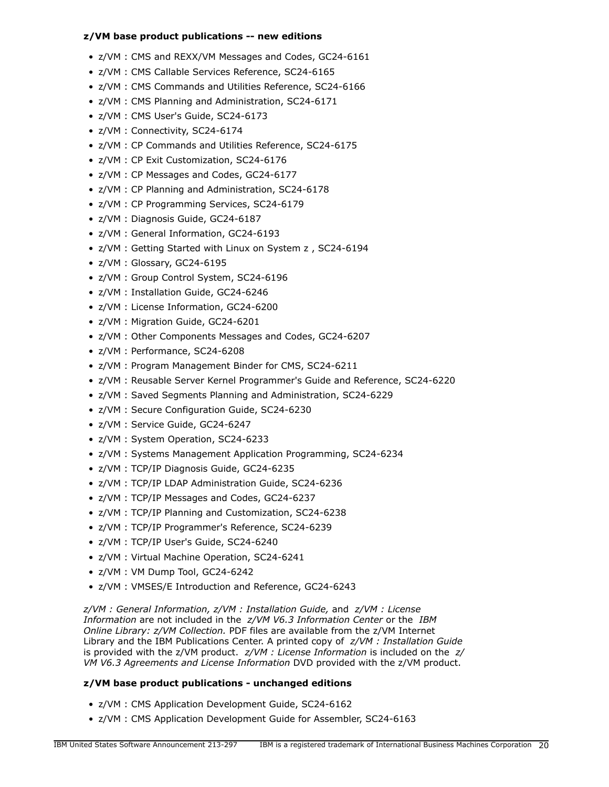# **z/VM base product publications -- new editions**

- z/VM : CMS and REXX/VM Messages and Codes, GC24-6161
- z/VM : CMS Callable Services Reference, SC24-6165
- z/VM : CMS Commands and Utilities Reference, SC24-6166
- z/VM : CMS Planning and Administration, SC24-6171
- z/VM : CMS User's Guide, SC24-6173
- z/VM : Connectivity, SC24-6174
- z/VM : CP Commands and Utilities Reference, SC24-6175
- z/VM : CP Exit Customization, SC24-6176
- z/VM : CP Messages and Codes, GC24-6177
- z/VM : CP Planning and Administration, SC24-6178
- z/VM : CP Programming Services, SC24-6179
- z/VM : Diagnosis Guide, GC24-6187
- z/VM : General Information, GC24-6193
- z/VM : Getting Started with Linux on System z , SC24-6194
- z/VM : Glossary, GC24-6195
- z/VM : Group Control System, SC24-6196
- z/VM : Installation Guide, GC24-6246
- z/VM : License Information, GC24-6200
- z/VM : Migration Guide, GC24-6201
- z/VM : Other Components Messages and Codes, GC24-6207
- z/VM : Performance, SC24-6208
- z/VM : Program Management Binder for CMS, SC24-6211
- z/VM : Reusable Server Kernel Programmer's Guide and Reference, SC24-6220
- z/VM : Saved Segments Planning and Administration, SC24-6229
- z/VM : Secure Configuration Guide, SC24-6230
- z/VM : Service Guide, GC24-6247
- z/VM : System Operation, SC24-6233
- z/VM : Systems Management Application Programming, SC24-6234
- z/VM : TCP/IP Diagnosis Guide, GC24-6235
- z/VM : TCP/IP LDAP Administration Guide, SC24-6236
- z/VM : TCP/IP Messages and Codes, GC24-6237
- z/VM : TCP/IP Planning and Customization, SC24-6238
- z/VM : TCP/IP Programmer's Reference, SC24-6239
- z/VM : TCP/IP User's Guide, SC24-6240
- z/VM : Virtual Machine Operation, SC24-6241
- z/VM : VM Dump Tool, GC24-6242
- z/VM : VMSES/E Introduction and Reference, GC24-6243

*z/VM : General Information, z/VM : Installation Guide,* and *z/VM : License Information* are not included in the *z/VM V6.3 Information Center* or the *IBM Online Library: z/VM Collection.* PDF files are available from the z/VM Internet Library and the IBM Publications Center. A printed copy of *z/VM : Installation Guide* is provided with the z/VM product. *z/VM : License Information* is included on the *z/ VM V6.3 Agreements and License Information* DVD provided with the z/VM product.

# **z/VM base product publications - unchanged editions**

- z/VM : CMS Application Development Guide, SC24-6162
- z/VM : CMS Application Development Guide for Assembler, SC24-6163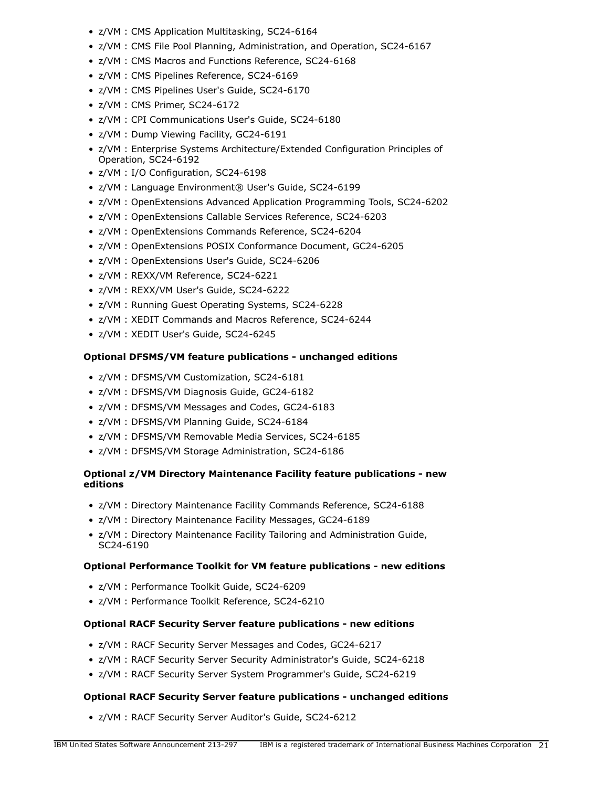- z/VM : CMS Application Multitasking, SC24-6164
- z/VM : CMS File Pool Planning, Administration, and Operation, SC24-6167
- z/VM : CMS Macros and Functions Reference, SC24-6168
- z/VM : CMS Pipelines Reference, SC24-6169
- z/VM : CMS Pipelines User's Guide, SC24-6170
- z/VM : CMS Primer, SC24-6172
- z/VM : CPI Communications User's Guide, SC24-6180
- z/VM : Dump Viewing Facility, GC24-6191
- z/VM : Enterprise Systems Architecture/Extended Configuration Principles of Operation, SC24-6192
- z/VM : I/O Configuration, SC24-6198
- z/VM : Language Environment® User's Guide, SC24-6199
- z/VM : OpenExtensions Advanced Application Programming Tools, SC24-6202
- z/VM : OpenExtensions Callable Services Reference, SC24-6203
- z/VM : OpenExtensions Commands Reference, SC24-6204
- z/VM : OpenExtensions POSIX Conformance Document, GC24-6205
- z/VM : OpenExtensions User's Guide, SC24-6206
- z/VM : REXX/VM Reference, SC24-6221
- z/VM : REXX/VM User's Guide, SC24-6222
- z/VM : Running Guest Operating Systems, SC24-6228
- z/VM : XEDIT Commands and Macros Reference, SC24-6244
- z/VM : XEDIT User's Guide, SC24-6245

# **Optional DFSMS/VM feature publications - unchanged editions**

- z/VM : DFSMS/VM Customization, SC24-6181
- z/VM : DFSMS/VM Diagnosis Guide, GC24-6182
- z/VM : DFSMS/VM Messages and Codes, GC24-6183
- z/VM : DFSMS/VM Planning Guide, SC24-6184
- z/VM : DFSMS/VM Removable Media Services, SC24-6185
- z/VM : DFSMS/VM Storage Administration, SC24-6186

# **Optional z/VM Directory Maintenance Facility feature publications - new editions**

- z/VM : Directory Maintenance Facility Commands Reference, SC24-6188
- z/VM : Directory Maintenance Facility Messages, GC24-6189
- z/VM : Directory Maintenance Facility Tailoring and Administration Guide, SC24-6190

# **Optional Performance Toolkit for VM feature publications - new editions**

- z/VM : Performance Toolkit Guide, SC24-6209
- z/VM : Performance Toolkit Reference, SC24-6210

# **Optional RACF Security Server feature publications - new editions**

- z/VM : RACF Security Server Messages and Codes, GC24-6217
- z/VM : RACF Security Server Security Administrator's Guide, SC24-6218
- z/VM : RACF Security Server System Programmer's Guide, SC24-6219

# **Optional RACF Security Server feature publications - unchanged editions**

• z/VM : RACF Security Server Auditor's Guide, SC24-6212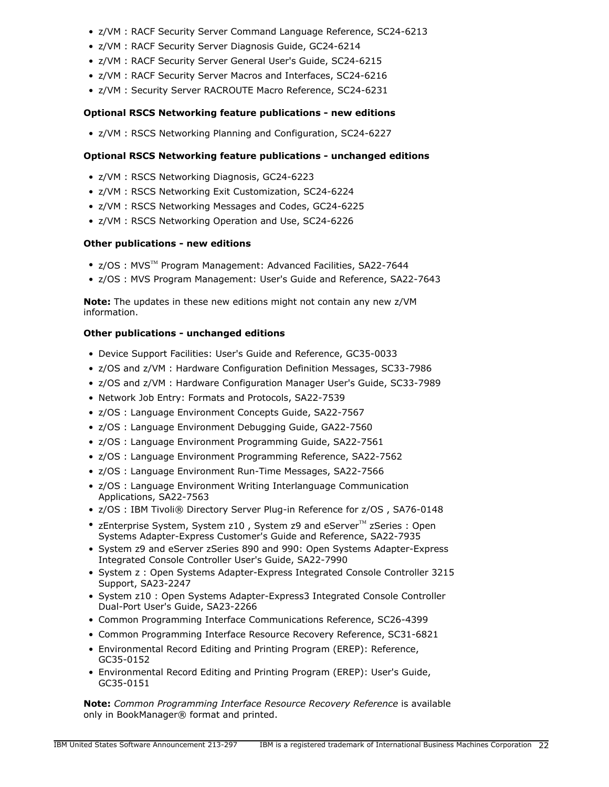- z/VM : RACF Security Server Command Language Reference, SC24-6213
- z/VM : RACF Security Server Diagnosis Guide, GC24-6214
- z/VM : RACF Security Server General User's Guide, SC24-6215
- z/VM : RACF Security Server Macros and Interfaces, SC24-6216
- z/VM : Security Server RACROUTE Macro Reference, SC24-6231

# **Optional RSCS Networking feature publications - new editions**

• z/VM : RSCS Networking Planning and Configuration, SC24-6227

# **Optional RSCS Networking feature publications - unchanged editions**

- z/VM : RSCS Networking Diagnosis, GC24-6223
- z/VM : RSCS Networking Exit Customization, SC24-6224
- z/VM : RSCS Networking Messages and Codes, GC24-6225
- z/VM : RSCS Networking Operation and Use, SC24-6226

# **Other publications - new editions**

- z/OS: MVS<sup>™</sup> Program Management: Advanced Facilities, SA22-7644
- z/OS : MVS Program Management: User's Guide and Reference, SA22-7643

**Note:** The updates in these new editions might not contain any new z/VM information.

# **Other publications - unchanged editions**

- Device Support Facilities: User's Guide and Reference, GC35-0033
- z/OS and z/VM : Hardware Configuration Definition Messages, SC33-7986
- z/OS and z/VM : Hardware Configuration Manager User's Guide, SC33-7989
- Network Job Entry: Formats and Protocols, SA22-7539
- z/OS : Language Environment Concepts Guide, SA22-7567
- z/OS : Language Environment Debugging Guide, GA22-7560
- z/OS : Language Environment Programming Guide, SA22-7561
- z/OS : Language Environment Programming Reference, SA22-7562
- z/OS : Language Environment Run-Time Messages, SA22-7566
- z/OS : Language Environment Writing Interlanguage Communication Applications, SA22-7563
- z/OS : IBM Tivoli® Directory Server Plug-in Reference for z/OS , SA76-0148
- zEnterprise System, System z10, System z9 and eServer $M$  zSeries : Open Systems Adapter-Express Customer's Guide and Reference, SA22-7935
- System z9 and eServer zSeries 890 and 990: Open Systems Adapter-Express Integrated Console Controller User's Guide, SA22-7990
- System z : Open Systems Adapter-Express Integrated Console Controller 3215 Support, SA23-2247
- System z10 : Open Systems Adapter-Express3 Integrated Console Controller Dual-Port User's Guide, SA23-2266
- Common Programming Interface Communications Reference, SC26-4399
- Common Programming Interface Resource Recovery Reference, SC31-6821
- Environmental Record Editing and Printing Program (EREP): Reference, GC35-0152
- Environmental Record Editing and Printing Program (EREP): User's Guide, GC35-0151

**Note:** *Common Programming Interface Resource Recovery Reference* is available only in BookManager® format and printed.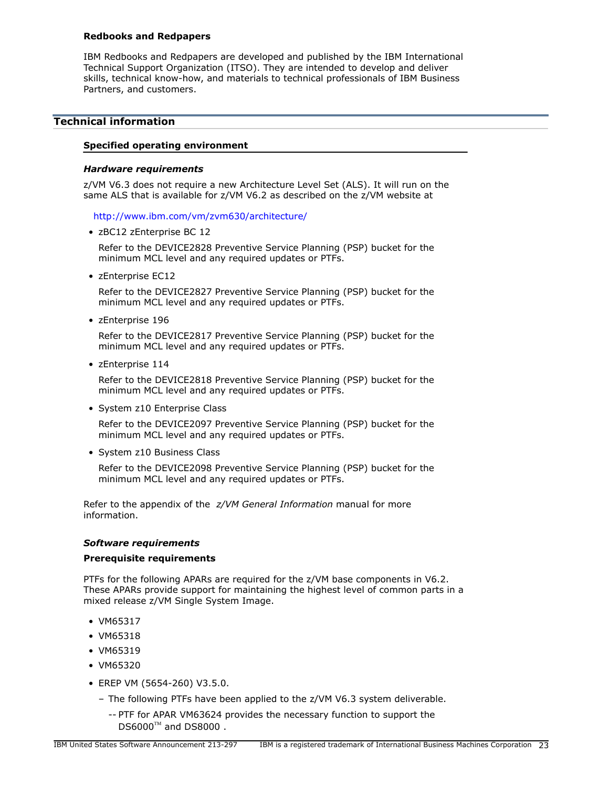# **Redbooks and Redpapers**

IBM Redbooks and Redpapers are developed and published by the IBM International Technical Support Organization (ITSO). They are intended to develop and deliver skills, technical know-how, and materials to technical professionals of IBM Business Partners, and customers.

# <span id="page-22-0"></span>**Technical information**

#### **Specified operating environment**

#### <span id="page-22-1"></span>*Hardware requirements*

z/VM V6.3 does not require a new Architecture Level Set (ALS). It will run on the same ALS that is available for z/VM V6.2 as described on the z/VM website at

<http://www.ibm.com/vm/zvm630/architecture/>

• zBC12 zEnterprise BC 12

Refer to the DEVICE2828 Preventive Service Planning (PSP) bucket for the minimum MCL level and any required updates or PTFs.

• zEnterprise EC12

Refer to the DEVICE2827 Preventive Service Planning (PSP) bucket for the minimum MCL level and any required updates or PTFs.

• zEnterprise 196

Refer to the DEVICE2817 Preventive Service Planning (PSP) bucket for the minimum MCL level and any required updates or PTFs.

• zEnterprise 114

Refer to the DEVICE2818 Preventive Service Planning (PSP) bucket for the minimum MCL level and any required updates or PTFs.

• System z10 Enterprise Class

Refer to the DEVICE2097 Preventive Service Planning (PSP) bucket for the minimum MCL level and any required updates or PTFs.

• System z10 Business Class

Refer to the DEVICE2098 Preventive Service Planning (PSP) bucket for the minimum MCL level and any required updates or PTFs.

Refer to the appendix of the *z/VM General Information* manual for more information.

#### <span id="page-22-2"></span>*Software requirements*

#### **Prerequisite requirements**

PTFs for the following APARs are required for the z/VM base components in V6.2. These APARs provide support for maintaining the highest level of common parts in a mixed release z/VM Single System Image.

- VM65317
- VM65318
- VM65319
- VM65320
- EREP VM (5654-260) V3.5.0.
	- The following PTFs have been applied to the z/VM V6.3 system deliverable.
		- -- PTF for APAR VM63624 provides the necessary function to support the  $DS6000^{TM}$  and DS8000.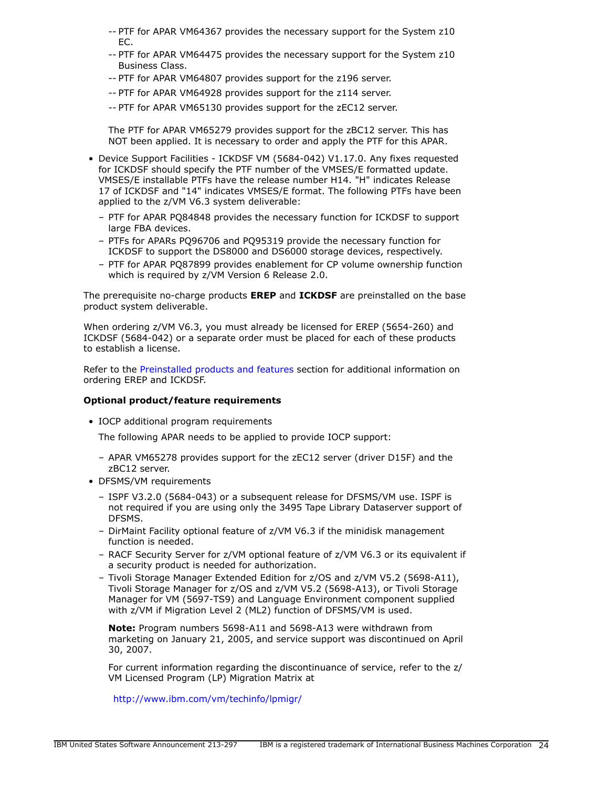- -- PTF for APAR VM64367 provides the necessary support for the System z10 EC.
- -- PTF for APAR VM64475 provides the necessary support for the System z10 Business Class.
- -- PTF for APAR VM64807 provides support for the z196 server.
- -- PTF for APAR VM64928 provides support for the z114 server.
- -- PTF for APAR VM65130 provides support for the zEC12 server.

The PTF for APAR VM65279 provides support for the zBC12 server. This has NOT been applied. It is necessary to order and apply the PTF for this APAR.

- Device Support Facilities ICKDSF VM (5684-042) V1.17.0. Any fixes requested for ICKDSF should specify the PTF number of the VMSES/E formatted update. VMSES/E installable PTFs have the release number H14. "H" indicates Release 17 of ICKDSF and "14" indicates VMSES/E format. The following PTFs have been applied to the z/VM V6.3 system deliverable:
	- PTF for APAR PQ84848 provides the necessary function for ICKDSF to support large FBA devices.
	- PTFs for APARs PQ96706 and PQ95319 provide the necessary function for ICKDSF to support the DS8000 and DS6000 storage devices, respectively.
	- PTF for APAR PQ87899 provides enablement for CP volume ownership function which is required by z/VM Version 6 Release 2.0.

The prerequisite no-charge products **EREP** and **ICKDSF** are preinstalled on the base product system deliverable.

When ordering z/VM V6.3, you must already be licensed for EREP (5654-260) and ICKDSF (5684-042) or a separate order must be placed for each of these products to establish a license.

Refer to the [Preinstalled products and features](#page-40-0) section for additional information on ordering EREP and ICKDSF.

#### **Optional product/feature requirements**

• IOCP additional program requirements

The following APAR needs to be applied to provide IOCP support:

- APAR VM65278 provides support for the zEC12 server (driver D15F) and the zBC12 server.
- DFSMS/VM requirements
	- ISPF V3.2.0 (5684-043) or a subsequent release for DFSMS/VM use. ISPF is not required if you are using only the 3495 Tape Library Dataserver support of DFSMS.
	- DirMaint Facility optional feature of z/VM V6.3 if the minidisk management function is needed.
	- RACF Security Server for z/VM optional feature of z/VM V6.3 or its equivalent if a security product is needed for authorization.
	- Tivoli Storage Manager Extended Edition for z/OS and z/VM V5.2 (5698-A11), Tivoli Storage Manager for z/OS and z/VM V5.2 (5698-A13), or Tivoli Storage Manager for VM (5697-TS9) and Language Environment component supplied with z/VM if Migration Level 2 (ML2) function of DFSMS/VM is used.

**Note:** Program numbers 5698-A11 and 5698-A13 were withdrawn from marketing on January 21, 2005, and service support was discontinued on April 30, 2007.

For current information regarding the discontinuance of service, refer to the z/ VM Licensed Program (LP) Migration Matrix at

<http://www.ibm.com/vm/techinfo/lpmigr/>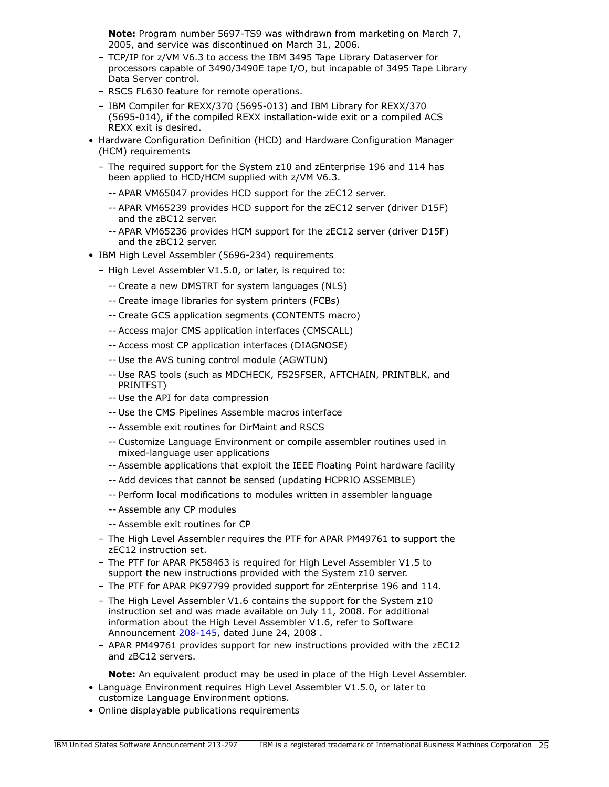**Note:** Program number 5697-TS9 was withdrawn from marketing on March 7, 2005, and service was discontinued on March 31, 2006.

- TCP/IP for z/VM V6.3 to access the IBM 3495 Tape Library Dataserver for processors capable of 3490/3490E tape I/O, but incapable of 3495 Tape Library Data Server control.
- RSCS FL630 feature for remote operations.
- IBM Compiler for REXX/370 (5695-013) and IBM Library for REXX/370 (5695-014), if the compiled REXX installation-wide exit or a compiled ACS REXX exit is desired.
- Hardware Configuration Definition (HCD) and Hardware Configuration Manager (HCM) requirements
	- The required support for the System z10 and zEnterprise 196 and 114 has been applied to HCD/HCM supplied with z/VM V6.3.
		- -- APAR VM65047 provides HCD support for the zEC12 server.
		- -- APAR VM65239 provides HCD support for the zEC12 server (driver D15F) and the zBC12 server.
		- -- APAR VM65236 provides HCM support for the zEC12 server (driver D15F) and the zBC12 server.
- IBM High Level Assembler (5696-234) requirements
	- High Level Assembler V1.5.0, or later, is required to:
		- -- Create a new DMSTRT for system languages (NLS)
		- -- Create image libraries for system printers (FCBs)
		- -- Create GCS application segments (CONTENTS macro)
		- -- Access major CMS application interfaces (CMSCALL)
		- -- Access most CP application interfaces (DIAGNOSE)
		- -- Use the AVS tuning control module (AGWTUN)
		- -- Use RAS tools (such as MDCHECK, FS2SFSER, AFTCHAIN, PRINTBLK, and PRINTFST)
		- -- Use the API for data compression
		- -- Use the CMS Pipelines Assemble macros interface
		- -- Assemble exit routines for DirMaint and RSCS
		- -- Customize Language Environment or compile assembler routines used in mixed-language user applications
		- -- Assemble applications that exploit the IEEE Floating Point hardware facility
		- -- Add devices that cannot be sensed (updating HCPRIO ASSEMBLE)
		- -- Perform local modifications to modules written in assembler language
		- -- Assemble any CP modules
		- -- Assemble exit routines for CP
	- The High Level Assembler requires the PTF for APAR PM49761 to support the zEC12 instruction set.
	- The PTF for APAR PK58463 is required for High Level Assembler V1.5 to support the new instructions provided with the System z10 server.
	- The PTF for APAR PK97799 provided support for zEnterprise 196 and 114.
	- The High Level Assembler V1.6 contains the support for the System z10 instruction set and was made available on July 11, 2008. For additional information about the High Level Assembler V1.6, refer to Software Announcement [208-145](http://www.ibm.com/common/ssi/cgi-bin/ssialias?infotype=an&subtype=ca&appname=gpateam&supplier=897&letternum=ENUS208-145), dated June 24, 2008.
	- APAR PM49761 provides support for new instructions provided with the zEC12 and zBC12 servers.

**Note:** An equivalent product may be used in place of the High Level Assembler.

- Language Environment requires High Level Assembler V1.5.0, or later to customize Language Environment options.
- Online displayable publications requirements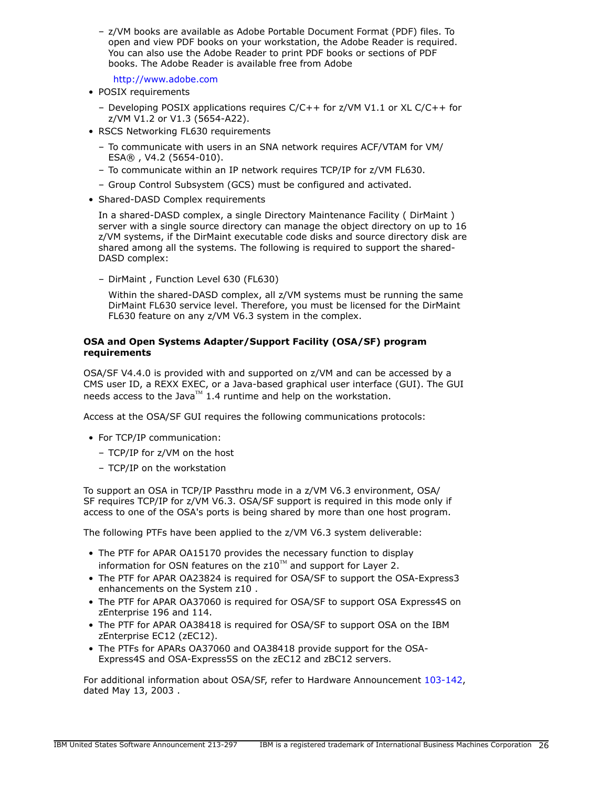– z/VM books are available as Adobe Portable Document Format (PDF) files. To open and view PDF books on your workstation, the Adobe Reader is required. You can also use the Adobe Reader to print PDF books or sections of PDF books. The Adobe Reader is available free from Adobe

<http://www.adobe.com>

- POSIX requirements
	- Developing POSIX applications requires C/C++ for z/VM V1.1 or XL C/C++ for z/VM V1.2 or V1.3 (5654-A22).
- RSCS Networking FL630 requirements
	- To communicate with users in an SNA network requires ACF/VTAM for VM/ ESA® , V4.2 (5654-010).
	- To communicate within an IP network requires TCP/IP for z/VM FL630.
	- Group Control Subsystem (GCS) must be configured and activated.
- Shared-DASD Complex requirements

In a shared-DASD complex, a single Directory Maintenance Facility ( DirMaint ) server with a single source directory can manage the object directory on up to 16 z/VM systems, if the DirMaint executable code disks and source directory disk are shared among all the systems. The following is required to support the shared-DASD complex:

– DirMaint , Function Level 630 (FL630)

Within the shared-DASD complex, all z/VM systems must be running the same DirMaint FL630 service level. Therefore, you must be licensed for the DirMaint FL630 feature on any z/VM V6.3 system in the complex.

# **OSA and Open Systems Adapter/Support Facility (OSA/SF) program requirements**

OSA/SF V4.4.0 is provided with and supported on z/VM and can be accessed by a CMS user ID, a REXX EXEC, or a Java-based graphical user interface (GUI). The GUI needs access to the Java<sup>TM</sup> 1.4 runtime and help on the workstation.

Access at the OSA/SF GUI requires the following communications protocols:

- For TCP/IP communication:
	- TCP/IP for z/VM on the host
	- TCP/IP on the workstation

To support an OSA in TCP/IP Passthru mode in a z/VM V6.3 environment, OSA/ SF requires TCP/IP for z/VM V6.3. OSA/SF support is required in this mode only if access to one of the OSA's ports is being shared by more than one host program.

The following PTFs have been applied to the z/VM V6.3 system deliverable:

- The PTF for APAR OA15170 provides the necessary function to display information for OSN features on the  $z10^{TM}$  and support for Layer 2.
- The PTF for APAR OA23824 is required for OSA/SF to support the OSA-Express3 enhancements on the System z10 .
- The PTF for APAR OA37060 is required for OSA/SF to support OSA Express4S on zEnterprise 196 and 114.
- The PTF for APAR OA38418 is required for OSA/SF to support OSA on the IBM zEnterprise EC12 (zEC12).
- The PTFs for APARs OA37060 and OA38418 provide support for the OSA-Express4S and OSA-Express5S on the zEC12 and zBC12 servers.

For additional information about OSA/SF, refer to Hardware Announcement [103-142](http://www.ibm.com/common/ssi/cgi-bin/ssialias?infotype=an&subtype=ca&appname=gpateam&supplier=897&letternum=ENUS103-142), dated May 13, 2003 .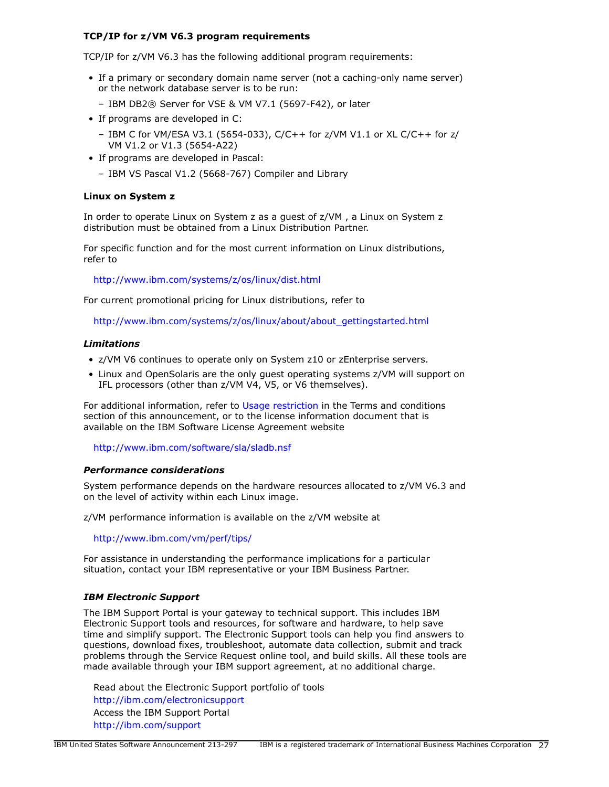# **TCP/IP for z/VM V6.3 program requirements**

TCP/IP for z/VM V6.3 has the following additional program requirements:

- If a primary or secondary domain name server (not a caching-only name server) or the network database server is to be run:
	- IBM DB2® Server for VSE & VM V7.1 (5697-F42), or later
- If programs are developed in C:
	- IBM C for VM/ESA V3.1 (5654-033), C/C++ for z/VM V1.1 or XL C/C++ for z/ VM V1.2 or V1.3 (5654-A22)
- If programs are developed in Pascal:
	- IBM VS Pascal V1.2 (5668-767) Compiler and Library

#### **Linux on System z**

In order to operate Linux on System z as a guest of z/VM , a Linux on System z distribution must be obtained from a Linux Distribution Partner.

For specific function and for the most current information on Linux distributions, refer to

<http://www.ibm.com/systems/z/os/linux/dist.html>

For current promotional pricing for Linux distributions, refer to

[http://www.ibm.com/systems/z/os/linux/about/about\\_gettingstarted.html](http://www.ibm.com/systems/z/os/linux/about/about_gettingstarted.html)

#### *Limitations*

- z/VM V6 continues to operate only on System z10 or zEnterprise servers.
- Linux and OpenSolaris are the only guest operating systems z/VM will support on IFL processors (other than z/VM V4, V5, or V6 themselves).

For additional information, refer to [Usage restriction](#page-42-0) in the Terms and conditions section of this announcement, or to the license information document that is available on the IBM Software License Agreement website

<http://www.ibm.com/software/sla/sladb.nsf>

# *Performance considerations*

System performance depends on the hardware resources allocated to z/VM V6.3 and on the level of activity within each Linux image.

z/VM performance information is available on the z/VM website at

<http://www.ibm.com/vm/perf/tips/>

For assistance in understanding the performance implications for a particular situation, contact your IBM representative or your IBM Business Partner.

#### *IBM Electronic Support*

The IBM Support Portal is your gateway to technical support. This includes IBM Electronic Support tools and resources, for software and hardware, to help save time and simplify support. The Electronic Support tools can help you find answers to questions, download fixes, troubleshoot, automate data collection, submit and track problems through the Service Request online tool, and build skills. All these tools are made available through your IBM support agreement, at no additional charge.

Read about the Electronic Support portfolio of tools <http://ibm.com/electronicsupport> Access the IBM Support Portal <http://ibm.com/support>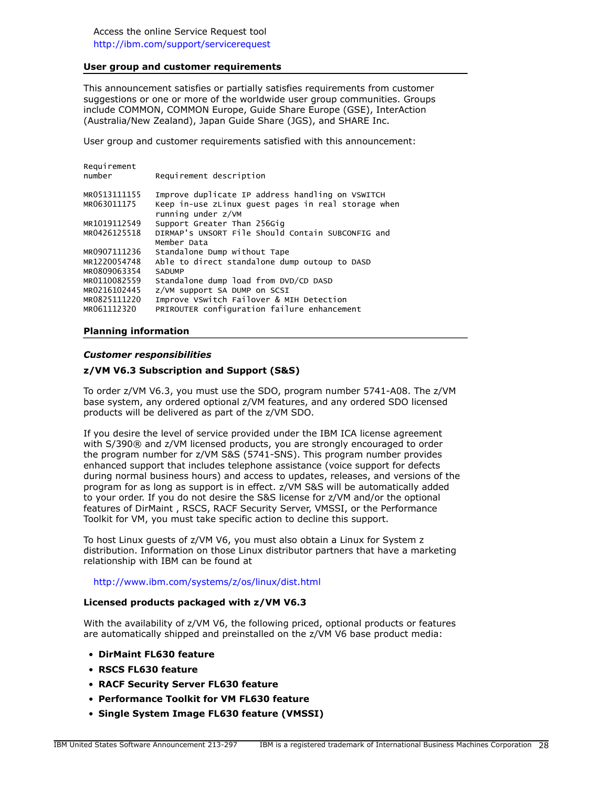#### **User group and customer requirements**

This announcement satisfies or partially satisfies requirements from customer suggestions or one or more of the worldwide user group communities. Groups include COMMON, COMMON Europe, Guide Share Europe (GSE), InterAction (Australia/New Zealand), Japan Guide Share (JGS), and SHARE Inc.

User group and customer requirements satisfied with this announcement:

| number       | Requirement description                                                   |
|--------------|---------------------------------------------------------------------------|
| MR0513111155 | Improve duplicate IP address handling on VSWITCH                          |
| MR063011175  | Keep in-use zLinux quest pages in real storage when<br>running under z/VM |
| MR1019112549 | Support Greater Than 256Gig                                               |
| MR0426125518 | DIRMAP's UNSORT File Should Contain SUBCONFIG and<br>Member Data          |
| MR0907111236 | Standalone Dump without Tape                                              |
| MR1220054748 | Able to direct standalone dump outoup to DASD                             |
| MR0809063354 | <b>SADUMP</b>                                                             |
| MR0110082559 | Standalone dump load from DVD/CD DASD                                     |
| MR0216102445 | Z/VM support SA DUMP on SCSI                                              |
| MR0825111220 | Improve VSwitch Failover & MIH Detection                                  |
| MR061112320  | PRIROUTER configuration failure enhancement                               |

#### **Planning information**

Requirement

#### *Customer responsibilities*

#### **z/VM V6.3 Subscription and Support (S&S)**

To order z/VM V6.3, you must use the SDO, program number 5741-A08. The z/VM base system, any ordered optional z/VM features, and any ordered SDO licensed products will be delivered as part of the z/VM SDO.

If you desire the level of service provided under the IBM ICA license agreement with S/390® and z/VM licensed products, you are strongly encouraged to order the program number for z/VM S&S (5741-SNS). This program number provides enhanced support that includes telephone assistance (voice support for defects during normal business hours) and access to updates, releases, and versions of the program for as long as support is in effect. z/VM S&S will be automatically added to your order. If you do not desire the S&S license for z/VM and/or the optional features of DirMaint , RSCS, RACF Security Server, VMSSI, or the Performance Toolkit for VM, you must take specific action to decline this support.

To host Linux guests of z/VM V6, you must also obtain a Linux for System z distribution. Information on those Linux distributor partners that have a marketing relationship with IBM can be found at

#### <http://www.ibm.com/systems/z/os/linux/dist.html>

#### **Licensed products packaged with z/VM V6.3**

With the availability of z/VM V6, the following priced, optional products or features are automatically shipped and preinstalled on the z/VM V6 base product media:

- **DirMaint FL630 feature**
- **RSCS FL630 feature**
- **RACF Security Server FL630 feature**
- **Performance Toolkit for VM FL630 feature**
- **Single System Image FL630 feature (VMSSI)**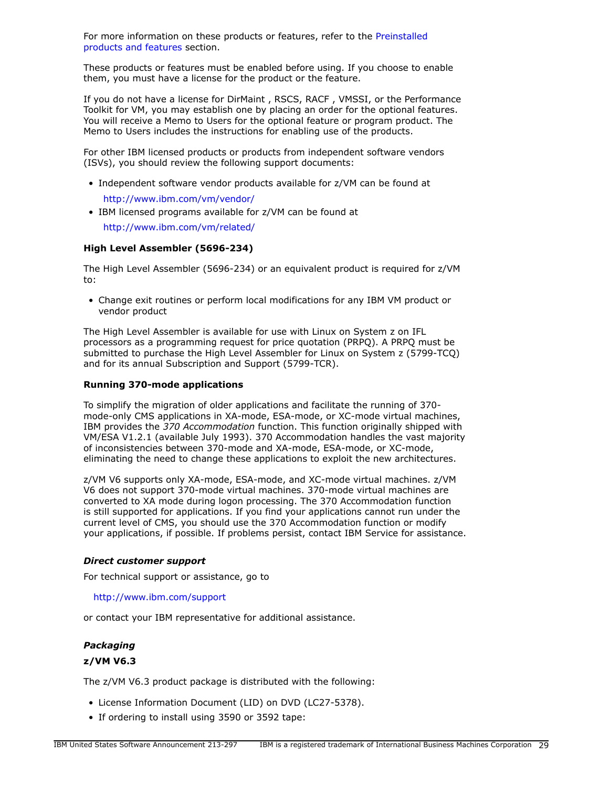For more information on these products or features, refer to the [Preinstalled](#page-40-0) [products and features](#page-40-0) section.

These products or features must be enabled before using. If you choose to enable them, you must have a license for the product or the feature.

If you do not have a license for DirMaint , RSCS, RACF , VMSSI, or the Performance Toolkit for VM, you may establish one by placing an order for the optional features. You will receive a Memo to Users for the optional feature or program product. The Memo to Users includes the instructions for enabling use of the products.

For other IBM licensed products or products from independent software vendors (ISVs), you should review the following support documents:

- Independent software vendor products available for z/VM can be found at <http://www.ibm.com/vm/vendor/>
- IBM licensed programs available for z/VM can be found at <http://www.ibm.com/vm/related/>

**High Level Assembler (5696-234)**

The High Level Assembler (5696-234) or an equivalent product is required for z/VM to:

• Change exit routines or perform local modifications for any IBM VM product or vendor product

The High Level Assembler is available for use with Linux on System z on IFL processors as a programming request for price quotation (PRPQ). A PRPQ must be submitted to purchase the High Level Assembler for Linux on System z (5799-TCQ) and for its annual Subscription and Support (5799-TCR).

# **Running 370-mode applications**

To simplify the migration of older applications and facilitate the running of 370 mode-only CMS applications in XA-mode, ESA-mode, or XC-mode virtual machines, IBM provides the *370 Accommodation* function. This function originally shipped with VM/ESA V1.2.1 (available July 1993). 370 Accommodation handles the vast majority of inconsistencies between 370-mode and XA-mode, ESA-mode, or XC-mode, eliminating the need to change these applications to exploit the new architectures.

z/VM V6 supports only XA-mode, ESA-mode, and XC-mode virtual machines. z/VM V6 does not support 370-mode virtual machines. 370-mode virtual machines are converted to XA mode during logon processing. The 370 Accommodation function is still supported for applications. If you find your applications cannot run under the current level of CMS, you should use the 370 Accommodation function or modify your applications, if possible. If problems persist, contact IBM Service for assistance.

# *Direct customer support*

For technical support or assistance, go to

<http://www.ibm.com/support>

or contact your IBM representative for additional assistance.

# <span id="page-28-0"></span>*Packaging*

# **z/VM V6.3**

The z/VM V6.3 product package is distributed with the following:

- License Information Document (LID) on DVD (LC27-5378).
- If ordering to install using 3590 or 3592 tape: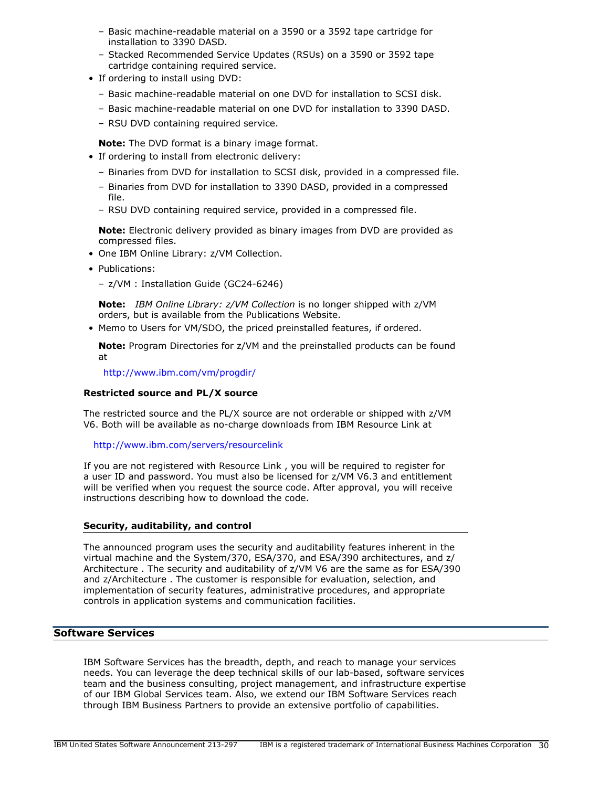- Basic machine-readable material on a 3590 or a 3592 tape cartridge for installation to 3390 DASD.
- Stacked Recommended Service Updates (RSUs) on a 3590 or 3592 tape cartridge containing required service.
- If ordering to install using DVD:
	- Basic machine-readable material on one DVD for installation to SCSI disk.
	- Basic machine-readable material on one DVD for installation to 3390 DASD.
	- RSU DVD containing required service.

**Note:** The DVD format is a binary image format.

- If ordering to install from electronic delivery:
	- Binaries from DVD for installation to SCSI disk, provided in a compressed file.
	- Binaries from DVD for installation to 3390 DASD, provided in a compressed file.
	- RSU DVD containing required service, provided in a compressed file.

**Note:** Electronic delivery provided as binary images from DVD are provided as compressed files.

- One IBM Online Library: z/VM Collection.
- Publications:

– z/VM : Installation Guide (GC24-6246)

**Note:** *IBM Online Library: z/VM Collection* is no longer shipped with z/VM orders, but is available from the Publications Website.

• Memo to Users for VM/SDO, the priced preinstalled features, if ordered.

**Note:** Program Directories for z/VM and the preinstalled products can be found at

<http://www.ibm.com/vm/progdir/>

# **Restricted source and PL/X source**

The restricted source and the PL/X source are not orderable or shipped with z/VM V6. Both will be available as no-charge downloads from IBM Resource Link at

<http://www.ibm.com/servers/resourcelink>

If you are not registered with Resource Link , you will be required to register for a user ID and password. You must also be licensed for z/VM V6.3 and entitlement will be verified when you request the source code. After approval, you will receive instructions describing how to download the code.

# **Security, auditability, and control**

The announced program uses the security and auditability features inherent in the virtual machine and the System/370, ESA/370, and ESA/390 architectures, and z/ Architecture . The security and auditability of z/VM V6 are the same as for ESA/390 and z/Architecture . The customer is responsible for evaluation, selection, and implementation of security features, administrative procedures, and appropriate controls in application systems and communication facilities.

# **Software Services**

IBM Software Services has the breadth, depth, and reach to manage your services needs. You can leverage the deep technical skills of our lab-based, software services team and the business consulting, project management, and infrastructure expertise of our IBM Global Services team. Also, we extend our IBM Software Services reach through IBM Business Partners to provide an extensive portfolio of capabilities.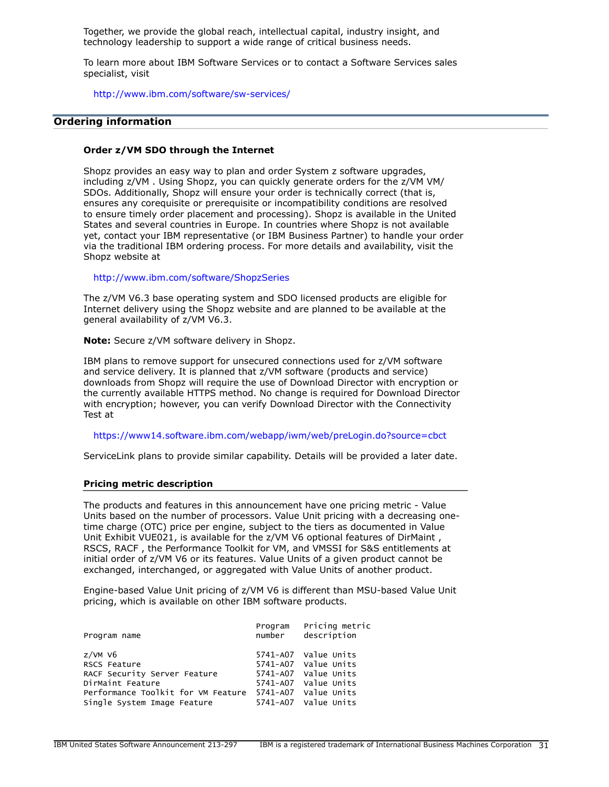Together, we provide the global reach, intellectual capital, industry insight, and technology leadership to support a wide range of critical business needs.

To learn more about IBM Software Services or to contact a Software Services sales specialist, visit

<http://www.ibm.com/software/sw-services/>

#### <span id="page-30-0"></span>**Ordering information**

# **Order z/VM SDO through the Internet**

Shopz provides an easy way to plan and order System z software upgrades, including z/VM . Using Shopz, you can quickly generate orders for the z/VM VM/ SDOs. Additionally, Shopz will ensure your order is technically correct (that is, ensures any corequisite or prerequisite or incompatibility conditions are resolved to ensure timely order placement and processing). Shopz is available in the United States and several countries in Europe. In countries where Shopz is not available yet, contact your IBM representative (or IBM Business Partner) to handle your order via the traditional IBM ordering process. For more details and availability, visit the Shopz website at

#### <http://www.ibm.com/software/ShopzSeries>

The z/VM V6.3 base operating system and SDO licensed products are eligible for Internet delivery using the Shopz website and are planned to be available at the general availability of z/VM V6.3.

**Note:** Secure z/VM software delivery in Shopz.

IBM plans to remove support for unsecured connections used for z/VM software and service delivery. It is planned that z/VM software (products and service) downloads from Shopz will require the use of Download Director with encryption or the currently available HTTPS method. No change is required for Download Director with encryption; however, you can verify Download Director with the Connectivity Test at

<https://www14.software.ibm.com/webapp/iwm/web/preLogin.do?source=cbct>

ServiceLink plans to provide similar capability. Details will be provided a later date.

#### **Pricing metric description**

The products and features in this announcement have one pricing metric - Value Units based on the number of processors. Value Unit pricing with a decreasing onetime charge (OTC) price per engine, subject to the tiers as documented in Value Unit Exhibit VUE021, is available for the z/VM V6 optional features of DirMaint , RSCS, RACF , the Performance Toolkit for VM, and VMSSI for S&S entitlements at initial order of z/VM V6 or its features. Value Units of a given product cannot be exchanged, interchanged, or aggregated with Value Units of another product.

Engine-based Value Unit pricing of z/VM V6 is different than MSU-based Value Unit pricing, which is available on other IBM software products.

| Program name                       | Program<br>number | Pricing metric<br>description |
|------------------------------------|-------------------|-------------------------------|
| $z$ /VM V6                         |                   | 5741-A07 Value Units          |
| RSCS Feature                       |                   | 5741-A07 Value Units          |
| RACF Security Server Feature       |                   | 5741-A07 Value Units          |
| DirMaint Feature                   |                   | 5741-A07 Value Units          |
| Performance Toolkit for VM Feature |                   | 5741-A07 Value Units          |
| Single System Image Feature        |                   | 5741-A07 Value Units          |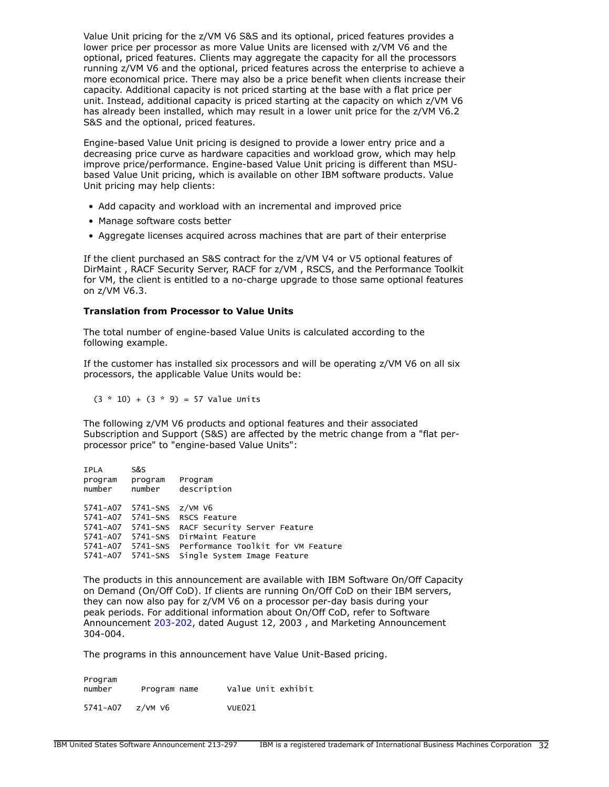Value Unit pricing for the z/VM V6 S&S and its optional, priced features provides a lower price per processor as more Value Units are licensed with z/VM V6 and the optional, priced features. Clients may aggregate the capacity for all the processors running z/VM V6 and the optional, priced features across the enterprise to achieve a more economical price. There may also be a price benefit when clients increase their capacity. Additional capacity is not priced starting at the base with a flat price per unit. Instead, additional capacity is priced starting at the capacity on which z/VM V6 has already been installed, which may result in a lower unit price for the z/VM V6.2 S&S and the optional, priced features.

Engine-based Value Unit pricing is designed to provide a lower entry price and a decreasing price curve as hardware capacities and workload grow, which may help improve price/performance. Engine-based Value Unit pricing is different than MSUbased Value Unit pricing, which is available on other IBM software products. Value Unit pricing may help clients:

- Add capacity and workload with an incremental and improved price
- Manage software costs better
- Aggregate licenses acquired across machines that are part of their enterprise

If the client purchased an S&S contract for the z/VM V4 or V5 optional features of DirMaint , RACF Security Server, RACF for z/VM , RSCS, and the Performance Toolkit for VM, the client is entitled to a no-charge upgrade to those same optional features on z/VM V6.3.

# **Translation from Processor to Value Units**

The total number of engine-based Value Units is calculated according to the following example.

If the customer has installed six processors and will be operating z/VM V6 on all six processors, the applicable Value Units would be:

 $(3 * 10) + (3 * 9) = 57$  Value Units

The following z/VM V6 products and optional features and their associated Subscription and Support (S&S) are affected by the metric change from a "flat perprocessor price" to "engine-based Value Units":

| <b>IPLA</b> | S&S                    |                                    |
|-------------|------------------------|------------------------------------|
| program     | program                | Program                            |
| number      | number                 | description                        |
|             |                        |                                    |
| 5741-A07    | $5741$ -SNS $z$ /VM V6 |                                    |
| 5741-A07    |                        | 5741-SNS RSCS Feature              |
| 5741-A07    | 5741-SNS               | RACF Security Server Feature       |
| 5741-A07    | $5741-SNS$             | DirMaint Feature                   |
| 5741-A07    | 5741-SNS               | Performance Toolkit for VM Feature |
| 5741-A07    | 5741-SNS               | Single System Image Feature        |

The products in this announcement are available with IBM Software On/Off Capacity on Demand (On/Off CoD). If clients are running On/Off CoD on their IBM servers, they can now also pay for z/VM V6 on a processor per-day basis during your peak periods. For additional information about On/Off CoD, refer to Software Announcement [203-202](http://www.ibm.com/common/ssi/cgi-bin/ssialias?infotype=an&subtype=ca&appname=gpateam&supplier=897&letternum=ENUS203-202), dated August 12, 2003 , and Marketing Announcement 304-004.

The programs in this announcement have Value Unit-Based pricing.

| Program<br>number | Program name | Value Unit exhibit |
|-------------------|--------------|--------------------|
| 5741-A07          | $z$ /VM V6   | VUE021             |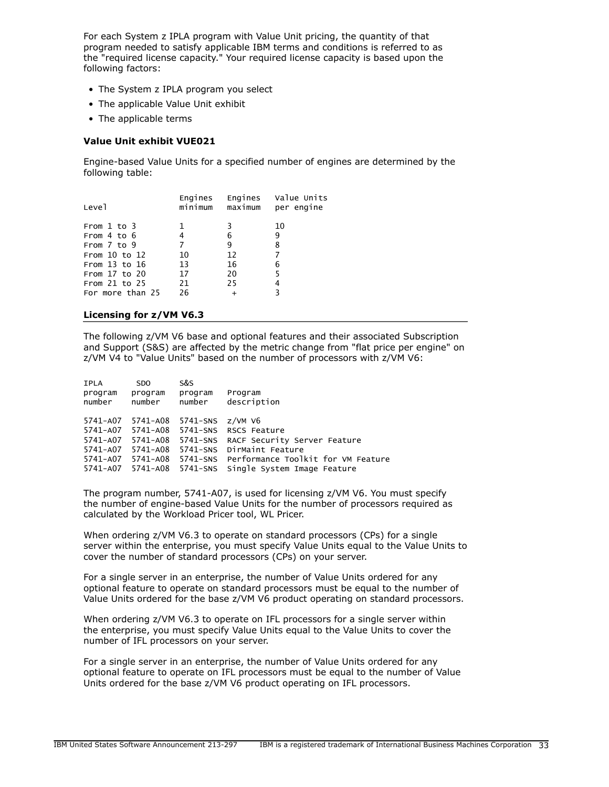For each System z IPLA program with Value Unit pricing, the quantity of that program needed to satisfy applicable IBM terms and conditions is referred to as the "required license capacity." Your required license capacity is based upon the following factors:

- The System z IPLA program you select
- The applicable Value Unit exhibit
- The applicable terms

# **Value Unit exhibit VUE021**

Engine-based Value Units for a specified number of engines are determined by the following table:

| Leve1             | Engines<br>minimum | maximum   | Engines Value Units<br>per engine |
|-------------------|--------------------|-----------|-----------------------------------|
| From $1$ to $3$   |                    | 3         | 10                                |
| From $4$ to $6$   | 4                  | 6         | 9                                 |
| From $7$ to $9$   | 7                  | 9         | 8                                 |
| From $10$ to $12$ | 10                 | 12        | 7                                 |
| From $13$ to $16$ | 13                 | 16        | 6                                 |
| From $17$ to $20$ | 17                 | 20        | 5                                 |
| From $21$ to $25$ | 21                 | 25        | 4                                 |
| For more than 25  | 26                 | $\ddot{}$ | ٩                                 |
|                   |                    |           |                                   |

#### **Licensing for z/VM V6.3**

The following z/VM V6 base and optional features and their associated Subscription and Support (S&S) are affected by the metric change from "flat price per engine" on z/VM V4 to "Value Units" based on the number of processors with z/VM V6:

| <b>IPLA</b>       | SDO.              | S&S                       |                                             |
|-------------------|-------------------|---------------------------|---------------------------------------------|
| program<br>number | program<br>number | program<br>number         | Program<br>description                      |
| 5741-A07          |                   | 5741-A08 5741-SNS z/VM V6 |                                             |
| 5741-A07          | 5741-A08          | $5741 - SNS$              | RSCS Feature                                |
| 5741-A07          | 5741–A08          |                           | 5741-SNS RACF Security Server Feature       |
| 5741-A07          | 5741-A08          | 5741-SNS                  | DirMaint Feature                            |
| 5741-A07          | 5741-A08          |                           | 5741-SNS Performance Toolkit for VM Feature |
| 5741-A07          |                   | 5741-A08    5741-SNS      | Single System Image Feature                 |

The program number, 5741-A07, is used for licensing z/VM V6. You must specify the number of engine-based Value Units for the number of processors required as calculated by the Workload Pricer tool, WL Pricer.

When ordering z/VM V6.3 to operate on standard processors (CPs) for a single server within the enterprise, you must specify Value Units equal to the Value Units to cover the number of standard processors (CPs) on your server.

For a single server in an enterprise, the number of Value Units ordered for any optional feature to operate on standard processors must be equal to the number of Value Units ordered for the base z/VM V6 product operating on standard processors.

When ordering z/VM V6.3 to operate on IFL processors for a single server within the enterprise, you must specify Value Units equal to the Value Units to cover the number of IFL processors on your server.

For a single server in an enterprise, the number of Value Units ordered for any optional feature to operate on IFL processors must be equal to the number of Value Units ordered for the base z/VM V6 product operating on IFL processors.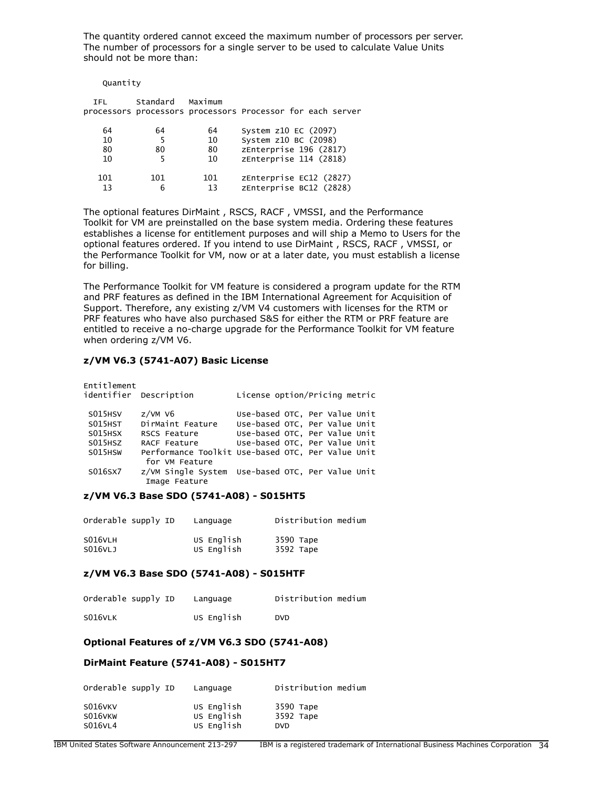The quantity ordered cannot exceed the maximum number of processors per server. The number of processors for a single server to be used to calculate Value Units should not be more than:

| Quantity             |               |                      |                                                                                                  |
|----------------------|---------------|----------------------|--------------------------------------------------------------------------------------------------|
| <b>TFL</b>           | Standard      | Maximum              | processors processors processors Processor for each server                                       |
| 64<br>10<br>80<br>10 | 64<br>5<br>80 | 64<br>10<br>80<br>10 | System z10 EC (2097)<br>System z10 BC (2098)<br>zEnterprise 196 (2817)<br>zEnterprise 114 (2818) |
| 101<br>13            | 101<br>6      | 101<br>13            | zEnterprise EC12 (2827)<br>zEnterprise BC12 (2828)                                               |

The optional features DirMaint , RSCS, RACF , VMSSI, and the Performance Toolkit for VM are preinstalled on the base system media. Ordering these features establishes a license for entitlement purposes and will ship a Memo to Users for the optional features ordered. If you intend to use DirMaint , RSCS, RACF , VMSSI, or the Performance Toolkit for VM, now or at a later date, you must establish a license for billing.

The Performance Toolkit for VM feature is considered a program update for the RTM and PRF features as defined in the IBM International Agreement for Acquisition of Support. Therefore, any existing z/VM V4 customers with licenses for the RTM or PRF features who have also purchased S&S for either the RTM or PRF feature are entitled to receive a no-charge upgrade for the Performance Toolkit for VM feature when ordering z/VM V6.

# **z/VM V6.3 (5741-A07) Basic License**

| Entitlement | identifier Description                                              | License option/Pricing metric |  |
|-------------|---------------------------------------------------------------------|-------------------------------|--|
| S015HSV     | $z$ /VM V $6$                                                       | Use-based OTC, Per Value Unit |  |
| S015HST     | DirMaint Feature                                                    | Use-based OTC, Per Value Unit |  |
| S015HSX     | RSCS Feature                                                        | Use-based OTC, Per Value Unit |  |
| S015HSZ     | RACF Feature                                                        | Use-based OTC, Per Value Unit |  |
| S015HSW     | Performance Toolkit Use-based OTC, Per Value Unit<br>for VM Feature |                               |  |
| S016SX7     | z/VM Single System Use-based OTC, Per Value Unit<br>Image Feature   |                               |  |

#### **z/VM V6.3 Base SDO (5741-A08) - S015HT5**

| Orderable supply ID | Language   | Distribution medium |
|---------------------|------------|---------------------|
| S016VLH             | US English | 3590 Tape           |
| S016VLJ             | US English | 3592 Tape           |

#### **z/VM V6.3 Base SDO (5741-A08) - S015HTF**

| Orderable supply ID | Language   | Distribution medium |
|---------------------|------------|---------------------|
| S016VLK             | US English | <b>DVD</b>          |

#### **Optional Features of z/VM V6.3 SDO (5741-A08)**

#### **DirMaint Feature (5741-A08) - S015HT7**

| Orderable supply ID | Language   | Distribution medium |
|---------------------|------------|---------------------|
| S016VKV             | US English | 3590 Tape           |
| S016VKW             | US English | 3592 Tape           |
| S016VL4             | US English | <b>DVD</b>          |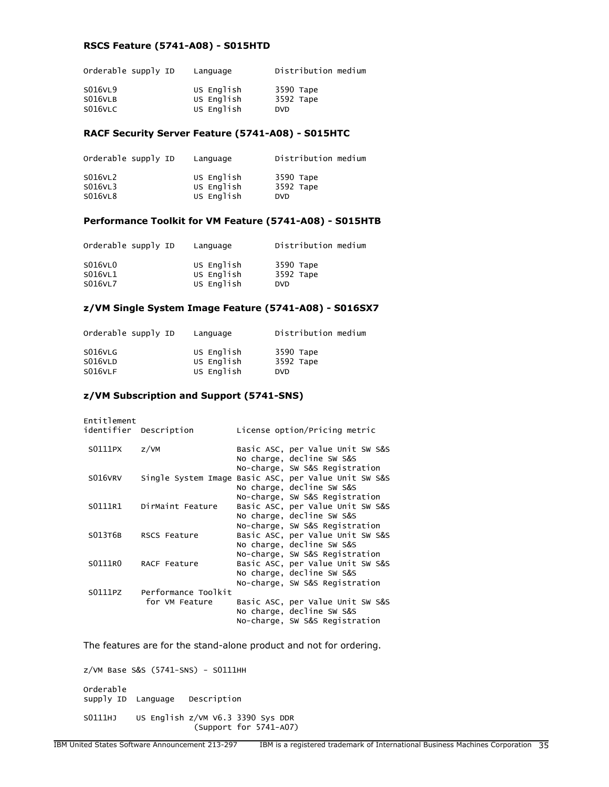# **RSCS Feature (5741-A08) - S015HTD**

| Orderable supply ID           | Language                               | Distribution medium                  |
|-------------------------------|----------------------------------------|--------------------------------------|
| S016VL9<br>S016VLB<br>S016VLC | US English<br>US English<br>US English | 3590 Tape<br>3592 Tape<br><b>DVD</b> |
|                               |                                        |                                      |

#### **RACF Security Server Feature (5741-A08) - S015HTC**

| Orderable supply ID | Language                 | Distribution medium    |
|---------------------|--------------------------|------------------------|
| S016VL2<br>S016VL3  | US English<br>US English | 3590 Tape<br>3592 Tape |
| S016VL8             | US English               | DVD.                   |

# **Performance Toolkit for VM Feature (5741-A08) - S015HTB**

| Orderable supply ID | Language                 | Distribution medium     |
|---------------------|--------------------------|-------------------------|
| S016VL0             | US English               | 3590 Tape               |
| S016VL1<br>S016VL7  | US English<br>US English | 3592 Tape<br><b>DVD</b> |

#### **z/VM Single System Image Feature (5741-A08) - S016SX7**

| Orderable supply ID | Language                 | Distribution medium    |
|---------------------|--------------------------|------------------------|
| S016VLG<br>S016VLD  | US English<br>US English | 3590 Tape<br>3592 Tape |
| S016VLF             | US English               | <b>DVD</b>             |

#### **z/VM Subscription and Support (5741-SNS)**

| Entitlement | identifier Description                | License option/Pricing metric                                                                                                     |
|-------------|---------------------------------------|-----------------------------------------------------------------------------------------------------------------------------------|
| S0111PX     | Z/VM                                  | Basic ASC, per Value Unit SW S&S<br>No charge, decline SW S&S                                                                     |
| S016VRV     | Single System Image                   | No-charge, SW S&S Registration<br>Basic ASC, per Value Unit SW S&S<br>No charge, decline SW S&S                                   |
| S0111R1     | DirMaint Feature                      | No-charge, SW S&S Registration<br>Basic ASC, per Value Unit SW S&S<br>No charge, decline SW S&S                                   |
| S013T6B     | RSCS Feature                          | No-charge, SW S&S Registration<br>Basic ASC, per Value Unit SW S&S<br>No charge, decline SW S&S                                   |
| S0111R0     | <b>RACF Feature</b>                   | No-charge, SW S&S Registration<br>Basic ASC, per Value Unit SW S&S<br>No charge, decline SW S&S<br>No-charge, SW S&S Registration |
| S0111PZ     | Performance Toolkit<br>for VM Feature | Basic ASC, per Value Unit SW S&S<br>No charge, decline SW S&S<br>No-charge, SW S&S Registration                                   |

The features are for the stand-alone product and not for ordering.

z/VM Base S&S (5741-SNS) - S0111HH Orderable supply ID Language Description S0111HJ US English z/VM V6.3 3390 Sys DDR (Support for 5741-A07)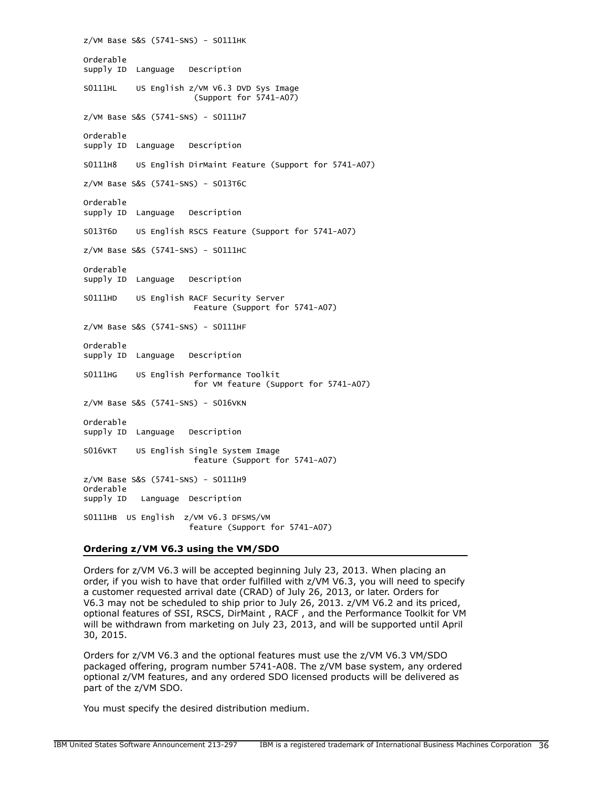z/VM Base S&S (5741-SNS) - S0111HK Orderable supply ID Language Description S0111HL US English z/VM V6.3 DVD Sys Image (Support for 5741-A07) z/VM Base S&S (5741-SNS) - S0111H7 Orderable supply ID Language Description S0111H8 US English DirMaint Feature (Support for 5741-A07) z/VM Base S&S (5741-SNS) - S013T6C Orderable supply ID Language Description S013T6D US English RSCS Feature (Support for 5741-A07) z/VM Base S&S (5741-SNS) - S0111HC Orderable supply ID Language Description S0111HD US English RACF Security Server Feature (Support for 5741-A07) z/VM Base S&S (5741-SNS) - S0111HF Orderable supply ID Language Description S0111HG US English Performance Toolkit for VM feature (Support for 5741-A07) z/VM Base S&S (5741-SNS) - S016VKN Orderable supply ID Language Description S016VKT US English Single System Image feature (Support for 5741-A07) z/VM Base S&S (5741-SNS) - S0111H9 Orderable supply ID Language Description S0111HB US English z/VM V6.3 DFSMS/VM feature (Support for 5741-A07)

#### **Ordering z/VM V6.3 using the VM/SDO**

Orders for z/VM V6.3 will be accepted beginning July 23, 2013. When placing an order, if you wish to have that order fulfilled with z/VM V6.3, you will need to specify a customer requested arrival date (CRAD) of July 26, 2013, or later. Orders for V6.3 may not be scheduled to ship prior to July 26, 2013. z/VM V6.2 and its priced, optional features of SSI, RSCS, DirMaint , RACF , and the Performance Toolkit for VM will be withdrawn from marketing on July 23, 2013, and will be supported until April 30, 2015.

Orders for z/VM V6.3 and the optional features must use the z/VM V6.3 VM/SDO packaged offering, program number 5741-A08. The z/VM base system, any ordered optional z/VM features, and any ordered SDO licensed products will be delivered as part of the z/VM SDO.

You must specify the desired distribution medium.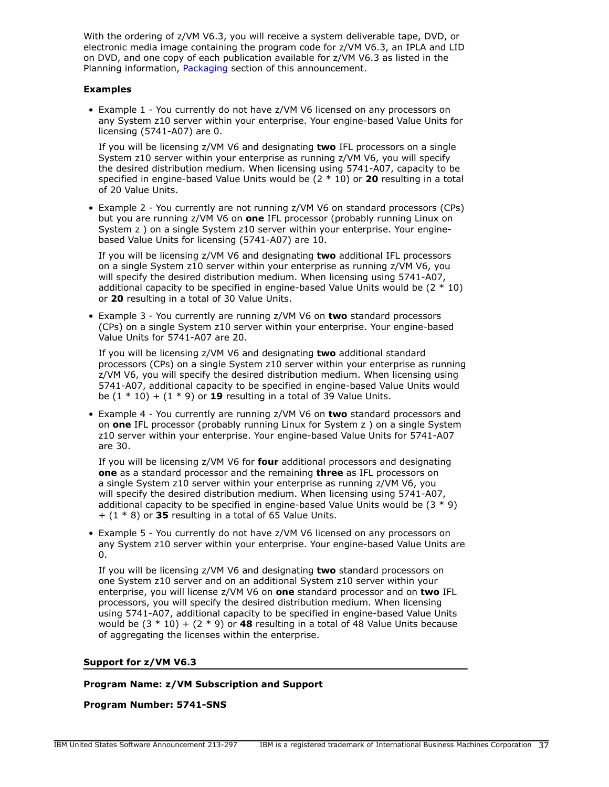With the ordering of z/VM V6.3, you will receive a system deliverable tape, DVD, or electronic media image containing the program code for z/VM V6.3, an IPLA and LID on DVD, and one copy of each publication available for z/VM V6.3 as listed in the Planning information, [Packaging](#page-28-0) section of this announcement.

# **Examples**

• Example 1 - You currently do not have z/VM V6 licensed on any processors on any System z10 server within your enterprise. Your engine-based Value Units for licensing (5741-A07) are 0.

If you will be licensing z/VM V6 and designating **two** IFL processors on a single System z10 server within your enterprise as running z/VM V6, you will specify the desired distribution medium. When licensing using 5741-A07, capacity to be specified in engine-based Value Units would be (2 \* 10) or **20** resulting in a total of 20 Value Units.

• Example 2 - You currently are not running z/VM V6 on standard processors (CPs) but you are running z/VM V6 on **one** IFL processor (probably running Linux on System z ) on a single System z10 server within your enterprise. Your enginebased Value Units for licensing (5741-A07) are 10.

If you will be licensing z/VM V6 and designating **two** additional IFL processors on a single System z10 server within your enterprise as running z/VM V6, you will specify the desired distribution medium. When licensing using 5741-A07, additional capacity to be specified in engine-based Value Units would be  $(2 * 10)$ or **20** resulting in a total of 30 Value Units.

• Example 3 - You currently are running z/VM V6 on **two** standard processors (CPs) on a single System z10 server within your enterprise. Your engine-based Value Units for 5741-A07 are 20.

If you will be licensing z/VM V6 and designating **two** additional standard processors (CPs) on a single System z10 server within your enterprise as running z/VM V6, you will specify the desired distribution medium. When licensing using 5741-A07, additional capacity to be specified in engine-based Value Units would be  $(1 * 10) + (1 * 9)$  or **19** resulting in a total of 39 Value Units.

• Example 4 - You currently are running z/VM V6 on **two** standard processors and on **one** IFL processor (probably running Linux for System z ) on a single System z10 server within your enterprise. Your engine-based Value Units for 5741-A07 are 30.

If you will be licensing z/VM V6 for **four** additional processors and designating **one** as a standard processor and the remaining **three** as IFL processors on a single System z10 server within your enterprise as running z/VM V6, you will specify the desired distribution medium. When licensing using 5741-A07, additional capacity to be specified in engine-based Value Units would be  $(3 * 9)$ + (1 \* 8) or **35** resulting in a total of 65 Value Units.

• Example 5 - You currently do not have z/VM V6 licensed on any processors on any System z10 server within your enterprise. Your engine-based Value Units are 0.

If you will be licensing z/VM V6 and designating **two** standard processors on one System z10 server and on an additional System z10 server within your enterprise, you will license z/VM V6 on **one** standard processor and on **two** IFL processors, you will specify the desired distribution medium. When licensing using 5741-A07, additional capacity to be specified in engine-based Value Units would be  $(3 * 10) + (2 * 9)$  or **48** resulting in a total of 48 Value Units because of aggregating the licenses within the enterprise.

#### **Support for z/VM V6.3**

# **Program Name: z/VM Subscription and Support**

**Program Number: 5741-SNS**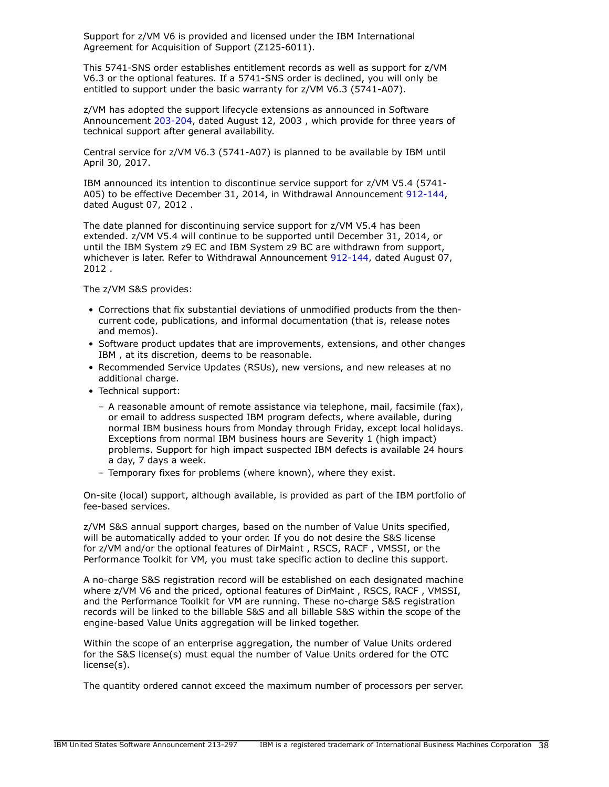Support for z/VM V6 is provided and licensed under the IBM International Agreement for Acquisition of Support (Z125-6011).

This 5741-SNS order establishes entitlement records as well as support for z/VM V6.3 or the optional features. If a 5741-SNS order is declined, you will only be entitled to support under the basic warranty for z/VM V6.3 (5741-A07).

z/VM has adopted the support lifecycle extensions as announced in Software Announcement [203-204](http://www.ibm.com/common/ssi/cgi-bin/ssialias?infotype=an&subtype=ca&appname=gpateam&supplier=897&letternum=ENUS203-204), dated August 12, 2003 , which provide for three years of technical support after general availability.

Central service for z/VM V6.3 (5741-A07) is planned to be available by IBM until April 30, 2017.

IBM announced its intention to discontinue service support for z/VM V5.4 (5741- A05) to be effective December 31, 2014, in Withdrawal Announcement [912-144,](http://www.ibm.com/common/ssi/cgi-bin/ssialias?infotype=an&subtype=ca&appname=gpateam&supplier=897&letternum=ENUS912-144) dated August 07, 2012 .

The date planned for discontinuing service support for z/VM V5.4 has been extended. z/VM V5.4 will continue to be supported until December 31, 2014, or until the IBM System z9 EC and IBM System z9 BC are withdrawn from support, whichever is later. Refer to Withdrawal Announcement [912-144,](http://www.ibm.com/common/ssi/cgi-bin/ssialias?infotype=an&subtype=ca&appname=gpateam&supplier=897&letternum=ENUS912-144) dated August 07, 2012 .

The z/VM S&S provides:

- Corrections that fix substantial deviations of unmodified products from the thencurrent code, publications, and informal documentation (that is, release notes and memos).
- Software product updates that are improvements, extensions, and other changes IBM , at its discretion, deems to be reasonable.
- Recommended Service Updates (RSUs), new versions, and new releases at no additional charge.
- Technical support:
	- A reasonable amount of remote assistance via telephone, mail, facsimile (fax), or email to address suspected IBM program defects, where available, during normal IBM business hours from Monday through Friday, except local holidays. Exceptions from normal IBM business hours are Severity 1 (high impact) problems. Support for high impact suspected IBM defects is available 24 hours a day, 7 days a week.
	- Temporary fixes for problems (where known), where they exist.

On-site (local) support, although available, is provided as part of the IBM portfolio of fee-based services.

z/VM S&S annual support charges, based on the number of Value Units specified, will be automatically added to your order. If you do not desire the S&S license for z/VM and/or the optional features of DirMaint , RSCS, RACF , VMSSI, or the Performance Toolkit for VM, you must take specific action to decline this support.

A no-charge S&S registration record will be established on each designated machine where z/VM V6 and the priced, optional features of DirMaint , RSCS, RACF , VMSSI, and the Performance Toolkit for VM are running. These no-charge S&S registration records will be linked to the billable S&S and all billable S&S within the scope of the engine-based Value Units aggregation will be linked together.

Within the scope of an enterprise aggregation, the number of Value Units ordered for the S&S license(s) must equal the number of Value Units ordered for the OTC license(s).

The quantity ordered cannot exceed the maximum number of processors per server.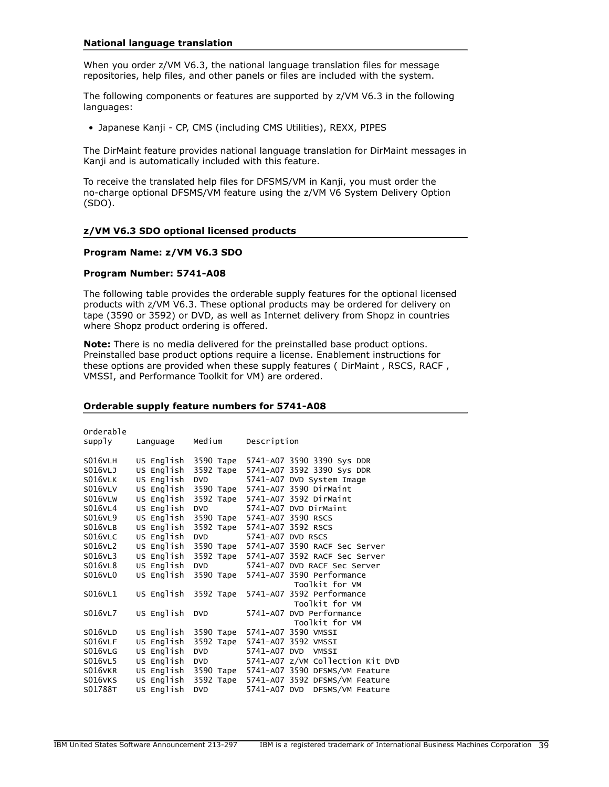#### **National language translation**

When you order z/VM V6.3, the national language translation files for message repositories, help files, and other panels or files are included with the system.

The following components or features are supported by z/VM V6.3 in the following languages:

• Japanese Kanji - CP, CMS (including CMS Utilities), REXX, PIPES

The DirMaint feature provides national language translation for DirMaint messages in Kanji and is automatically included with this feature.

To receive the translated help files for DFSMS/VM in Kanji, you must order the no-charge optional DFSMS/VM feature using the z/VM V6 System Delivery Option (SDO).

#### **z/VM V6.3 SDO optional licensed products**

#### **Program Name: z/VM V6.3 SDO**

#### **Program Number: 5741-A08**

The following table provides the orderable supply features for the optional licensed products with z/VM V6.3. These optional products may be ordered for delivery on tape (3590 or 3592) or DVD, as well as Internet delivery from Shopz in countries where Shopz product ordering is offered.

**Note:** There is no media delivered for the preinstalled base product options. Preinstalled base product options require a license. Enablement instructions for these options are provided when these supply features ( DirMaint , RSCS, RACF , VMSSI, and Performance Toolkit for VM) are ordered.

#### **Orderable supply feature numbers for 5741-A08**

| Orderable      |            |            |                                  |
|----------------|------------|------------|----------------------------------|
| supply         | Language   | Medium     | Description                      |
| <b>S016VLH</b> | US English | 3590 Tape  | 5741-A07 3590 3390 Sys DDR       |
| S016VLJ        | US English | 3592 Tape  | 5741-A07 3592 3390 Sys DDR       |
| <b>S016VLK</b> | US English | <b>DVD</b> | 5741-A07 DVD System Image        |
| <b>S016VLV</b> | US English | 3590 Tape  | 5741-A07 3590 DirMaint           |
| S016VLW        | US English | 3592 Tape  | 5741-A07 3592 DirMaint           |
| S016VL4        | US English | <b>DVD</b> | 5741-A07 DVD DirMaint            |
| S016VL9        | US English | 3590 Tape  | 5741-A07 3590 RSCS               |
| S016VLB        | US English | 3592 Tape  | 5741-A07 3592 RSCS               |
| S016VLC        | US English | <b>DVD</b> | 5741-A07 DVD RSCS                |
| S016VL2        | US English | 3590 Tape  | 5741-A07 3590 RACF Sec Server    |
| S016VL3        | US English | 3592 Таре  | 5741-A07 3592 RACF Sec Server    |
| S016VL8        | US English | <b>DVD</b> | 5741-A07 DVD RACF Sec Server     |
| S016VL0        | US English | 3590 Таре  | 5741-A07 3590 Performance        |
|                |            |            | Toolkit for VM                   |
| S016VL1        | US English | 3592 Tape  | 5741-A07 3592 Performance        |
|                |            |            | Toolkit for VM                   |
| S016VL7        | US English | <b>DVD</b> | 5741-A07 DVD Performance         |
|                |            |            | Toolkit for VM                   |
| <b>S016VLD</b> | US English | 3590 Tape  | 5741-A07 3590 VMSSI              |
| S016VLF        | US English | 3592 Таре  | 5741-A07 3592 VMSSI              |
| S016VLG        | US English | <b>DVD</b> | 5741-A07 DVD<br>VMSSI            |
| S016VL5        | US English | <b>DVD</b> | 5741-A07 z/VM Collection Kit DVD |
| S016VKR        | US English | 3590 Таре  | 5741-A07 3590 DFSMS/VM Feature   |
| S016VKS        | US English | 3592 Tape  | 5741-A07 3592 DFSMS/VM Feature   |
| S01788T        | US English | <b>DVD</b> | 5741-A07 DVD DFSMS/VM Feature    |
|                |            |            |                                  |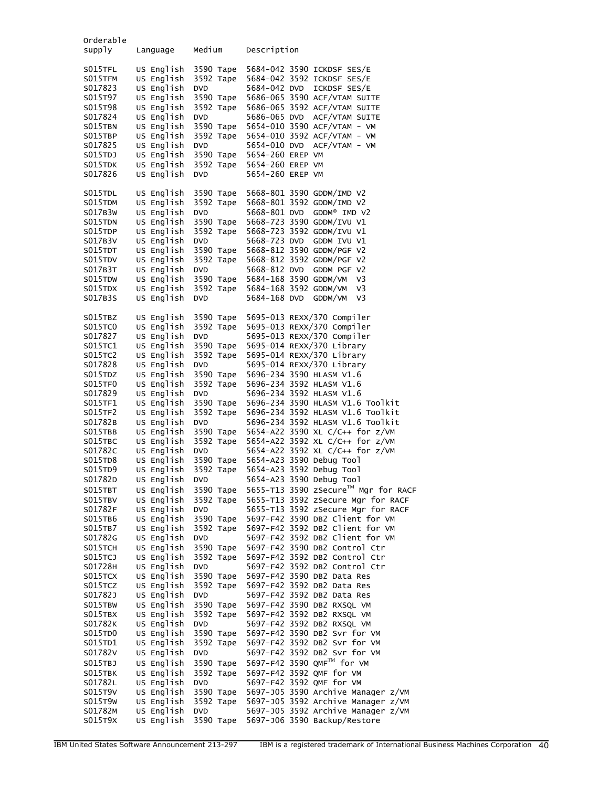| Orderable<br>supply                      | Language                                             | Medium                                            | Description                                                                                                              |
|------------------------------------------|------------------------------------------------------|---------------------------------------------------|--------------------------------------------------------------------------------------------------------------------------|
| S015TFL<br>S015TFM<br>S017823<br>S015T97 | US English<br>US English<br>US English<br>US English | 3590 Tape<br>3592 Tape<br><b>DVD</b><br>3590 Tape | 5684-042 3590 ICKDSF SES/E<br>5684-042 3592 ICKDSF SES/E<br>5684-042 DVD<br>ICKDSF SES/E<br>5686-065 3590 ACF/VTAM SUITE |
| S015T98<br>S017824                       | US English<br>US English                             | 3592 Tape<br><b>DVD</b>                           | 5686-065 3592 ACF/VTAM SUITE<br>5686-065 DVD<br>ACF/VTAM SUITE                                                           |
| S015TBN                                  | US English                                           | 3590 Tape                                         | 5654-010 3590 ACF/VTAM - VM                                                                                              |
| S015TBP<br>S017825                       | US English<br>US English                             | 3592 Tape<br><b>DVD</b>                           | 5654-010 3592 ACF/VTAM - VM<br>5654-010 DVD<br>ACF/VTAM - VM                                                             |
| S015TDJ                                  | US English                                           | 3590 Tape                                         | 5654-260 EREP VM                                                                                                         |
| S015TDK<br>S017826                       | US English<br>US English                             | 3592 Tape<br><b>DVD</b>                           | 5654-260 EREP VM<br>5654-260 EREP VM                                                                                     |
| S015TDL<br>S015TDM                       | US English<br>US English                             | 3590 Tape<br>3592 Tape                            | 5668-801 3590 GDDM/IMD V2<br>5668-801 3592 GDDM/IMD V2                                                                   |
| S017B3W                                  | US English                                           | <b>DVD</b>                                        | 5668-801 DVD<br>GDDM® IMD V2                                                                                             |
| S015TDN                                  | US English<br>US English                             | 3590 Tape<br>3592 Tape                            | 5668-723 3590 GDDM/IVU V1<br>5668-723 3592 GDDM/IVU V1                                                                   |
| S015TDP<br>S017B3V                       | US English                                           | <b>DVD</b>                                        | 5668-723 DVD<br>GDDM IVU V1                                                                                              |
| S015TDT                                  | US English                                           | 3590 Tape                                         | 5668-812 3590 GDDM/PGF V2                                                                                                |
| S015TDV<br>S017B3T                       | US English<br>US English                             | 3592 Tape<br><b>DVD</b>                           | 5668-812 3592 GDDM/PGF V2<br>5668-812 DVD<br>GDDM PGF V2                                                                 |
| S015TDW                                  | US English                                           | 3590 Tape                                         | 5684-168 3590 GDDM/VM<br>V3                                                                                              |
| S015TDX                                  | US English                                           | 3592 Tape                                         | 5684-168 3592 GDDM/VM<br>V3                                                                                              |
| S017B3S                                  | US English                                           | <b>DVD</b>                                        | 5684-168 DVD<br>GDDM/VM<br>V3                                                                                            |
| S015TBZ<br>S015TC0                       | US English<br>US English                             | 3590 Tape<br>3592 Tape                            | 5695-013 REXX/370 Compiler<br>5695-013 REXX/370 Compiler                                                                 |
| S017827                                  | US English                                           | <b>DVD</b>                                        | 5695-013 REXX/370 Compiler                                                                                               |
| S015TC1                                  | US English                                           | 3590 Tape                                         | 5695-014 REXX/370 Library                                                                                                |
| S015TC2<br>S017828                       | US English<br>US English                             | 3592 Tape<br><b>DVD</b>                           | 5695-014 REXX/370 Library<br>5695-014 REXX/370 Library                                                                   |
| S015TDZ                                  | US English                                           | 3590 Tape                                         | 5696-234 3590 HLASM V1.6                                                                                                 |
| S015TF0                                  | US English                                           | 3592 Tape                                         | 5696-234 3592 HLASM V1.6                                                                                                 |
| S017829<br>S015TF1                       | US English<br>US English                             | <b>DVD</b><br>3590 Tape                           | 5696-234 3592 HLASM V1.6<br>5696-234 3590 HLASM V1.6 Toolkit                                                             |
| S015TF2                                  | US English                                           | 3592 Tape                                         | 5696-234 3592 HLASM V1.6 Toolkit                                                                                         |
| S01782B<br>S015TBB                       | US English<br>US English                             | <b>DVD</b><br>3590 Tape                           | 5696-234 3592 HLASM V1.6 Toolkit<br>5654-A22 3590 XL C/C++ for z/VM                                                      |
| S015TBC                                  | US English                                           | 3592 Tape                                         | 5654-A22 3592 XL C/C++ for z/VM                                                                                          |
| S01782C                                  | US English                                           | <b>DVD</b>                                        | 5654-A22 3592 XL C/C++ for z/VM                                                                                          |
| S015TD8<br>S015TD9                       | US English<br>US English                             | 3590 Tape<br>3592 Tape                            | 5654-A23 3590 Debug Tool<br>5654-A23 3592 Debug Tool                                                                     |
| S01782D                                  | US English                                           | <b>DVD</b>                                        | 5654-A23 3590 Debug Tool                                                                                                 |
| SO15TBT                                  | US English                                           | 3590 Таре                                         | 5655-T13 3590 zSecure™ Mgr for RACF                                                                                      |
| S015TBV<br>S01782F                       | US English<br>US English                             | 3592 Tape<br><b>DVD</b>                           | 5655-T13 3592 zSecure Mgr for RACF<br>5655-T13 3592 zSecure Mgr for RACF                                                 |
| S015TB6                                  | US English                                           | 3590 Tape                                         | 5697-F42 3590 DB2 Client for VM                                                                                          |
| S015TB7                                  | US English                                           | 3592 Tape                                         | 5697-F42 3592 DB2 Client for VM                                                                                          |
| S01782G<br>S015TCH                       | US English<br>US English                             | DVD<br>3590 Tape                                  | 5697-F42 3592 DB2 Client for VM<br>5697-F42 3590 DB2 Control Ctr                                                         |
| S015TCJ                                  | US English                                           | 3592 Tape                                         | 5697-F42 3592 DB2 Control Ctr                                                                                            |
| S01728H                                  | US English<br>US English                             | <b>DVD</b><br>3590 Tape                           | 5697-F42 3592 DB2 Control Ctr<br>5697-F42 3590 DB2 Data Res                                                              |
| S015TCX<br>S015TCZ                       | US English                                           | 3592 Tape                                         | 5697-F42 3592 DB2 Data Res                                                                                               |
| S01782J                                  | US English                                           | <b>DVD</b>                                        | 5697-F42 3592 DB2 Data Res                                                                                               |
| S015TBW<br>S015TBX                       | US English<br>US English                             | 3590 Tape<br>3592 Tape                            | 5697-F42 3590 DB2 RXSQL VM<br>5697-F42 3592 DB2 RXSQL VM                                                                 |
| S01782K                                  | US English                                           | <b>DVD</b>                                        | 5697-F42 3592 DB2 RXSQL VM                                                                                               |
| S015TD0                                  | US English                                           | 3590 Tape                                         | 5697-F42 3590 DB2 Svr for VM                                                                                             |
| S015TD1<br>S01782V                       | US English<br>US English                             | 3592 Tape<br><b>DVD</b>                           | 5697-F42 3592 DB2 Svr for VM<br>5697-F42 3592 DB2 Svr for VM                                                             |
| S015TBJ                                  | US English                                           | 3590 Tape                                         | 5697-F42 3590 QMFTM for VM                                                                                               |
| S015TBK                                  | US English                                           | 3592 Tape                                         | 5697-F42 3592 OMF for VM                                                                                                 |
| S01782L<br>S015T9V                       | US English<br>US English                             | <b>DVD</b><br>3590 Tape                           | 5697-F42 3592 OMF for VM<br>5697-J05 3590 Archive Manager z/VM                                                           |
| S015T9W                                  | US English                                           | 3592 Tape                                         | 5697-J05 3592 Archive Manager z/VM                                                                                       |
| S01782M                                  | US English                                           | <b>DVD</b>                                        | 5697-J05 3592 Archive Manager z/VM                                                                                       |
| S015T9X                                  | US English                                           | 3590 Таре                                         | 5697-J06 3590 Backup/Restore                                                                                             |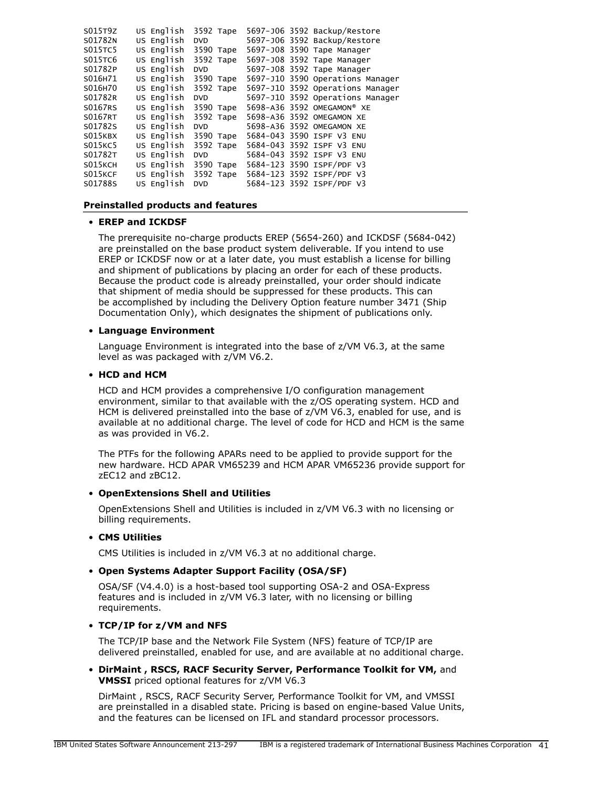| S015T9Z | US English | 3592 Tape  |                            | 5697-J06 3592 Backup/Restore     |
|---------|------------|------------|----------------------------|----------------------------------|
| S01782N | US Enalish | <b>DVD</b> |                            | 5697-J06 3592 Backup/Restore     |
| S015TC5 | US English | 3590 Tape  | 5697-J08 3590 Tape Manager |                                  |
| S015TC6 | US Enalish | 3592 Tape  | 5697-J08 3592 Tape Manager |                                  |
| S01782P | US English | <b>DVD</b> | 5697-J08 3592 Tape Manager |                                  |
| S016H71 | US English | 3590 Tape  |                            | 5697-J10 3590 Operations Manager |
| S016H70 | US English | 3592 Tape  |                            | 5697-J10 3592 Operations Manager |
| S01782R | US English | <b>DVD</b> |                            | 5697-J10 3592 Operations Manager |
| S0167RS | US English | 3590 Tape  | 5698-A36 3592 OMEGAMON® XE |                                  |
| S0167RT | US English | 3592 Tape  | 5698-A36 3592 OMEGAMON XE  |                                  |
| S01782S | US English | <b>DVD</b> | 5698-A36 3592 OMEGAMON XE  |                                  |
| S015KBX | US English | 3590 Tape  | 5684-043 3590 ISPF V3 ENU  |                                  |
| S015KC5 | US English | 3592 Tape  | 5684-043 3592 ISPF V3 ENU  |                                  |
| S01782T | US English | <b>DVD</b> | 5684-043 3592 ISPF V3 ENU  |                                  |
| S015KCH | US English | 3590 Tape  | 5684-123 3590 ISPF/PDF V3  |                                  |
| S015KCF | US English | 3592 Tape  | 5684-123 3592 ISPF/PDF V3  |                                  |
| S01788S | US English | <b>DVD</b> | 5684-123 3592 ISPF/PDF V3  |                                  |
|         |            |            |                            |                                  |

#### <span id="page-40-0"></span>**Preinstalled products and features**

#### • **EREP and ICKDSF**

The prerequisite no-charge products EREP (5654-260) and ICKDSF (5684-042) are preinstalled on the base product system deliverable. If you intend to use EREP or ICKDSF now or at a later date, you must establish a license for billing and shipment of publications by placing an order for each of these products. Because the product code is already preinstalled, your order should indicate that shipment of media should be suppressed for these products. This can be accomplished by including the Delivery Option feature number 3471 (Ship Documentation Only), which designates the shipment of publications only.

# • **Language Environment**

Language Environment is integrated into the base of z/VM V6.3, at the same level as was packaged with z/VM V6.2.

# • **HCD and HCM**

HCD and HCM provides a comprehensive I/O configuration management environment, similar to that available with the z/OS operating system. HCD and HCM is delivered preinstalled into the base of z/VM V6.3, enabled for use, and is available at no additional charge. The level of code for HCD and HCM is the same as was provided in V6.2.

The PTFs for the following APARs need to be applied to provide support for the new hardware. HCD APAR VM65239 and HCM APAR VM65236 provide support for zEC12 and zBC12.

#### • **OpenExtensions Shell and Utilities**

OpenExtensions Shell and Utilities is included in z/VM V6.3 with no licensing or billing requirements.

#### • **CMS Utilities**

CMS Utilities is included in z/VM V6.3 at no additional charge.

# • **Open Systems Adapter Support Facility (OSA/SF)**

OSA/SF (V4.4.0) is a host-based tool supporting OSA-2 and OSA-Express features and is included in z/VM V6.3 later, with no licensing or billing requirements.

# • **TCP/IP for z/VM and NFS**

The TCP/IP base and the Network File System (NFS) feature of TCP/IP are delivered preinstalled, enabled for use, and are available at no additional charge.

• **DirMaint , RSCS, RACF Security Server, Performance Toolkit for VM,** and **VMSSI** priced optional features for z/VM V6.3

DirMaint , RSCS, RACF Security Server, Performance Toolkit for VM, and VMSSI are preinstalled in a disabled state. Pricing is based on engine-based Value Units, and the features can be licensed on IFL and standard processor processors.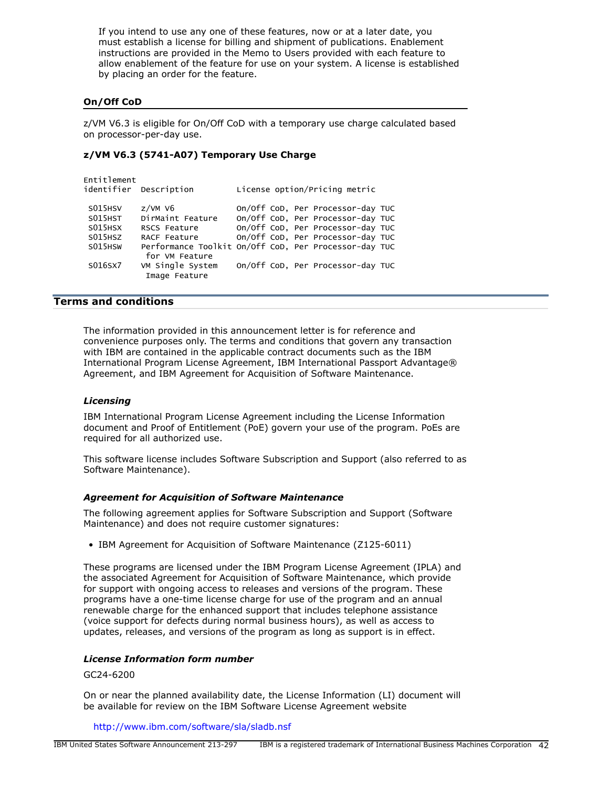If you intend to use any one of these features, now or at a later date, you must establish a license for billing and shipment of publications. Enablement instructions are provided in the Memo to Users provided with each feature to allow enablement of the feature for use on your system. A license is established by placing an order for the feature.

# **On/Off CoD**

z/VM V6.3 is eligible for On/Off CoD with a temporary use charge calculated based on processor-per-day use.

# **z/VM V6.3 (5741-A07) Temporary Use Charge**

| Entitlement         | identifier Description            | License option/Pricing metric                         |  |
|---------------------|-----------------------------------|-------------------------------------------------------|--|
| S015HSV             | $z$ /VM V6                        | On/Off CoD, Per Processor-day TUC                     |  |
| S015HST             | DirMaint Feature                  | On/Off CoD, Per Processor-day TUC                     |  |
| S015HSX             | RSCS Feature                      | On/Off CoD, Per Processor-day TUC                     |  |
| S <sub>015HSZ</sub> | RACF Feature                      | On/Off CoD, Per Processor-day TUC                     |  |
| S015HSW             | for VM Feature                    | Performance Toolkit On/Off CoD, Per Processor-day TUC |  |
| S016SX7             | VM Single System<br>Image Feature | On/Off CoD, Per Processor-day TUC                     |  |
|                     |                                   |                                                       |  |

# <span id="page-41-0"></span>**Terms and conditions**

The information provided in this announcement letter is for reference and convenience purposes only. The terms and conditions that govern any transaction with IBM are contained in the applicable contract documents such as the IBM International Program License Agreement, IBM International Passport Advantage® Agreement, and IBM Agreement for Acquisition of Software Maintenance.

#### *Licensing*

IBM International Program License Agreement including the License Information document and Proof of Entitlement (PoE) govern your use of the program. PoEs are required for all authorized use.

This software license includes Software Subscription and Support (also referred to as Software Maintenance).

#### *Agreement for Acquisition of Software Maintenance*

The following agreement applies for Software Subscription and Support (Software Maintenance) and does not require customer signatures:

• IBM Agreement for Acquisition of Software Maintenance (Z125-6011)

These programs are licensed under the IBM Program License Agreement (IPLA) and the associated Agreement for Acquisition of Software Maintenance, which provide for support with ongoing access to releases and versions of the program. These programs have a one-time license charge for use of the program and an annual renewable charge for the enhanced support that includes telephone assistance (voice support for defects during normal business hours), as well as access to updates, releases, and versions of the program as long as support is in effect.

#### *License Information form number*

GC24-6200

On or near the planned availability date, the License Information (LI) document will be available for review on the IBM Software License Agreement website

<http://www.ibm.com/software/sla/sladb.nsf>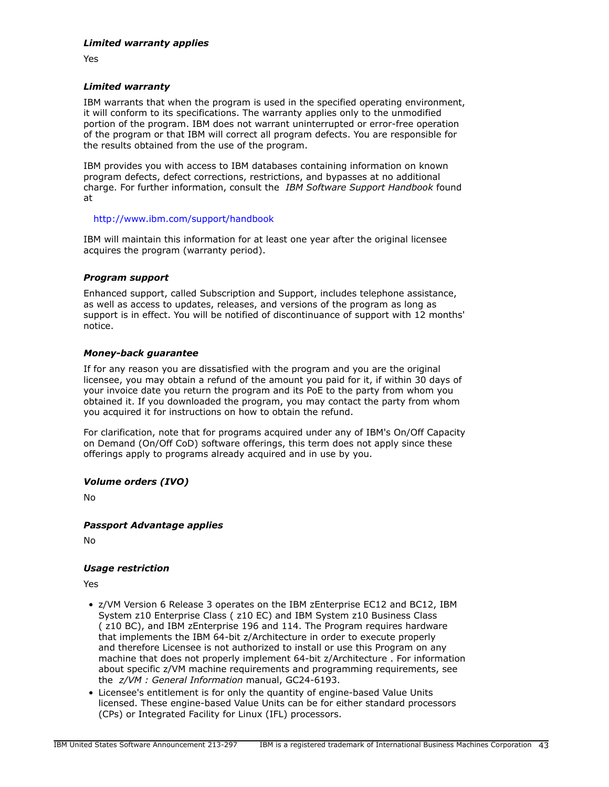Yes

# *Limited warranty*

IBM warrants that when the program is used in the specified operating environment, it will conform to its specifications. The warranty applies only to the unmodified portion of the program. IBM does not warrant uninterrupted or error-free operation of the program or that IBM will correct all program defects. You are responsible for the results obtained from the use of the program.

IBM provides you with access to IBM databases containing information on known program defects, defect corrections, restrictions, and bypasses at no additional charge. For further information, consult the *IBM Software Support Handbook* found at

# <http://www.ibm.com/support/handbook>

IBM will maintain this information for at least one year after the original licensee acquires the program (warranty period).

# *Program support*

Enhanced support, called Subscription and Support, includes telephone assistance, as well as access to updates, releases, and versions of the program as long as support is in effect. You will be notified of discontinuance of support with 12 months' notice.

# *Money-back guarantee*

If for any reason you are dissatisfied with the program and you are the original licensee, you may obtain a refund of the amount you paid for it, if within 30 days of your invoice date you return the program and its PoE to the party from whom you obtained it. If you downloaded the program, you may contact the party from whom you acquired it for instructions on how to obtain the refund.

For clarification, note that for programs acquired under any of IBM's On/Off Capacity on Demand (On/Off CoD) software offerings, this term does not apply since these offerings apply to programs already acquired and in use by you.

# *Volume orders (IVO)*

No

# *Passport Advantage applies*

No

# <span id="page-42-0"></span>*Usage restriction*

Yes

- z/VM Version 6 Release 3 operates on the IBM zEnterprise EC12 and BC12, IBM System z10 Enterprise Class ( z10 EC) and IBM System z10 Business Class ( z10 BC), and IBM zEnterprise 196 and 114. The Program requires hardware that implements the IBM 64-bit z/Architecture in order to execute properly and therefore Licensee is not authorized to install or use this Program on any machine that does not properly implement 64-bit z/Architecture . For information about specific z/VM machine requirements and programming requirements, see the *z/VM : General Information* manual, GC24-6193.
- Licensee's entitlement is for only the quantity of engine-based Value Units licensed. These engine-based Value Units can be for either standard processors (CPs) or Integrated Facility for Linux (IFL) processors.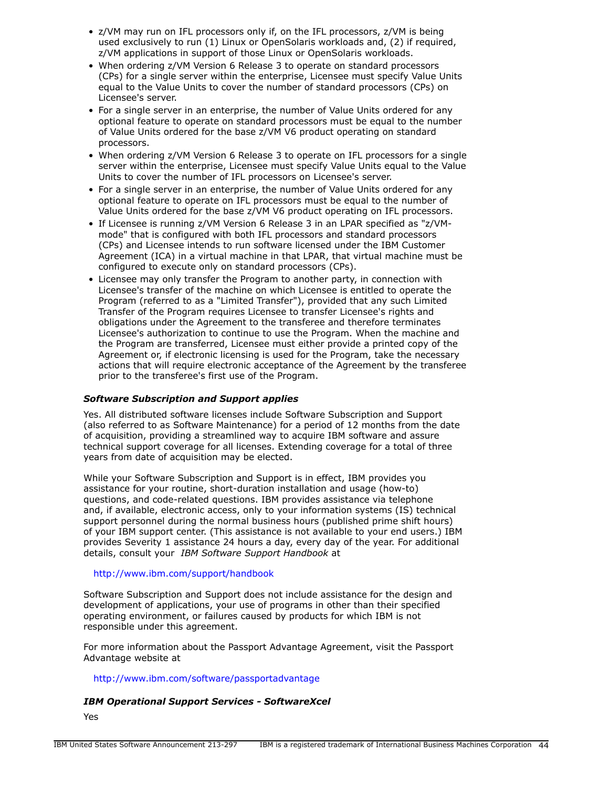- z/VM may run on IFL processors only if, on the IFL processors, z/VM is being used exclusively to run (1) Linux or OpenSolaris workloads and, (2) if required, z/VM applications in support of those Linux or OpenSolaris workloads.
- When ordering z/VM Version 6 Release 3 to operate on standard processors (CPs) for a single server within the enterprise, Licensee must specify Value Units equal to the Value Units to cover the number of standard processors (CPs) on Licensee's server.
- For a single server in an enterprise, the number of Value Units ordered for any optional feature to operate on standard processors must be equal to the number of Value Units ordered for the base z/VM V6 product operating on standard processors.
- When ordering z/VM Version 6 Release 3 to operate on IFL processors for a single server within the enterprise, Licensee must specify Value Units equal to the Value Units to cover the number of IFL processors on Licensee's server.
- For a single server in an enterprise, the number of Value Units ordered for any optional feature to operate on IFL processors must be equal to the number of Value Units ordered for the base z/VM V6 product operating on IFL processors.
- If Licensee is running z/VM Version 6 Release 3 in an LPAR specified as "z/VMmode" that is configured with both IFL processors and standard processors (CPs) and Licensee intends to run software licensed under the IBM Customer Agreement (ICA) in a virtual machine in that LPAR, that virtual machine must be configured to execute only on standard processors (CPs).
- Licensee may only transfer the Program to another party, in connection with Licensee's transfer of the machine on which Licensee is entitled to operate the Program (referred to as a "Limited Transfer"), provided that any such Limited Transfer of the Program requires Licensee to transfer Licensee's rights and obligations under the Agreement to the transferee and therefore terminates Licensee's authorization to continue to use the Program. When the machine and the Program are transferred, Licensee must either provide a printed copy of the Agreement or, if electronic licensing is used for the Program, take the necessary actions that will require electronic acceptance of the Agreement by the transferee prior to the transferee's first use of the Program.

# *Software Subscription and Support applies*

Yes. All distributed software licenses include Software Subscription and Support (also referred to as Software Maintenance) for a period of 12 months from the date of acquisition, providing a streamlined way to acquire IBM software and assure technical support coverage for all licenses. Extending coverage for a total of three years from date of acquisition may be elected.

While your Software Subscription and Support is in effect, IBM provides you assistance for your routine, short-duration installation and usage (how-to) questions, and code-related questions. IBM provides assistance via telephone and, if available, electronic access, only to your information systems (IS) technical support personnel during the normal business hours (published prime shift hours) of your IBM support center. (This assistance is not available to your end users.) IBM provides Severity 1 assistance 24 hours a day, every day of the year. For additional details, consult your *IBM Software Support Handbook* at

# <http://www.ibm.com/support/handbook>

Software Subscription and Support does not include assistance for the design and development of applications, your use of programs in other than their specified operating environment, or failures caused by products for which IBM is not responsible under this agreement.

For more information about the Passport Advantage Agreement, visit the Passport Advantage website at

# <http://www.ibm.com/software/passportadvantage>

# *IBM Operational Support Services - SoftwareXcel*

Yes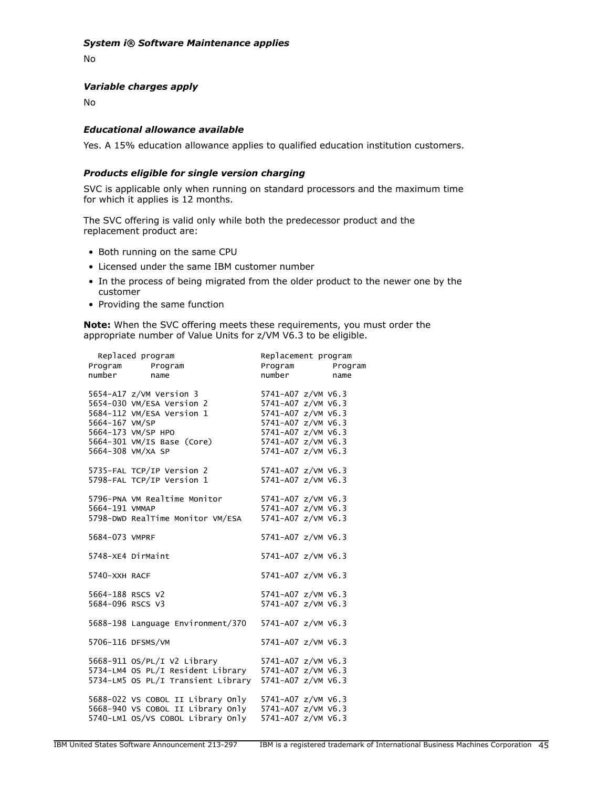# *System i® Software Maintenance applies*

No

# *Variable charges apply*

No

# *Educational allowance available*

Yes. A 15% education allowance applies to qualified education institution customers.

#### *Products eligible for single version charging*

SVC is applicable only when running on standard processors and the maximum time for which it applies is 12 months.

The SVC offering is valid only while both the predecessor product and the replacement product are:

- Both running on the same CPU
- Licensed under the same IBM customer number
- In the process of being migrated from the older product to the newer one by the customer
- Providing the same function

**Note:** When the SVC offering meets these requirements, you must order the appropriate number of Value Units for z/VM V6.3 to be eligible.

|                  | Replaced program                                                                           | Replacement program            |  |
|------------------|--------------------------------------------------------------------------------------------|--------------------------------|--|
|                  | Program Program                                                                            | Program Program<br>number name |  |
| number           | name                                                                                       |                                |  |
|                  | 5654-A17 z/VM Version 3 5741-A07 z/VM V6.3<br>5654-030 VM/ESA Version 2 5741-A07 z/VM V6.3 |                                |  |
|                  |                                                                                            |                                |  |
|                  | 5684-112 VM/ESA Version 1                                                                  | 5741-A07 z/VM V6.3             |  |
| 5664-167 VM/SP   |                                                                                            | 5741-A07 z/VM V6.3             |  |
|                  | 5664-173 VM/SP HPO                                                                         | 5741-A07 z/VM V6.3             |  |
|                  | $5664-301$ VM/IS Base (Core)                                                               | 5741-A07 z/VM V6.3             |  |
|                  | 5664-308 VM/XA SP                                                                          | 5741-A07 z/VM V6.3             |  |
|                  | 5735-FAL TCP/IP Version 2<br>5798-FAL TCP/IP Version 1                                     | 5741-A07 z/VM V6.3             |  |
|                  |                                                                                            | 5741-A07 z/VM V6.3             |  |
|                  | 5796-PNA VM Realtime Monitor                                                               | 5741-A07 z/VM V6.3             |  |
| 5664-191 VMMAP   |                                                                                            | 5741-A07 z/VM V6.3             |  |
|                  | 5798-DWD RealTime Monitor VM/ESA                                                           | 5741-A07 z/VM V6.3             |  |
| 5684-073 VMPRF   |                                                                                            | 5741-A07 z/VM V6.3             |  |
|                  | 5748-XE4 DirMaint                                                                          | 5741-A07 z/VM V6.3             |  |
| 5740-XXH RACF    |                                                                                            | 5741-A07 z/VM V6.3             |  |
| 5664-188 RSCS V2 |                                                                                            | 5741-A07 z/VM V6.3             |  |
| 5684-096 RSCS V3 |                                                                                            | 5741-A07 z/VM V6.3             |  |
|                  | 5688-198 Language Environment/370                                                          | 5741-A07 z/VM V6.3             |  |
|                  | 5706-116 DFSMS/VM                                                                          | 5741-A07 z/VM V6.3             |  |
|                  | 5668-911 os/PL/I v2 Library                                                                | 5741-A07 z/VM V6.3             |  |
|                  | 5734-LM4 OS PL/I Resident Library 5741-A07 z/VM V6.3                                       |                                |  |
|                  | 5734-LM5 OS PL/I Transient Library 5741-A07 z/VM V6.3                                      |                                |  |
|                  | 5688-022 VS COBOL II Library Only 5741-A07 z/VM V6.3                                       |                                |  |
|                  | 5668-940 VS COBOL II Library Only 5741-A07 z/VM V6.3                                       |                                |  |
|                  | 5740-LM1 OS/VS COBOL Library Only                                                          | 5741-A07 z/VM V6.3             |  |
|                  |                                                                                            |                                |  |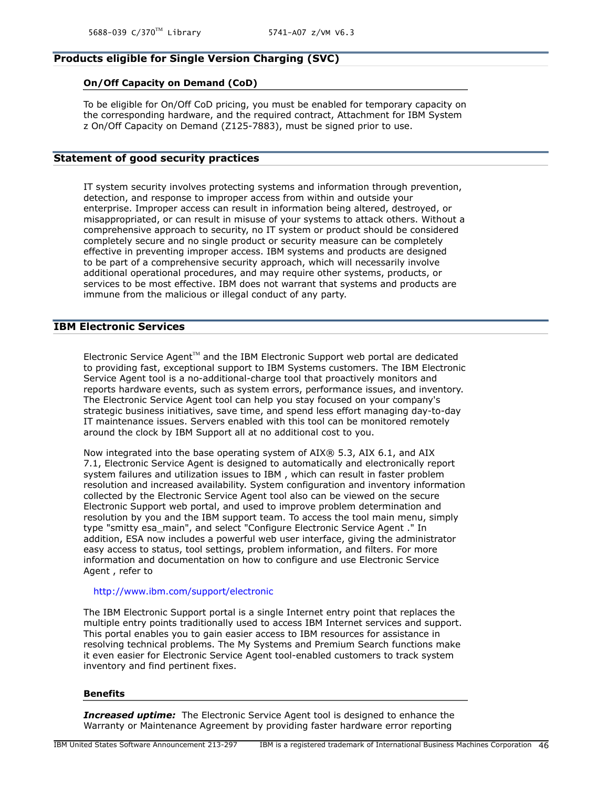# **Products eligible for Single Version Charging (SVC)**

#### **On/Off Capacity on Demand (CoD)**

To be eligible for On/Off CoD pricing, you must be enabled for temporary capacity on the corresponding hardware, and the required contract, Attachment for IBM System z On/Off Capacity on Demand (Z125-7883), must be signed prior to use.

# **Statement of good security practices**

IT system security involves protecting systems and information through prevention, detection, and response to improper access from within and outside your enterprise. Improper access can result in information being altered, destroyed, or misappropriated, or can result in misuse of your systems to attack others. Without a comprehensive approach to security, no IT system or product should be considered completely secure and no single product or security measure can be completely effective in preventing improper access. IBM systems and products are designed to be part of a comprehensive security approach, which will necessarily involve additional operational procedures, and may require other systems, products, or services to be most effective. IBM does not warrant that systems and products are immune from the malicious or illegal conduct of any party.

# **IBM Electronic Services**

Electronic Service Agent $T^M$  and the IBM Electronic Support web portal are dedicated to providing fast, exceptional support to IBM Systems customers. The IBM Electronic Service Agent tool is a no-additional-charge tool that proactively monitors and reports hardware events, such as system errors, performance issues, and inventory. The Electronic Service Agent tool can help you stay focused on your company's strategic business initiatives, save time, and spend less effort managing day-to-day IT maintenance issues. Servers enabled with this tool can be monitored remotely around the clock by IBM Support all at no additional cost to you.

Now integrated into the base operating system of AIX® 5.3, AIX 6.1, and AIX 7.1, Electronic Service Agent is designed to automatically and electronically report system failures and utilization issues to IBM , which can result in faster problem resolution and increased availability. System configuration and inventory information collected by the Electronic Service Agent tool also can be viewed on the secure Electronic Support web portal, and used to improve problem determination and resolution by you and the IBM support team. To access the tool main menu, simply type "smitty esa\_main", and select "Configure Electronic Service Agent ." In addition, ESA now includes a powerful web user interface, giving the administrator easy access to status, tool settings, problem information, and filters. For more information and documentation on how to configure and use Electronic Service Agent , refer to

# <http://www.ibm.com/support/electronic>

The IBM Electronic Support portal is a single Internet entry point that replaces the multiple entry points traditionally used to access IBM Internet services and support. This portal enables you to gain easier access to IBM resources for assistance in resolving technical problems. The My Systems and Premium Search functions make it even easier for Electronic Service Agent tool-enabled customers to track system inventory and find pertinent fixes.

#### **Benefits**

*Increased uptime:* The Electronic Service Agent tool is designed to enhance the Warranty or Maintenance Agreement by providing faster hardware error reporting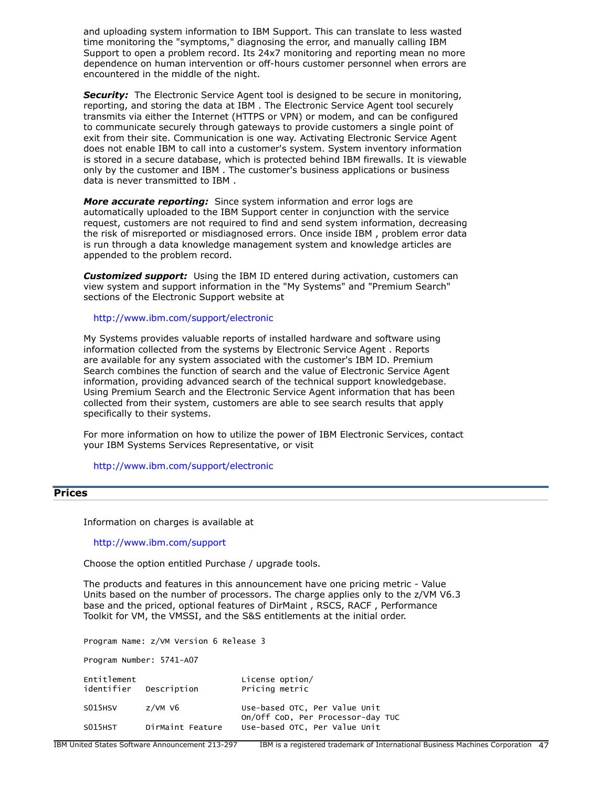and uploading system information to IBM Support. This can translate to less wasted time monitoring the "symptoms," diagnosing the error, and manually calling IBM Support to open a problem record. Its 24x7 monitoring and reporting mean no more dependence on human intervention or off-hours customer personnel when errors are encountered in the middle of the night.

**Security:** The Electronic Service Agent tool is designed to be secure in monitoring, reporting, and storing the data at IBM . The Electronic Service Agent tool securely transmits via either the Internet (HTTPS or VPN) or modem, and can be configured to communicate securely through gateways to provide customers a single point of exit from their site. Communication is one way. Activating Electronic Service Agent does not enable IBM to call into a customer's system. System inventory information is stored in a secure database, which is protected behind IBM firewalls. It is viewable only by the customer and IBM . The customer's business applications or business data is never transmitted to IBM .

*More accurate reporting:* Since system information and error logs are automatically uploaded to the IBM Support center in conjunction with the service request, customers are not required to find and send system information, decreasing the risk of misreported or misdiagnosed errors. Once inside IBM , problem error data is run through a data knowledge management system and knowledge articles are appended to the problem record.

*Customized support:* Using the IBM ID entered during activation, customers can view system and support information in the "My Systems" and "Premium Search" sections of the Electronic Support website at

<http://www.ibm.com/support/electronic>

My Systems provides valuable reports of installed hardware and software using information collected from the systems by Electronic Service Agent . Reports are available for any system associated with the customer's IBM ID. Premium Search combines the function of search and the value of Electronic Service Agent information, providing advanced search of the technical support knowledgebase. Using Premium Search and the Electronic Service Agent information that has been collected from their system, customers are able to see search results that apply specifically to their systems.

For more information on how to utilize the power of IBM Electronic Services, contact your IBM Systems Services Representative, or visit

<http://www.ibm.com/support/electronic>

#### <span id="page-46-0"></span>**Prices**

Information on charges is available at

<http://www.ibm.com/support>

Choose the option entitled Purchase / upgrade tools.

The products and features in this announcement have one pricing metric - Value Units based on the number of processors. The charge applies only to the z/VM V6.3 base and the priced, optional features of DirMaint , RSCS, RACF , Performance Toolkit for VM, the VMSSI, and the S&S entitlements at the initial order.

Program Name: z/VM Version 6 Release 3

Program Number: 5741-A07

| Entitlement<br>identifier | Description      | License option/<br>Pricing metric                                  |
|---------------------------|------------------|--------------------------------------------------------------------|
| S015HSV                   | $z$ /VM V6       | Use-based OTC, Per Value Unit<br>On/Off CoD, Per Processor-day TUC |
| S015HST                   | DirMaint Feature | Use-based OTC, Per Value Unit                                      |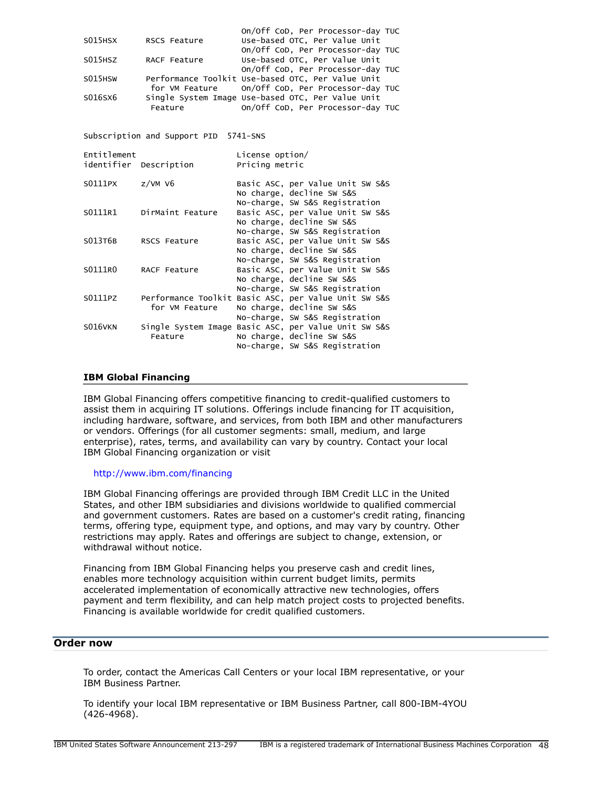|         |              | on/Off CoD, Per Processor-day TUC                 |
|---------|--------------|---------------------------------------------------|
| S015HSX | RSCS Feature | Use-based OTC, Per Value Unit                     |
|         |              | on/off CoD, Per Processor-day TUC                 |
| S015HSZ | RACF Feature | Use-based OTC, Per Value Unit                     |
|         |              | On/Off CoD, Per Processor-day TUC                 |
| S015HSW |              | Performance Toolkit Use-based OTC, Per Value Unit |
|         |              | for VM Feature on/Off CoD, Per Processor-day TUC  |
| S016SX6 |              | Single System Image Use-based OTC, Per Value Unit |
|         | Feature      | On/Off CoD, Per Processor-day TUC                 |

Subscription and Support PID 5741-SNS

| Entitlement | identifier Description | License option/<br>Pricing metric |                                                                                                                                   |
|-------------|------------------------|-----------------------------------|-----------------------------------------------------------------------------------------------------------------------------------|
| S0111PX     | $z$ /VM V6             |                                   | Basic ASC, per Value Unit SW S&S<br>No charge, decline SW S&S                                                                     |
| S0111R1     | DirMaint Feature       |                                   | No-charge, SW S&S Registration<br>Basic ASC, per Value Unit SW S&S<br>No charge, decline SW S&S<br>No-charge, SW S&S Registration |
| S013T6B     | RSCS Feature           |                                   | Basic ASC, per Value Unit SW S&S<br>No charge, decline SW S&S                                                                     |
| S0111R0     | RACF Feature           |                                   | No-charge, SW S&S Registration<br>Basic ASC, per Value Unit SW S&S<br>No charge, decline SW S&S<br>No-charge, SW S&S Registration |
| S0111PZ     | for VM Feature         |                                   | Performance Toolkit Basic ASC, per Value Unit SW S&S<br>No charge, decline SW S&S<br>No-charge, SW S&S Registration               |
| S016VKN     | Feature                |                                   | Single System Image Basic ASC, per Value Unit SW S&S<br>No charge, decline SW S&S<br>No-charge, SW S&S Registration               |

#### **IBM Global Financing**

IBM Global Financing offers competitive financing to credit-qualified customers to assist them in acquiring IT solutions. Offerings include financing for IT acquisition, including hardware, software, and services, from both IBM and other manufacturers or vendors. Offerings (for all customer segments: small, medium, and large enterprise), rates, terms, and availability can vary by country. Contact your local IBM Global Financing organization or visit

#### <http://www.ibm.com/financing>

IBM Global Financing offerings are provided through IBM Credit LLC in the United States, and other IBM subsidiaries and divisions worldwide to qualified commercial and government customers. Rates are based on a customer's credit rating, financing terms, offering type, equipment type, and options, and may vary by country. Other restrictions may apply. Rates and offerings are subject to change, extension, or withdrawal without notice.

Financing from IBM Global Financing helps you preserve cash and credit lines, enables more technology acquisition within current budget limits, permits accelerated implementation of economically attractive new technologies, offers payment and term flexibility, and can help match project costs to projected benefits. Financing is available worldwide for credit qualified customers.

# <span id="page-47-0"></span>**Order now**

To order, contact the Americas Call Centers or your local IBM representative, or your IBM Business Partner.

To identify your local IBM representative or IBM Business Partner, call 800-IBM-4YOU (426-4968).